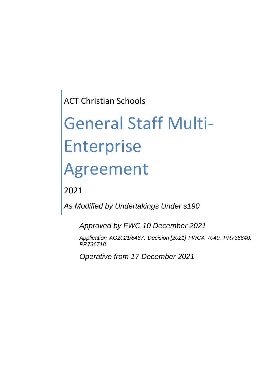ACT Christian Schools

# General Staff Multi-Enterprise Agreement

2021

*As Modified by Undertakings Under s190*

*Approved by FWC 10 December 2021*

*Application AG2021/8467, Decision [2021] FWCA 7049, PR736640, PR736718*

*Operative from 17 December 2021*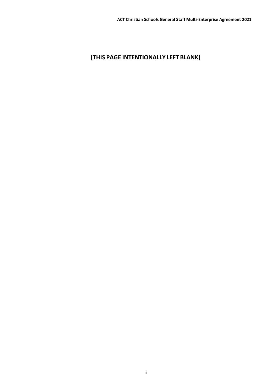**[THIS PAGE INTENTIONALLY LEFT BLANK]**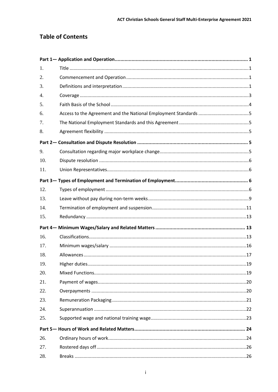# **Table of Contents**

| 1.  |               |     |
|-----|---------------|-----|
| 2.  |               |     |
| 3.  |               |     |
| 4.  |               |     |
| 5.  |               |     |
| 6.  |               |     |
| 7.  |               |     |
| 8.  |               |     |
|     |               |     |
| 9.  |               |     |
| 10. |               |     |
| 11. |               |     |
|     |               |     |
| 12. |               |     |
| 13. |               |     |
| 14. |               |     |
| 15. |               |     |
|     |               |     |
| 16. |               |     |
| 17. |               |     |
| 18. |               |     |
| 19. | Higher duties | .19 |
| 20. |               |     |
| 21. |               |     |
| 22. |               |     |
| 23. |               |     |
| 24. |               |     |
| 25. |               |     |
|     |               |     |
| 26. |               |     |
| 27. |               |     |
| 28. |               |     |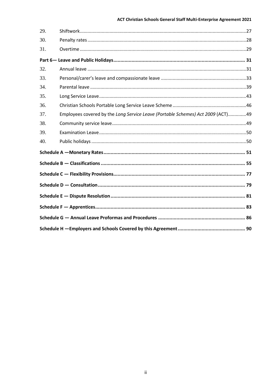| 29. |                                                                                 |  |
|-----|---------------------------------------------------------------------------------|--|
| 30. |                                                                                 |  |
| 31. |                                                                                 |  |
|     |                                                                                 |  |
| 32. |                                                                                 |  |
| 33. |                                                                                 |  |
| 34. |                                                                                 |  |
| 35. |                                                                                 |  |
| 36. |                                                                                 |  |
| 37. | Employees covered by the Long Service Leave (Portable Schemes) Act 2009 (ACT)49 |  |
| 38. |                                                                                 |  |
| 39. |                                                                                 |  |
| 40. |                                                                                 |  |
|     |                                                                                 |  |
|     |                                                                                 |  |
|     |                                                                                 |  |
|     |                                                                                 |  |
|     |                                                                                 |  |
|     |                                                                                 |  |
|     |                                                                                 |  |
|     |                                                                                 |  |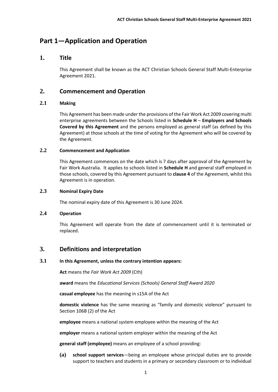# <span id="page-4-1"></span><span id="page-4-0"></span>**Part 1—Application and Operation**

# **1. Title**

This Agreement shall be known as the ACT Christian Schools General Staff Multi-Enterprise Agreement 2021.

# <span id="page-4-2"></span>**2. Commencement and Operation**

#### **2.1 Making**

This Agreement has been made under the provisions of the Fair Work Act 2009 covering multi enterprise agreements between the Schools listed in **Schedule H** – **Employers and Schools Covered by this Agreement** and the persons employed as general staff (as defined by this Agreement) at those schools at the time of voting for the Agreement who will be covered by the Agreement.

#### **2.2 Commencement and Application**

This Agreement commences on the date which is 7 days after approval of the Agreement by Fair Work Australia. It applies to schools listed in **Schedule H** and general staff employed in those schools, covered by this Agreement pursuant to **clause 4** of the Agreement, whilst this Agreement is in operation.

### **2.3 Nominal Expiry Date**

The nominal expiry date of this Agreement is 30 June 2024.

#### **2.4 Operation**

This Agreement will operate from the date of commencement until it is terminated or replaced.

# <span id="page-4-3"></span>**3. Definitions and interpretation**

#### **3.1 In this Agreement, unless the contrary intention appears:**

**Act** means the *Fair Work Act 2009* (Cth)

**award** means the *Educational Services (Schools) General Staff Award 2020*

**casual employee** has the meaning in s15A of the Act

**domestic violence** has the same meaning as "family and domestic violence" pursuant to Section 106B (2) of the Act

**employee** means a national system employee within the meaning of the Act

**employer** means a national system employer within the meaning of the Act

**general staff (employee)** means an employee of a school providing:

**(a) school support services**—being an employee whose principal duties are to provide support to teachers and students in a primary or secondary classroom or to individual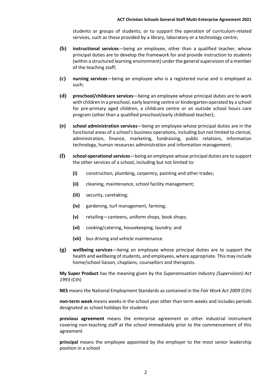students or groups of students; or to support the operation of curriculum-related services, such as those provided by a library, laboratory or a technology centre;

- **(b) instructional services**—being an employee, other than a qualified teacher, whose principal duties are to develop the framework for and provide instruction to students (within a structured learning environment) under the general supervision of a member of the teaching staff;
- **(c) nursing services**—being an employee who is a registered nurse and is employed as such;
- **(d) preschool/childcare services**—being an employee whose principal duties are to work with children in a preschool, early learning centre or kindergarten operated by a school for pre-primary aged children, a childcare centre or an outside school hours care program (other than a qualified preschool/early childhood teacher);
- **(e) school administration services**—being an employee whose principal duties are in the functional areas of a school's business operations, including but not limited to clerical, administration, finance, marketing, fundraising, public relations, information technology, human resources administration and information management;
- **(f) school operational services**—being an employee whose principal duties are to support the other services of a school, including but not limited to:
	- **(i)** construction, plumbing, carpentry, painting and other trades;
	- **(ii)** cleaning, maintenance, school facility management;
	- **(iii)** security, caretaking;
	- **(iv)** gardening, turf management, farming;
	- **(v)** retailing—canteens, uniform shops, book shops;
	- **(vi)** cooking/catering, housekeeping, laundry; and
	- **(vii)** bus driving and vehicle maintenance.
- **(g) wellbeing services**—being an employee whose principal duties are to support the health and wellbeing of students, and employees, where appropriate. This may include home/school liaison, chaplains, counsellors and therapists.

**My Super Product** has the meaning given by the *Superannuation Industry (Supervision) Act 1993* (Cth)

**NES** means the National Employment Standards as contained in the *Fair Work Act 2009* (Cth)

**non-term week** means weeks in the school year other than term weeks and includes periods designated as school holidays for students

**previous agreement** means the enterprise agreement or other industrial instrument covering non-teaching staff at the school immediately prior to the commencement of this agreement

**principal** means the employee appointed by the employer to the most senior leadership position in a school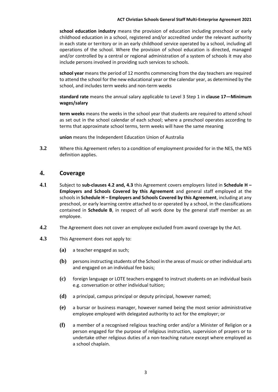**school education industry** means the provision of education including preschool or early childhood education in a school, registered and/or accredited under the relevant authority in each state or territory or in an early childhood service operated by a school, including all operations of the school. Where the provision of school education is directed, managed and/or controlled by a central or regional administration of a system of schools it may also include persons involved in providing such services to schools.

**school year** means the period of 12 months commencing from the day teachers are required to attend the school for the new educational year or the calendar year, as determined by the school, and includes term weeks and non-term weeks

**standard rate** means the annual salary applicable to Level 3 Step 1 in **clause [17](#page-19-0)—[Minimum](#page-19-0)  [wages/](#page-19-0)salary**

**term weeks** means the weeks in the school year that students are required to attend school as set out in the school calendar of each school; where a preschool operates according to terms that approximate school terms, term weeks will have the same meaning

**union** means the Independent Education Union of Australia

<span id="page-6-0"></span>**3.2** Where this Agreement refers to a condition of employment provided for in the NES, the NES definition applies.

# **4. Coverage**

- **4.1** Subject to **sub-clauses [4.2](#page-6-1) and, [4.3](#page-6-2)** this Agreement covers employers listed in **Schedule H – Employers and Schools Covered by this Agreement** and general staff employed at the schools in **Schedule H – Employers and Schools Covered by this Agreement**, including at any preschool, or early learning centre attached to or operated by a school, in the classifications contained in **[Schedule](#page-58-1) B**, in respect of all work done by the general staff member as an employee.
- <span id="page-6-1"></span>**4.2** The Agreement does not cover an employee excluded from award coverage by the Act.
- <span id="page-6-2"></span>**4.3** This Agreement does not apply to:
	- **(a)** a teacher engaged as such;
	- **(b)** persons instructing students of the School in the areas of music or other individual arts and engaged on an individual fee basis;
	- **(c)** foreign language or LOTE teachers engaged to instruct students on an individual basis e.g. conversation or other individual tuition;
	- **(d)** a principal, campus principal or deputy principal, however named;
	- **(e)** a bursar or business manager, however named being the most senior administrative employee employed with delegated authority to act for the employer; or
	- **(f)** a member of a recognised religious teaching order and/or a Minister of Religion or a person engaged for the purpose of religious instruction, supervision of prayers or to undertake other religious duties of a non-teaching nature except where employed as a school chaplain.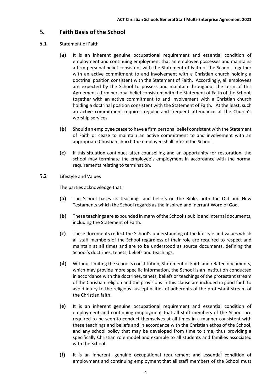# <span id="page-7-0"></span>**5. Faith Basis of the School**

#### **5.1** Statement of Faith

- **(a)** It is an inherent genuine occupational requirement and essential condition of employment and continuing employment that an employee possesses and maintains a firm personal belief consistent with the Statement of Faith of the School, together with an active commitment to and involvement with a Christian church holding a doctrinal position consistent with the Statement of Faith. Accordingly, all employees are expected by the School to possess and maintain throughout the term of this Agreement a firm personal belief consistent with the Statement of Faith of the School, together with an active commitment to and involvement with a Christian church holding a doctrinal position consistent with the Statement of Faith. At the least, such an active commitment requires regular and frequent attendance at the Church's worship services.
- **(b)** Should an employee cease to have a firm personal belief consistent with the Statement of Faith or cease to maintain an active commitment to and involvement with an appropriate Christian church the employee shall inform the School.
- **(c)** If this situation continues after counselling and an opportunity for restoration, the school may terminate the employee's employment in accordance with the normal requirements relating to termination.

#### **5.2** Lifestyle and Values

The parties acknowledge that:

- **(a)** The School bases its teachings and beliefs on the Bible, both the Old and New Testaments which the School regards as the inspired and inerrant Word of God.
- **(b)** These teachings are expounded in many of the School's public and internal documents, including the Statement of Faith.
- **(c)** These documents reflect the School's understanding of the lifestyle and values which all staff members of the School regardless of their role are required to respect and maintain at all times and are to be understood as source documents, defining the School's doctrines, tenets, beliefs and teachings.
- **(d)** Without limiting the school's constitution, Statement of Faith and related documents, which may provide more specific information, the School is an institution conducted in accordance with the doctrines, tenets, beliefs or teachings of the protestant stream of the Christian religion and the provisions in this clause are included in good faith to avoid injury to the religious susceptibilities of adherents of the protestant stream of the Christian faith.
- **(e)** It is an inherent genuine occupational requirement and essential condition of employment and continuing employment that all staff members of the School are required to be seen to conduct themselves at all times in a manner consistent with these teachings and beliefs and in accordance with the Christian ethos of the School, and any school policy that may be developed from time to time, thus providing a specifically Christian role model and example to all students and families associated with the School.
- **(f)** It is an inherent, genuine occupational requirement and essential condition of employment and continuing employment that all staff members of the School must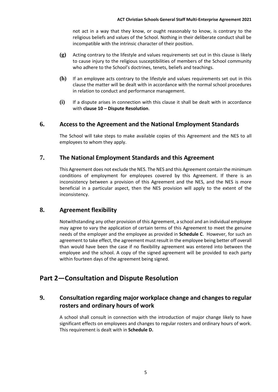not act in a way that they know, or ought reasonably to know, is contrary to the religious beliefs and values of the School. Nothing in their deliberate conduct shall be incompatible with the intrinsic character of their position.

- **(g)** Acting contrary to the lifestyle and values requirements set out in this clause is likely to cause injury to the religious susceptibilities of members of the School community who adhere to the School's doctrines, tenets, beliefs and teachings.
- **(h)** If an employee acts contrary to the lifestyle and values requirements set out in this clause the matter will be dealt with in accordance with the normal school procedures in relation to conduct and performance management.
- **(i)** If a dispute arises in connection with this clause it shall be dealt with in accordance with **claus[e 10](#page-9-0) – Dispute Resolution**.

# <span id="page-8-0"></span>**6. Access to the Agreement and the National Employment Standards**

The School will take steps to make available copies of this Agreement and the NES to all employees to whom they apply.

# <span id="page-8-1"></span>**7. The National Employment Standards and this Agreement**

This Agreement does not exclude the NES. The NES and this Agreement contain the minimum conditions of employment for employees covered by this Agreement. If there is an inconsistency between a provision of this Agreement and the NES, and the NES is more beneficial in a particular aspect, then the NES provision will apply to the extent of the inconsistency.

# <span id="page-8-2"></span>**8. Agreement flexibility**

Notwithstanding any other provision of this Agreement, a school and an individual employee may agree to vary the application of certain terms of this Agreement to meet the genuine needs of the employer and the employee as provided in **[Schedule C](#page-80-1)**. However, for such an agreement to take effect, the agreement must result in the employee being better off overall than would have been the case if no flexibility agreement was entered into between the employee and the school. A copy of the signed agreement will be provided to each party within fourteen days of the agreement being signed.

# <span id="page-8-4"></span><span id="page-8-3"></span>**Part 2—Consultation and Dispute Resolution**

# **9. Consultation regarding major workplace change and changes to regular rosters and ordinary hours of work**

A school shall consult in connection with the introduction of major change likely to have significant effects on employees and changes to regular rosters and ordinary hours of work. This requirement is dealt with in **[Schedule D.](#page-82-1)**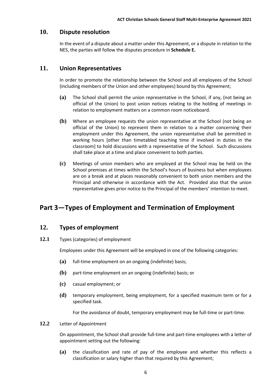# <span id="page-9-0"></span>**10. Dispute resolution**

In the event of a dispute about a matter under this Agreement, or a dispute in relation to the NES, the parties will follow the disputes procedure in **[Schedule E.](#page-84-1)** 

# <span id="page-9-1"></span>**11. Union Representatives**

In order to promote the relationship between the School and all employees of the School (including members of the Union and other employees) bound by this Agreement;

- **(a)** The School shall permit the union representative in the School, if any, (not being an official of the Union) to post union notices relating to the holding of meetings in relation to employment matters on a common room noticeboard.
- **(b)** Where an employee requests the union representative at the School (not being an official of the Union) to represent them in relation to a matter concerning their employment under this Agreement, the union representative shall be permitted in working hours [other than timetabled teaching time if involved in duties in the classroom] to hold discussions with a representative of the School. Such discussions shall take place at a time and place convenient to both parties.
- **(c)** Meetings of union members who are employed at the School may be held on the School premises at times within the School's hours of business but when employees are on a break and at places reasonably convenient to both union members and the Principal and otherwise in accordance with the Act. Provided also that the union representative gives prior notice to the Principal of the members' intention to meet.

# <span id="page-9-3"></span><span id="page-9-2"></span>**Part 3—Types of Employment and Termination of Employment**

# **12. Types of employment**

**12.1** Types (categories) of employment

Employees under this Agreement will be employed in one of the following categories:

- **(a)** full-time employment on an ongoing (indefinite) basis;
- **(b)** part-time employment on an ongoing (indefinite) basis; or
- **(c)** casual employment; or
- **(d)** temporary employment, being employment, for a specified maximum term or for a specified task.

For the avoidance of doubt, temporary employment may be full-time or part-time.

**12.2** Letter of Appointment

On appointment, the School shall provide full-time and part-time employees with a letter of appointment setting out the following:

**(a)** the classification and rate of pay of the employee and whether this reflects a classification or salary higher than that required by this Agreement;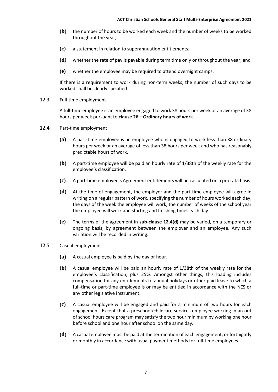- **(b)** the number of hours to be worked each week and the number of weeks to be worked throughout the year;
- **(c)** a statement in relation to superannuation entitlements;
- **(d)** whether the rate of pay is payable during term time only or throughout the year; and
- **(e)** whether the employee may be required to attend overnight camps.

If there is a requirement to work during non-term weeks, the number of such days to be worked shall be clearly specified.

**12.3** Full-time employment

A full-time employee is an employee engaged to work 38 hours per week or an average of 38 hours per week pursuant to **clause [26](#page-27-1)—[Ordinary hours of work](#page-27-1)**.

- <span id="page-10-0"></span>**12.4** Part-time employment
	- **(a)** A part-time employee is an employee who is engaged to work less than 38 ordinary hours per week or an average of less than 38 hours per week and who has reasonably predictable hours of work.
	- **(b)** A part-time employee will be paid an hourly rate of 1/38th of the weekly rate for the employee's classification.
	- **(c)** A part-time employee's Agreement entitlements will be calculated on a pro rata basis.
	- **(d)** At the time of engagement, the employer and the part-time employee will agree in writing on a regular pattern of work, specifying the number of hours worked each day, the days of the week the employee will work, the number of weeks of the school year the employee will work and starting and finishing times each day.
	- **(e)** The terms of the agreement in **sub-clause [12.4\(d\)](#page-10-0)** may be varied, on a temporary or ongoing basis, by agreement between the employer and an employee. Any such variation will be recorded in writing.
- **12.5** Casual employment
	- **(a)** A casual employee is paid by the day or hour.
	- **(b)** A casual employee will be paid an hourly rate of 1/38th of the weekly rate for the employee's classification, plus 25%. Amongst other things, this loading includes compensation for any entitlements to annual holidays or other paid leave to which a full-time or part-time employee is or may be entitled in accordance with the NES or any other legislative instrument.
	- **(c)** A casual employee will be engaged and paid for a minimum of two hours for each engagement. Except that a preschool/childcare services employee working in an out of school hours care program may satisfy the two hour minimum by working one hour before school and one hour after school on the same day.
	- **(d)** A casual employee must be paid at the termination of each engagement, or fortnightly or monthly in accordance with usual payment methods for full-time employees.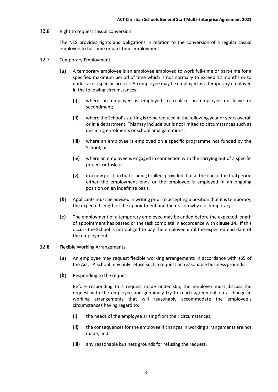**12.6** Right to request casual conversion

The NES provides rights and obligations in relation to the conversion of a regular casual employee to full-time or part-time employment.

- **12.7** Temporary Employment
	- **(a)** A temporary employee is an employee employed to work full-time or part-time for a specified maximum period of time which is not normally to exceed 12 months or to undertake a specific project. An employee may be employed as a temporary employee in the following circumstances:
		- **(i)** where an employee is employed to replace an employee on leave or secondment;
		- **(ii)** where the School's staffing is to be reduced in the following year or years overall or in a department. This may include but is not limited to circumstances such as declining enrolments or school amalgamations;
		- **(iii)** where an employee is employed on a specific programme not funded by the School; or
		- **(iv)** where an employee is engaged in connection with the carrying out of a specific project or task, or
		- **(v)** in a new position that is being trialled, provided that at the end of the trial period either the employment ends or the employee is employed in an ongoing position on an indefinite basis.
	- **(b)** Applicants must be advised in writing prior to accepting a position that it is temporary, the expected length of the appointment and the reason why it is temporary.
	- **(c)** The employment of a temporary employee may be ended before the expected length of appointment has passed or the task complete in accordance with **clause [14](#page-14-0)**. If this occurs the School is not obliged to pay the employee until the expected end date of the employment.

#### **12.8** Flexible Working Arrangements

- **(a)** An employee may request flexible working arrangements in accordance with s65 of the Act. A school may only refuse such a request on reasonable business grounds.
- **(b)** Responding to the request

Before responding to a request made under s65, the employer must discuss the request with the employee and genuinely try to reach agreement on a change in working arrangements that will reasonably accommodate the employee's circumstances having regard to:

- **(i)** the needs of the employee arising from their circumstances;
- **(ii)** the consequences for the employee if changes in working arrangements are not made; and
- **(iii)** any reasonable business grounds for refusing the request.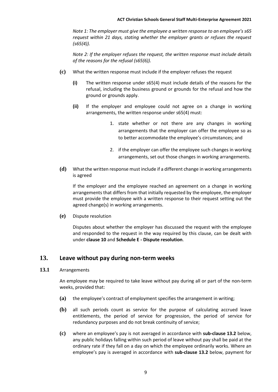*Note 1: The employer must give the employee a written response to an employee's s65 request within 21 days, stating whether the employer grants or refuses the request (s65(4)).*

*Note 2: If the employer refuses the request, the written response must include details of the reasons for the refusal (s65(6)).*

- **(c)** What the written response must include if the employer refuses the request
	- **(i)** The written response under s65(4) must include details of the reasons for the refusal, including the business ground or grounds for the refusal and how the ground or grounds apply.
	- **(ii)** If the employer and employee could not agree on a change in working arrangements, the written response under s65(4) must:
		- 1. state whether or not there are any changes in working arrangements that the employer can offer the employee so as to better accommodate the employee's circumstances; and
		- 2. if the employer can offer the employee such changes in working arrangements, set out those changes in working arrangements.
- **(d)** What the written response must include if a different change in working arrangements is agreed

If the employer and the employee reached an agreement on a change in working arrangements that differs from that initially requested by the employee, the employer must provide the employee with a written response to their request setting out the agreed change(s) in working arrangements.

**(e)** Dispute resolution

Disputes about whether the employer has discussed the request with the employee and responded to the request in the way required by this clause, can be dealt with under **clause 10** and **Schedule E - Dispute resolution**.

### <span id="page-12-0"></span>**13. Leave without pay during non-term weeks**

**13.1** Arrangements

An employee may be required to take leave without pay during all or part of the non-term weeks, provided that:

- **(a)** the employee's contract of employment specifies the arrangement in writing;
- **(b)** all such periods count as service for the purpose of calculating accrued leave entitlements, the period of service for progression, the period of service for redundancy purposes and do not break continuity of service;
- **(c)** where an employee's pay is not averaged in accordance with **sub-clause 13.2** below, any public holidays falling within such period of leave without pay shall be paid at the ordinary rate if they fall on a day on which the employee ordinarily works. Where an employee's pay is averaged in accordance with **sub-clause 13.2** below, payment for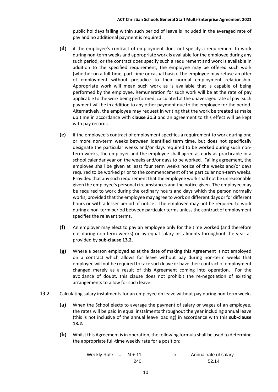public holidays falling within such period of leave is included in the averaged rate of pay and no additional payment is required

- **(d)** if the employee's contract of employment does not specify a requirement to work during non-term weeks and appropriate work is available for the employee during any such period, or the contract does specify such a requirement and work is available in addition to the specified requirement, the employee may be offered such work (whether on a full-time, part-time or casual basis). The employee may refuse an offer of employment without prejudice to their normal employment relationship. Appropriate work will mean such work as is available that is capable of being performed by the employee. Remuneration for such work will be at the rate of pay applicable to the work being performed, calculated at the unaveraged rate of pay. Such payment will be in addition to any other payment due to the employee for the period. Alternatively, the employee may request in writing that the work be treated as make up time in accordance with **clause 31.3** and an agreement to this effect will be kept with pay records.
- **(e)** if the employee's contract of employment specifies a requirement to work during one or more non-term weeks between identified term time, but does not specifically designate the particular weeks and/or days required to be worked during such nonterm weeks, the employer and the employee shall agree as early as practicable in a school calendar year on the weeks and/or days to be worked. Failing agreement, the employee shall be given at least four term weeks notice of the weeks and/or days required to be worked prior to the commencement of the particular non-term weeks. Provided that any such requirement that the employee work shall not be unreasonable given the employee's personal circumstances and the notice given. The employee may be required to work during the ordinary hours and days which the person normally works, provided that the employee may agree to work on different days or for different hours or with a lesser period of notice. The employee may not be required to work during a non-term period between particular terms unless the contract of employment specifies the relevant terms.
- **(f)** An employer may elect to pay an employee only for the time worked (and therefore not during non-term weeks) or by equal salary instalments throughout the year as provided by **sub-clause 13.2**.
- **(g)** Where a person employed as at the date of making this Agreement is not employed on a contract which allows for leave without pay during non-term weeks that employee will not be required to take such leave or have their contract of employment changed merely as a result of this Agreement coming into operation. For the avoidance of doubt, this clause does not prohibit the re-negotiation of existing arrangements to allow for such leave.
- **13.2** Calculating salary instalments for an employee on leave without pay during non-term weeks
	- **(a)** When the School elects to average the payment of salary or wages of an employee, the rates will be paid in equal instalments throughout the year including annual leave (this is not inclusive of the annual leave loading) in accordance with this **sub-clause 13.2.**
	- **(b)** Whilst this Agreement is in operation, the following formula shall be used to determine the appropriate full-time weekly rate for a position:

| Weekly Rate = $N + 11$ |     | Annual rate of salary |
|------------------------|-----|-----------------------|
|                        | 240 | 52.14                 |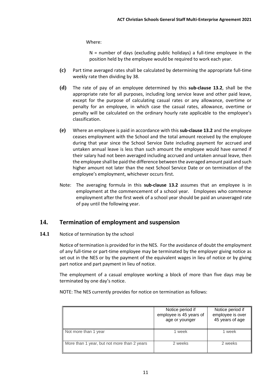Where:

 $N =$  number of days (excluding public holidays) a full-time employee in the position held by the employee would be required to work each year.

- **(c)** Part time averaged rates shall be calculated by determining the appropriate full-time weekly rate then dividing by 38.
- **(d)** The rate of pay of an employee determined by this **sub-clause 13.2**, shall be the appropriate rate for all purposes, including long service leave and other paid leave, except for the purpose of calculating casual rates or any allowance, overtime or penalty for an employee, in which case the casual rates, allowance, overtime or penalty will be calculated on the ordinary hourly rate applicable to the employee's classification.
- **(e)** Where an employee is paid in accordance with this **sub-clause 13.2** and the employee ceases employment with the School and the total amount received by the employee during that year since the School Service Date including payment for accrued and untaken annual leave is less than such amount the employee would have earned if their salary had not been averaged including accrued and untaken annual leave, then the employee shall be paid the difference between the averaged amount paid and such higher amount not later than the next School Service Date or on termination of the employee's employment, whichever occurs first.
- Note: The averaging formula in this **sub-clause 13.2** assumes that an employee is in employment at the commencement of a school year. Employees who commence employment after the first week of a school year should be paid an unaveraged rate of pay until the following year.

# <span id="page-14-0"></span>**14. Termination of employment and suspension**

**14.1** Notice of termination by the school

Notice of termination is provided for in the NES. For the avoidance of doubt the employment of any full-time or part-time employee may be terminated by the employer giving notice as set out in the NES or by the payment of the equivalent wages in lieu of notice or by giving part notice and part payment in lieu of notice.

The employment of a casual employee working a block of more than five days may be terminated by one day's notice.

NOTE: The NES currently provides for notice on termination as follows:

|                                             | Notice period if<br>employee is 45 years of<br>age or younger | Notice period if<br>employee is over<br>45 years of age |
|---------------------------------------------|---------------------------------------------------------------|---------------------------------------------------------|
| Not more than 1 year                        | 1 week                                                        | 1 week                                                  |
| More than 1 year, but not more than 2 years | 2 weeks                                                       | 2 weeks                                                 |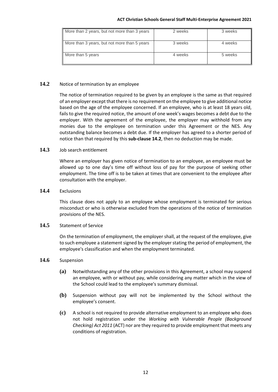#### **ACT Christian Schools General Staff Multi-Enterprise Agreement 2021**

| More than 2 years, but not more than 3 years | 2 weeks | 3 weeks |
|----------------------------------------------|---------|---------|
| More than 3 years, but not more than 5 years | 3 weeks | 4 weeks |
| More than 5 years                            | 4 weeks | 5 weeks |

#### **14.2** Notice of termination by an employee

The notice of termination required to be given by an employee is the same as that required of an employer except that there is no requirement on the employee to give additional notice based on the age of the employee concerned. If an employee, who is at least 18 years old, fails to give the required notice, the amount of one week's wages becomes a debt due to the employer. With the agreement of the employee, the employer may withhold from any monies due to the employee on termination under this Agreement or the NES. Any outstanding balance becomes a debt due. If the employer has agreed to a shorter period of notice than that required by this **sub-clause 14.2**, then no deduction may be made.

#### <span id="page-15-0"></span>**14.3** Job search entitlement

Where an employer has given notice of termination to an employee, an employee must be allowed up to one day's time off without loss of pay for the purpose of seeking other employment. The time off is to be taken at times that are convenient to the employee after consultation with the employer.

#### **14.4** Exclusions

This clause does not apply to an employee whose employment is terminated for serious misconduct or who is otherwise excluded from the operations of the notice of termination provisions of the NES.

#### **14.5** Statement of Service

On the termination of employment, the employer shall, at the request of the employee, give to such employee a statement signed by the employer stating the period of employment, the employee's classification and when the employment terminated.

#### **14.6** Suspension

- **(a)** Notwithstanding any of the other provisions in this Agreement, a school may suspend an employee, with or without pay, while considering any matter which in the view of the School could lead to the employee's summary dismissal.
- **(b)** Suspension without pay will not be implemented by the School without the employee's consent.
- **(c)** A school is not required to provide alternative employment to an employee who does not hold registration under the *Working with Vulnerable People (Background Checking) Act 2011* (ACT) nor are they required to provide employment that meets any conditions of registration.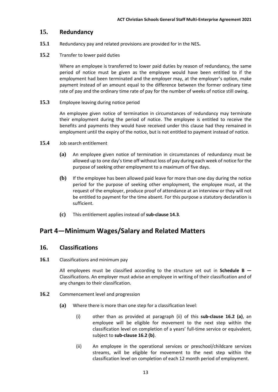# <span id="page-16-0"></span>**15. Redundancy**

- **15.1** Redundancy pay and related provisions are provided for in the NES**.**
- **15.2** Transfer to lower paid duties

Where an employee is transferred to lower paid duties by reason of redundancy, the same period of notice must be given as the employee would have been entitled to if the employment had been terminated and the employer may, at the employer's option, make payment instead of an amount equal to the difference between the former ordinary time rate of pay and the ordinary time rate of pay for the number of weeks of notice still owing.

**15.3** Employee leaving during notice period

An employee given notice of termination in circumstances of redundancy may terminate their employment during the period of notice. The employee is entitled to receive the benefits and payments they would have received under this clause had they remained in employment until the expiry of the notice, but is not entitled to payment instead of notice.

- **15.4** Job search entitlement
	- **(a)** An employee given notice of termination in circumstances of redundancy must be allowed up to one day's time off without loss of pay during each week of notice for the purpose of seeking other employment to a maximum of five days.
	- **(b)** If the employee has been allowed paid leave for more than one day during the notice period for the purpose of seeking other employment, the employee must, at the request of the employer, produce proof of attendance at an interview or they will not be entitled to payment for the time absent. For this purpose a statutory declaration is sufficient.
	- **(c)** This entitlement applies instead of **sub-claus[e 14.3](#page-15-0)**.

# <span id="page-16-2"></span><span id="page-16-1"></span>**Part 4—Minimum Wages/Salary and Related Matters**

# **16. Classifications**

**16.1** Classifications and minimum pay

All employees must be classified according to the structure set out in **[Schedule B](#page-58-1) [—](#page-58-1)** [Classifications.](#page-58-1) An employer must advise an employee in writing of their classification and of any changes to their classification.

- **16.2** Commencement level and progression
	- **(a)** Where there is more than one step for a classification level:
		- (i) other than as provided at paragraph (ii) of this **sub-clause 16.2 (a)**, an employee will be eligible for movement to the next step within the classification level on completion of a years' full-time service or equivalent, subject to **sub-clause 16.2 (b)**.
		- (ii) An employee in the operational services or preschool/childcare services streams, will be eligible for movement to the next step within the classification level on completion of each 12 month period of employment.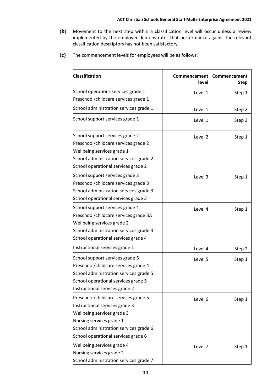- **(b)** Movement to the next step within a classification level will occur unless a review implemented by the employer demonstrates that performance against the relevant classification descriptors has not been satisfactory.
- **(c)** The commencement levels for employees will be as follows:

| <b>Classification</b>                                                                                                                                                                                             | Commencement<br>level | Commencement<br><b>Step</b> |
|-------------------------------------------------------------------------------------------------------------------------------------------------------------------------------------------------------------------|-----------------------|-----------------------------|
| School operations services grade 1<br>Preschool/childcare services grade 1                                                                                                                                        | Level 1               | Step 1                      |
| School administration services grade 1                                                                                                                                                                            | Level 1               | Step 2                      |
| School support services grade 1                                                                                                                                                                                   | Level 1               | Step 3                      |
| School support services grade 2<br>Preschool/childcare services grade 2<br>Wellbeing services grade 1<br>School administration services grade 2<br>School operational services grade 2                            | Level 2               | Step 1                      |
| School support services grade 3<br>Preschool/childcare services grade 3<br>School administration services grade 3<br>School operational services grade 3                                                          | Level 3               | Step 1                      |
| School support services grade 4<br>Preschool/childcare services grade 3A<br>Wellbeing services grade 2<br>School administration services grade 4<br>School operational services grade 4                           | Level 4               | Step 1                      |
| Instructional services grade 1                                                                                                                                                                                    | Level 4               | Step 2                      |
| School support services grade 5<br>Preschool/childcare services grade 4<br>School administration services grade 5<br>School operational services grade 5<br>Instructional services grade 2                        | Level 5               | Step 1                      |
| Preschool/childcare services grade 5<br>Instructional services grade 3<br>Wellbeing services grade 3<br>Nursing services grade 1<br>School administration services grade 6<br>School operational services grade 6 | Level 6               | Step 1                      |
| Wellbeing services grade 4<br>Nursing services grade 2<br>School administration services grade 7                                                                                                                  | Level 7               | Step 1                      |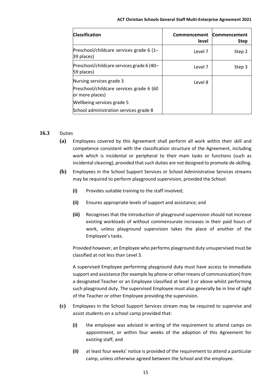#### **ACT Christian Schools General Staff Multi-Enterprise Agreement 2021**

| <b>Classification</b>                                                                   | <b>Commencement</b><br>level | <b>Commencement</b><br><b>Step</b> |
|-----------------------------------------------------------------------------------------|------------------------------|------------------------------------|
| Preschool/childcare services grade 6 $(1-$<br>39 places)                                | Level 7                      | Step 2                             |
| Preschool/childcare services grade 6 (40-<br>59 places)                                 | Level 7                      | Step 3                             |
| Nursing services grade 3<br>Preschool/childcare services grade 6 (60<br>or more places) | Level 8                      |                                    |
| Wellbeing services grade 5                                                              |                              |                                    |
| School administration services grade 8                                                  |                              |                                    |

#### **16.3** Duties

- **(a)** Employees covered by this Agreement shall perform all work within their skill and competence consistent with the classification structure of the Agreement, including work which is incidental or peripheral to their main tasks or functions (such as incidental cleaning), provided that such duties are not designed to promote de-skilling.
- **(b)** Employees in the School Support Services or School Administrative Services streams may be required to perform playground supervision, provided the School:
	- **(i)** Provides suitable training to the staff involved;
	- **(ii)** Ensures appropriate levels of support and assistance; and
	- **(iii)** Recognises that the introduction of playground supervision should not increase existing workloads of without commensurate increases in their paid hours of work, unless playground supervision takes the place of another of the Employee's tasks.

Provided however, an Employee who performs playground duty unsupervised must be classified at not less than Level 3.

A supervised Employee performing playground duty must have access to immediate support and assistance (for example by phone or other means of communication) from a designated Teacher or an Employee classified at level 3 or above whilst performing such playground duty. The supervised Employee must also generally be in line of sight of the Teacher or other Employee providing the supervision.

- **(c)** Employees in the School Support Services stream may be required to supervise and assist students on a school camp provided that:
	- **(i)** the employee was advised in writing of the requirement to attend camps on appointment, or within four weeks of the adoption of this Agreement for existing staff, and
	- **(ii)** at least four weeks' notice is provided of the requirement to attend a particular camp, unless otherwise agreed between the School and the employee.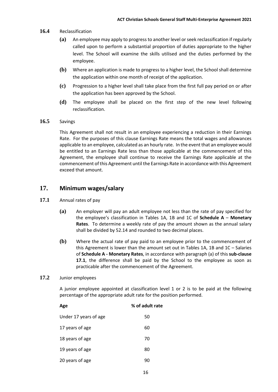#### **16.4** Reclassification

- **(a)** An employee may apply to progress to another level or seek reclassification if regularly called upon to perform a substantial proportion of duties appropriate to the higher level. The School will examine the skills utilised and the duties performed by the employee.
- **(b)** Where an application is made to progress to a higher level, the School shall determine the application within one month of receipt of the application.
- **(c)** Progression to a higher level shall take place from the first full pay period on or after the application has been approved by the School.
- **(d)** The employee shall be placed on the first step of the new level following reclassification.

#### **16.5** Savings

This Agreement shall not result in an employee experiencing a reduction in their Earnings Rate. For the purposes of this clause Earnings Rate means the total wages and allowances applicable to an employee, calculated as an hourly rate. In the event that an employee would be entitled to an Earnings Rate less than those applicable at the commencement of this Agreement, the employee shall continue to receive the Earnings Rate applicable at the commencement of this Agreement until the Earnings Rate in accordance with this Agreement exceed that amount.

# <span id="page-19-0"></span>**17. Minimum wages/salary**

#### <span id="page-19-1"></span>**17.1** Annual rates of pay

- **(a)** An employer will pay an adult employee not less than the rate of pay specified for the employee's classification in Tables 1A, 1B and 1C of **Schedule A** – **Monetary Rates**. To determine a weekly rate of pay the amount shown as the annual salary shall be divided by 52.14 and rounded to two decimal places.
- **(b)** Where the actual rate of pay paid to an employee prior to the commencement of this Agreement is lower than the amount set out in Tables 1A, 1B and 1C – Salaries of **Schedule A - Monetary Rates**, in accordance with paragraph (a) of this **sub-clause 17.1**, the difference shall be paid by the School to the employee as soon as practicable after the commencement of the Agreement.

#### **17.2** Junior employees

A junior employee appointed at classification level 1 or 2 is to be paid at the following percentage of the appropriate adult rate for the position performed.

| Age                   | % of adult rate |
|-----------------------|-----------------|
| Under 17 years of age | 50              |
| 17 years of age       | 60              |
| 18 years of age       | 70              |
| 19 years of age       | 80              |
| 20 years of age       | 90              |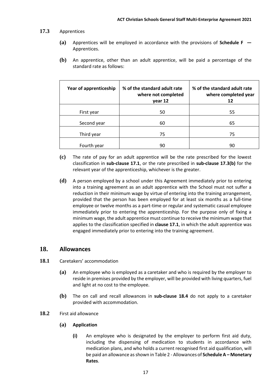#### **17.3** Apprentices

- **(a)** Apprentices will be employed in accordance with the provisions of **[Schedule F](#page-86-1) [—](#page-86-1)** [Apprentices.](#page-86-1)
- <span id="page-20-1"></span>**(b)** An apprentice, other than an adult apprentice, will be paid a percentage of the standard rate as follows:

| Year of apprenticeship | % of the standard adult rate<br>where not completed<br>year 12 | % of the standard adult rate<br>where completed year<br>12 |
|------------------------|----------------------------------------------------------------|------------------------------------------------------------|
| First year             | 50                                                             | 55                                                         |
| Second year            | 60                                                             | 65                                                         |
| Third year             | 75                                                             | 75                                                         |
| Fourth year            | 90                                                             | 90                                                         |

- **(c)** The rate of pay for an adult apprentice will be the rate prescribed for the lowest classification in **sub-clause [17.1](#page-19-1)**, or the rate prescribed in **sub-clause [17.3\(b\)](#page-20-1)** for the relevant year of the apprenticeship, whichever is the greater.
- **(d)** A person employed by a school under this Agreement immediately prior to entering into a training agreement as an adult apprentice with the School must not suffer a reduction in their minimum wage by virtue of entering into the training arrangement, provided that the person has been employed for at least six months as a full-time employee or twelve months as a part-time or regular and systematic casual employee immediately prior to entering the apprenticeship. For the purpose only of fixing a minimum wage, the adult apprentice must continue to receive the minimum wage that applies to the classification specified in **clause 17.1**, in which the adult apprentice was engaged immediately prior to entering into the training agreement.

# <span id="page-20-0"></span>**18. Allowances**

- **18.1** Caretakers' accommodation
	- **(a)** An employee who is employed as a caretaker and who is required by the employer to reside in premises provided by the employer, will be provided with living quarters, fuel and light at no cost to the employee.
	- **(b)** The on call and recall allowances in **sub-clause [18.4](#page-21-0)** do not apply to a caretaker provided with accommodation.
- **18.2** First aid allowance

#### **(a) Application**

**(i)** An employee who is designated by the employer to perform first aid duty, including the dispensing of medication to students in accordance with medication plans, and who holds a current recognised first aid qualification, will be paid an allowance as shown in Table 2 - Allowances of **Schedule A – Monetary Rates**.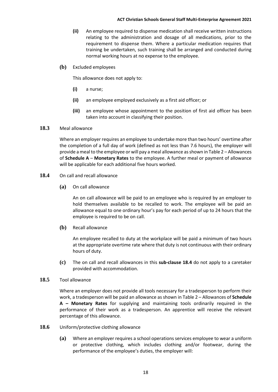#### **ACT Christian Schools General Staff Multi-Enterprise Agreement 2021**

- **(ii)** An employee required to dispense medication shall receive written instructions relating to the administration and dosage of all medications, prior to the requirement to dispense them. Where a particular medication requires that training be undertaken, such training shall be arranged and conducted during normal working hours at no expense to the employee.
- **(b)** Excluded employees

This allowance does not apply to:

- **(i)** a nurse;
- **(ii)** an employee employed exclusively as a first aid officer; or
- **(iii)** an employee whose appointment to the position of first aid officer has been taken into account in classifying their position.

#### **18.3** Meal allowance

Where an employer requires an employee to undertake more than two hours' overtime after the completion of a full day of work (defined as not less than 7.6 hours), the employer will provide a meal to the employee or will pay a meal allowance as shown in Table 2 – Allowances of **Schedule A** – **Monetary Rates** to the employee. A further meal or payment of allowance will be applicable for each additional five hours worked.

#### <span id="page-21-0"></span>**18.4** On call and recall allowance

**(a)** On call allowance

An on call allowance will be paid to an employee who is required by an employer to hold themselves available to be recalled to work. The employee will be paid an allowance equal to one ordinary hour's pay for each period of up to 24 hours that the employee is required to be on call.

**(b)** Recall allowance

An employee recalled to duty at the workplace will be paid a minimum of two hours at the appropriate overtime rate where that duty is not continuous with their ordinary hours of duty.

**(c)** The on call and recall allowances in this **sub-clause [18.4](#page-21-0)** do not apply to a caretaker provided with accommodation.

#### **18.5** Tool allowance

Where an employer does not provide all tools necessary for a tradesperson to perform their work, a tradesperson will be paid an allowance as shown in Table 2 – Allowances of **Schedule A – Monetary Rates** for supplying and maintaining tools ordinarily required in the performance of their work as a tradesperson. An apprentice will receive the relevant percentage of this allowance.

#### 18.6 Uniform/protective clothing allowance

**(a)** Where an employer requires a school operations services employee to wear a uniform or protective clothing, which includes clothing and/or footwear, during the performance of the employee's duties, the employer will: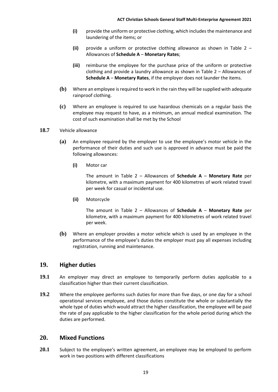- **(i)** provide the uniform or protective clothing, which includes the maintenance and laundering of the items; or
- **(ii)** provide a uniform or protective clothing allowance as shown in Table 2 Allowances of **Schedule A** – **Monetary Rates**;
- **(iii)** reimburse the employee for the purchase price of the uniform or protective clothing and provide a laundry allowance as shown in Table 2 – Allowances of **Schedule A** – **Monetary Rates**, if the employer does not launder the items.
- **(b)** Where an employee is required to work in the rain they will be supplied with adequate rainproof clothing.
- **(c)** Where an employee is required to use hazardous chemicals on a regular basis the employee may request to have, as a minimum, an annual medical examination. The cost of such examination shall be met by the School

#### **18.7** Vehicle allowance

- **(a)** An employee required by the employer to use the employee's motor vehicle in the performance of their duties and such use is approved in advance must be paid the following allowances:
	- **(i)** Motor car

The amount in Table 2 – Allowances of **Schedule A** – **Monetary Rate** per kilometre, with a maximum payment for 400 kilometres of work related travel per week for casual or incidental use.

**(ii)** Motorcycle

The amount in Table 2 – Allowances of **Schedule A** – **Monetary Rate** per kilometre, with a maximum payment for 400 kilometres of work related travel per week.

**(b)** Where an employer provides a motor vehicle which is used by an employee in the performance of the employee's duties the employer must pay all expenses including registration, running and maintenance.

# <span id="page-22-0"></span>**19. Higher duties**

- **19.1** An employer may direct an employee to temporarily perform duties applicable to a classification higher than their current classification.
- **19.2** Where the employee performs such duties for more than five days, or one day for a school operational services employee, and those duties constitute the whole or substantially the whole type of duties which would attract the higher classification, the employee will be paid the rate of pay applicable to the higher classification for the whole period during which the duties are performed.

# <span id="page-22-1"></span>**20. Mixed Functions**

**20.1** Subject to the employee's written agreement, an employee may be employed to perform work in two positions with different classifications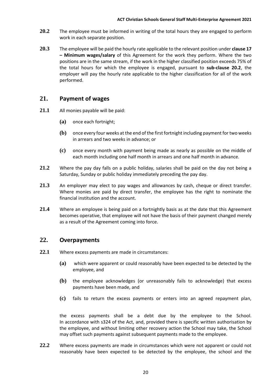- <span id="page-23-2"></span>**20.2** The employee must be informed in writing of the total hours they are engaged to perform work in each separate position.
- **20.3** The employee will be paid the hourly rate applicable to the relevant position under **claus[e 17](#page-19-0) – Minimum wages/salary** of this Agreement for the work they perform. Where the two positions are in the same stream, if the work in the higher classified position exceeds 75% of the total hours for which the employee is engaged, pursuant to **sub-clause [20.2](#page-23-2)**, the employer will pay the hourly rate applicable to the higher classification for all of the work performed.

# <span id="page-23-0"></span>**21. Payment of wages**

- **21.1** All monies payable will be paid:
	- **(a)** once each fortnight;
	- **(b)** once every four weeks at the end of the first fortnight including payment for two weeks in arrears and two weeks in advance; or
	- **(c)** once every month with payment being made as nearly as possible on the middle of each month including one half month in arrears and one half month in advance.
- **21.2** Where the pay day falls on a public holiday, salaries shall be paid on the day not being a Saturday, Sunday or public holiday immediately preceding the pay day.
- **21.3** An employer may elect to pay wages and allowances by cash, cheque or direct transfer. Where monies are paid by direct transfer, the employee has the right to nominate the financial institution and the account.
- **21.4** Where an employee is being paid on a fortnightly basis as at the date that this Agreement becomes operative, that employee will not have the basis of their payment changed merely as a result of the Agreement coming into force.

# <span id="page-23-1"></span>**22. Overpayments**

- **22.1** Where excess payments are made in circumstances:
	- **(a)** which were apparent or could reasonably have been expected to be detected by the employee, and
	- **(b)** the employee acknowledges (or unreasonably fails to acknowledge) that excess payments have been made, and
	- **(c)** fails to return the excess payments or enters into an agreed repayment plan,

the excess payments shall be a debt due by the employee to the School. In accordance with s324 of the Act, and, provided there is specific written authorisation by the employee, and without limiting other recovery action the School may take, the School may offset such payments against subsequent payments made to the employee.

**22.2** Where excess payments are made in circumstances which were not apparent or could not reasonably have been expected to be detected by the employee, the school and the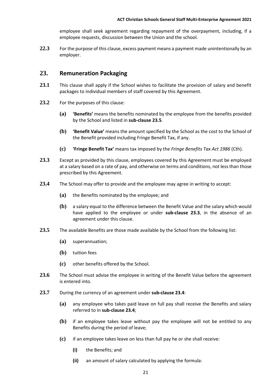employee shall seek agreement regarding repayment of the overpayment, including, if a employee requests, discussion between the Union and the school.

<span id="page-24-0"></span>**22.3** For the purpose of this clause, excess payment means a payment made unintentionally by an employer.

## **23. Remuneration Packaging**

- **23.1** This clause shall apply if the School wishes to facilitate the provision of salary and benefit packages to individual members of staff covered by this Agreement.
- **23.2** For the purposes of this clause:
	- **(a) 'Benefits'** means the benefits nominated by the employee from the benefits provided by the School and listed in **sub-clause [23.5](#page-24-1)**.
	- **(b) 'Benefit Value'** means the amount specified by the School as the cost to the School of the Benefit provided including Fringe Benefit Tax, if any.
	- **(c) 'Fringe Benefit Tax'** means tax imposed by the *Fringe Benefits Tax Act 1986* (Cth).
- <span id="page-24-2"></span>**23.3** Except as provided by this clause, employees covered by this Agreement must be employed at a salary based on a rate of pay, and otherwise on terms and conditions, not less than those prescribed by this Agreement.
- <span id="page-24-3"></span>**23.4** The School may offer to provide and the employee may agree in writing to accept:
	- **(a)** the Benefits nominated by the employee; and
	- **(b)** a salary equal to the difference between the Benefit Value and the salary which would have applied to the employee or under **sub-clause [23.3](#page-24-2)**, in the absence of an agreement under this clause.
- <span id="page-24-1"></span>**23.5** The available Benefits are those made available by the School from the following list:
	- **(a)** superannuation;
	- **(b)** tuition fees
	- **(c)** other benefits offered by the School.
- 23.6 The School must advise the employee in writing of the Benefit Value before the agreement is entered into.
- **23.7** During the currency of an agreement under **sub-clause [23.4](#page-24-3)**:
	- **(a)** any employee who takes paid leave on full pay shall receive the Benefits and salary referred to in **sub-clause [23.4](#page-24-3)**;
	- **(b)** if an employee takes leave without pay the employee will not be entitled to any Benefits during the period of leave;
	- **(c)** if an employee takes leave on less than full pay he or she shall receive:
		- **(i)** the Benefits; and
		- **(ii)** an amount of salary calculated by applying the formula: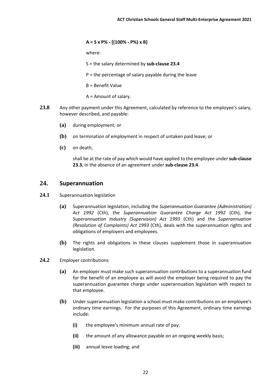**A = S x P% - [(100% - P%) x B]**

where:

S = the salary determined by **sub-clause [23.4](#page-24-3)**

 $P =$  the percentage of salary payable during the leave

B = Benefit Value

A = Amount of salary.

- 23.8 Any other payment under this Agreement, calculated by reference to the employee's salary, however described, and payable:
	- **(a)** during employment; or
	- **(b)** on termination of employment in respect of untaken paid leave; or
	- **(c)** on death,

shall be at the rate of pay which would have applied to the employee under **sub-clause [23.3](#page-24-2)**, in the absence of an agreement under **sub-claus[e 23.4](#page-24-3)**.

### <span id="page-25-0"></span>**24. Superannuation**

- 24.1 Superannuation legislation
	- **(a)** Superannuation legislation, including the *Superannuation Guarantee (Administration) Act 1992* (Cth), the *Superannuation Guarantee Charge Act 1992* (Cth), the *Superannuation Industry (Supervision) Act 1993* (Cth) and the *Superannuation (Resolution of Complaints) Act 1993* (Cth), deals with the superannuation rights and obligations of employers and employees.
	- **(b)** The rights and obligations in these clauses supplement those in superannuation legislation.
- <span id="page-25-1"></span>**24.2** Employer contributions
	- **(a)** An employer must make such superannuation contributions to a superannuation fund for the benefit of an employee as will avoid the employer being required to pay the superannuation guarantee charge under superannuation legislation with respect to that employee.
	- **(b)** Under superannuation legislation a school must make contributions on an employee's ordinary time earnings. For the purposes of this Agreement, ordinary time earnings include:
		- **(i)** the employee's minimum annual rate of pay;
		- **(ii)** the amount of any allowance payable on an ongoing weekly basis;
		- **(iii)** annual leave loading; and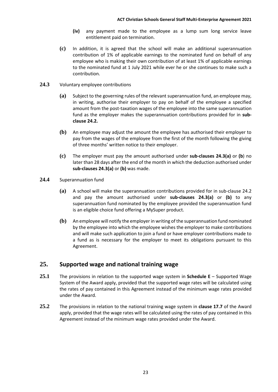- **(iv)** any payment made to the employee as a lump sum long service leave entitlement paid on termination.
- **(c)** In addition, it is agreed that the school will make an additional superannuation contribution of 1% of applicable earnings to the nominated fund on behalf of any employee who is making their own contribution of at least 1% of applicable earnings to the nominated fund at 1 July 2021 while ever he or she continues to make such a contribution.
- <span id="page-26-2"></span><span id="page-26-1"></span>**24.3** Voluntary employee contributions
	- **(a)** Subject to the governing rules of the relevant superannuation fund, an employee may, in writing, authorise their employer to pay on behalf of the employee a specified amount from the post-taxation wages of the employee into the same superannuation fund as the employer makes the superannuation contributions provided for in **subclause [24.2.](#page-25-1)**
	- **(b)** An employee may adjust the amount the employee has authorised their employer to pay from the wages of the employee from the first of the month following the giving of three months' written notice to their employer.
	- **(c)** The employer must pay the amount authorised under **sub-clauses [24.3\(a\)](#page-26-1)** or **[\(b](#page-26-2)**) no later than 28 days after the end of the month in which the deduction authorised under **sub-clauses [24.3\(a\)](#page-26-1)** or **[\(b\)](#page-26-2)** was made.
- **24.4** Superannuation fund
	- **(a)** A school will make the superannuation contributions provided for in sub-clause 24.2 and pay the amount authorised under **sub-clauses 24.3(a)** or **(b)** to any superannuation fund nominated by the employee provided the superannuation fund is an eligible choice fund offering a MySuper product.
	- **(b)** An employee will notify the employer in writing of the superannuation fund nominated by the employee into which the employee wishes the employer to make contributions and will make such application to join a fund or have employer contributions made to a fund as is necessary for the employer to meet its obligations pursuant to this Agreement.

# <span id="page-26-0"></span>**25. Supported wage and national training wage**

- **25.1** The provisions in relation to the supported wage system in **Schedule E** Supported Wage System of the Award apply, provided that the supported wage rates will be calculated using the rates of pay contained in this Agreement instead of the minimum wage rates provided under the Award.
- **25.2** The provisions in relation to the national training wage system in **clause 17.7** of the Award apply, provided that the wage rates will be calculated using the rates of pay contained in this Agreement instead of the minimum wage rates provided under the Award.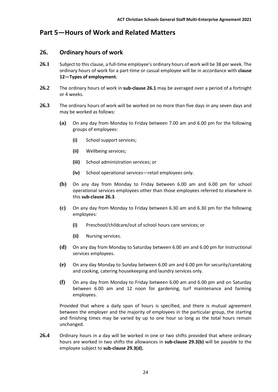# <span id="page-27-1"></span><span id="page-27-0"></span>**Part 5—Hours of Work and Related Matters**

# **26. Ordinary hours of work**

- <span id="page-27-2"></span>**26.1** Subject to this clause, a full-time employee's ordinary hours of work will be 38 per week. The ordinary hours of work for a part-time or casual employee will be in accordance with **clause [12](#page-9-3)—[Types of employment.](#page-9-3)**
- **26.2** The ordinary hours of work in **sub-claus[e 26.1](#page-27-2)** may be averaged over a period of a fortnight or 4 weeks.
- <span id="page-27-3"></span>**26.3** The ordinary hours of work will be worked on no more than five days in any seven days and may be worked as follows:
	- **(a)** On any day from Monday to Friday between 7.00 am and 6.00 pm for the following groups of employees:
		- **(i)** School support services;
		- **(ii)** Wellbeing services;
		- **(iii)** School administration services; or
		- **(iv)** School operational services—retail employees only.
	- **(b)** On any day from Monday to Friday between 6.00 am and 6.00 pm for school operational services employees other than those employees referred to elsewhere in this **sub-claus[e 26.3](#page-27-3)**.
	- **(c)** On any day from Monday to Friday between 6.30 am and 6.30 pm for the following employees:
		- **(i)** Preschool/childcare/out of school hours care services; or
		- **(ii)** Nursing services.
	- **(d)** On any day from Monday to Saturday between 6.00 am and 6.00 pm for Instructional services employees.
	- **(e)** On any day Monday to Sunday between 6.00 am and 6.00 pm for security/caretaking and cooking, catering housekeeping and laundry services only.
	- **(f)** On any day from Monday to Friday between 6.00 am and 6.00 pm and on Saturday between 6.00 am and 12 noon for gardening, turf maintenance and farming employees.

Provided that where a daily span of hours is specified, and there is mutual agreement between the employer and the majority of employees in the particular group, the starting and finishing times may be varied by up to one hour so long as the total hours remain unchanged.

**26.4** Ordinary hours in a day will be worked in one or two shifts provided that where ordinary hours are worked in two shifts the allowances in **sub-clause 29.3(b)** will be payable to the employee subject to **sub-clause 29.3(d).**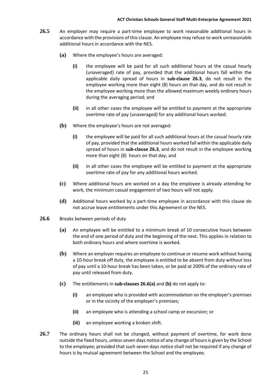- <span id="page-28-2"></span>**26.5** An employer may require a part-time employee to work reasonable additional hours in accordance with the provisions of this clause. An employee may refuse to work unreasonable additional hours in accordance with the NES.
	- **(a)** Where the employee's hours are averaged:
		- **(i)** the employee will be paid for all such additional hours at the casual hourly (unaveraged) rate of pay, provided that the additional hours fall within the applicable daily spread of hours in **sub-clause [26.3](#page-27-3)**, do not result in the employee working more than eight (8) hours on that day, and do not result in the employee working more than the allowed maximum weekly ordinary hours during the averaging period; and
		- **(ii)** in all other cases the employee will be entitled to payment at the appropriate overtime rate of pay (unaveraged) for any additional hours worked.
	- **(b)** Where the employee's hours are not averaged:
		- **(i)** the employee will be paid for all such additional hours at the casual hourly rate of pay, provided that the additional hours worked fall within the applicable daily spread of hours in **sub-clause [26.3](#page-27-3)**, and do not result in the employee working more than eight (8) hours on that day; and
		- **(ii)** in all other cases the employee will be entitled to payment at the appropriate overtime rate of pay for any additional hours worked.
	- **(c)** Where additional hours are worked on a day the employee is already attending for work, the minimum casual engagement of two hours will not apply.
	- **(d)** Additional hours worked by a part-time employee in accordance with this clause do not accrue leave entitlements under this Agreement or the NES.
- <span id="page-28-1"></span><span id="page-28-0"></span>**26.6** Breaks between periods of duty
	- **(a)** An employee will be entitled to a minimum break of 10 consecutive hours between the end of one period of duty and the beginning of the next. This applies in relation to both ordinary hours and where overtime is worked.
	- **(b)** Where an employer requires an employee to continue or resume work without having a 10-hour break off duty, the employee is entitled to be absent from duty without loss of pay until a 10-hour break has been taken, or be paid at 200% of the ordinary rate of pay until released from duty.
	- **(c)** The entitlements in **sub-clauses [26.6\(a\)](#page-28-0)** and **[\(b\)](#page-28-1)** do not apply to:
		- **(i)** an employee who is provided with accommodation on the employer's premises or in the vicinity of the employer's premises;
		- **(ii)** an employee who is attending a school camp or excursion; or
		- **(iii)** an employee working a broken shift.
- **26.7** The ordinary hours shall not be changed, without payment of overtime, for work done outside the fixed hours, unless seven days notice of any change of hours is given by the School to the employee; provided that such seven days notice shall not be required if any change of hours is by mutual agreement between the School and the employee.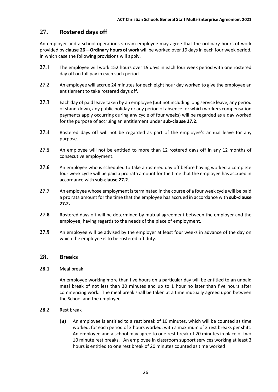# <span id="page-29-0"></span>**27. Rostered days off**

An employer and a school operations stream employee may agree that the ordinary hours of work provided by **clause [26](#page-27-1)—[Ordinary hours of work](#page-27-1)** will be worked over 19 days in each four week period, in which case the following provisions will apply.

- **27.1** The employee will work 152 hours over 19 days in each four week period with one rostered day off on full pay in each such period.
- <span id="page-29-2"></span>**27.2** An employee will accrue 24 minutes for each eight hour day worked to give the employee an entitlement to take rostered days off.
- **27.3** Each day of paid leave taken by an employee (but not including long service leave, any period of stand-down, any public holiday or any period of absence for which workers compensation payments apply occurring during any cycle of four weeks) will be regarded as a day worked for the purpose of accruing an entitlement under **sub-clause [27.2](#page-29-2)**.
- **27.4** Rostered days off will not be regarded as part of the employee's annual leave for any purpose.
- **27.5** An employee will not be entitled to more than 12 rostered days off in any 12 months of consecutive employment.
- 27.6 An employee who is scheduled to take a rostered day off before having worked a complete four week cycle will be paid a pro rata amount for the time that the employee has accrued in accordance with **sub-clause [27.2](#page-29-2)**.
- **27.7** An employee whose employment is terminated in the course of a four week cycle will be paid a pro rata amount for the time that the employee has accrued in accordance with **sub-clause [27.2.](#page-29-2)**
- **27.8** Rostered days off will be determined by mutual agreement between the employer and the employee, having regards to the needs of the place of employment.
- **27.9** An employee will be advised by the employer at least four weeks in advance of the day on which the employee is to be rostered off duty.

# <span id="page-29-1"></span>**28. Breaks**

#### **28.1** Meal break

An employee working more than five hours on a particular day will be entitled to an unpaid meal break of not less than 30 minutes and up to 1 hour no later than five hours after commencing work. The meal break shall be taken at a time mutually agreed upon between the School and the employee.

- **28.2** Rest break
	- **(a)** An employee is entitled to a rest break of 10 minutes, which will be counted as time worked, for each period of 3 hours worked, with a maximum of 2 rest breaks per shift. An employee and a school may agree to one rest break of 20 minutes in place of two 10 minute rest breaks. An employee in classroom support services working at least 3 hours is entitled to one rest break of 20 minutes counted as time worked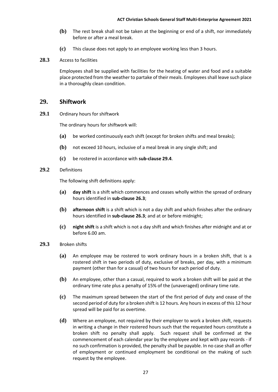- **(b)** The rest break shall not be taken at the beginning or end of a shift, nor immediately before or after a meal break.
- **(c)** This clause does not apply to an employee working less than 3 hours.
- **28.3** Access to facilities

Employees shall be supplied with facilities for the heating of water and food and a suitable place protected from the weather to partake of their meals. Employees shall leave such place in a thoroughly clean condition.

#### <span id="page-30-0"></span>**29. Shiftwork**

**29.1** Ordinary hours for shiftwork

The ordinary hours for shiftwork will:

- **(a)** be worked continuously each shift (except for broken shifts and meal breaks);
- **(b)** not exceed 10 hours, inclusive of a meal break in any single shift; and
- **(c)** be rostered in accordance with **sub-clause [29.4](#page-31-1)**.
- **29.2** Definitions

The following shift definitions apply:

- **(a) day shift** is a shift which commences and ceases wholly within the spread of ordinary hours identified in **sub-claus[e 26.3](#page-27-3)**;
- **(b) afternoon shift** is a shift which is not a day shift and which finishes after the ordinary hours identified in **sub-claus[e 26.3](#page-27-3)**; and at or before midnight;
- **(c) night shift** is a shift which is not a day shift and which finishes after midnight and at or before 6.00 am.

#### **29.3** Broken shifts

- **(a)** An employee may be rostered to work ordinary hours in a broken shift, that is a rostered shift in two periods of duty, exclusive of breaks, per day, with a minimum payment (other than for a casual) of two hours for each period of duty.
- **(b)** An employee, other than a casual, required to work a broken shift will be paid at the ordinary time rate plus a penalty of 15% of the (unaveraged) ordinary time rate.
- **(c)** The maximum spread between the start of the first period of duty and cease of the second period of duty for a broken shift is 12 hours. Any hours in excess of this 12 hour spread will be paid for as overtime.
- **(d)** Where an employee, not required by their employer to work a broken shift, requests in writing a change in their rostered hours such that the requested hours constitute a broken shift no penalty shall apply. Such request shall be confirmed at the commencement of each calendar year by the employee and kept with pay records - if no such confirmation is provided, the penalty shall be payable. In no case shall an offer of employment or continued employment be conditional on the making of such request by the employee.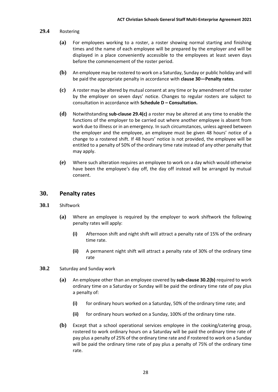#### <span id="page-31-1"></span>**29.4** Rostering

- **(a)** For employees working to a roster, a roster showing normal starting and finishing times and the name of each employee will be prepared by the employer and will be displayed in a place conveniently accessible to the employees at least seven days before the commencement of the roster period.
- **(b)** An employee may be rostered to work on a Saturday, Sunday or public holiday and will be paid the appropriate penalty in accordance with **clause [30](#page-31-0)—[Penalty rates](#page-31-0)**.
- <span id="page-31-2"></span>**(c)** A roster may be altered by mutual consent at any time or by amendment of the roster by the employer on seven days' notice. Changes to regular rosters are subject to consultation in accordance with **Schedule D – Consultation.**
- **(d)** Notwithstanding **sub-clause [29.4\(c\)](#page-31-2)** a roster may be altered at any time to enable the functions of the employer to be carried out where another employee is absent from work due to illness or in an emergency. In such circumstances, unless agreed between the employer and the employee, an employee must be given 48 hours' notice of a change to a rostered shift. If 48 hours' notice is not provided, the employee will be entitled to a penalty of 50% of the ordinary time rate instead of any other penalty that may apply.
- **(e)** Where such alteration requires an employee to work on a day which would otherwise have been the employee's day off, the day off instead will be arranged by mutual consent.

## <span id="page-31-0"></span>**30. Penalty rates**

- **30.1** Shiftwork
	- **(a)** Where an employee is required by the employer to work shiftwork the following penalty rates will apply:
		- **(i)** Afternoon shift and night shift will attract a penalty rate of 15% of the ordinary time rate.
		- **(ii)** A permanent night shift will attract a penalty rate of 30% of the ordinary time rate
- <span id="page-31-3"></span>**30.2** Saturday and Sunday work
	- **(a)** An employee other than an employee covered by **sub-claus[e 30.2\(b\)](#page-31-3)** required to work ordinary time on a Saturday or Sunday will be paid the ordinary time rate of pay plus a penalty of:
		- **(i)** for ordinary hours worked on a Saturday, 50% of the ordinary time rate; and
		- **(ii)** for ordinary hours worked on a Sunday, 100% of the ordinary time rate.
	- **(b)** Except that a school operational services employee in the cooking/catering group, rostered to work ordinary hours on a Saturday will be paid the ordinary time rate of pay plus a penalty of 25% of the ordinary time rate and if rostered to work on a Sunday will be paid the ordinary time rate of pay plus a penalty of 75% of the ordinary time rate.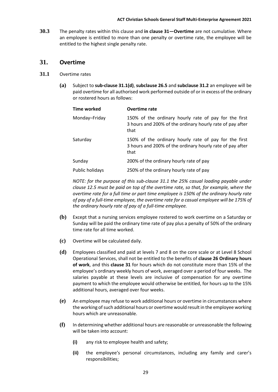**30.3** The penalty rates within this clause and **in clause [31](#page-32-0)—[Overtime](#page-32-0)** are not cumulative. Where an employee is entitled to more than one penalty or overtime rate, the employee will be entitled to the highest single penalty rate.

# <span id="page-32-0"></span>**31. Overtime**

- **31.1** Overtime rates
	- **(a)** Subject to **sub-clause [31.1\(d\)](#page-32-1)**, **subclaus[e 26.5](#page-28-2)** and **subclause [31.2](#page-33-0)** an employee will be paid overtime for all authorised work performed outside of or in excess of the ordinary or rostered hours as follows:

| <b>Time worked</b> | <b>Overtime rate</b>                                                                                                       |
|--------------------|----------------------------------------------------------------------------------------------------------------------------|
| Monday-Friday      | 150% of the ordinary hourly rate of pay for the first<br>3 hours and 200% of the ordinary hourly rate of pay after<br>that |
| Saturday           | 150% of the ordinary hourly rate of pay for the first<br>3 hours and 200% of the ordinary hourly rate of pay after<br>that |
| Sunday             | 200% of the ordinary hourly rate of pay                                                                                    |
| Public holidays    | 250% of the ordinary hourly rate of pay                                                                                    |

*NOTE: for the purpose of this sub-clause 31.1 the 25% casual loading payable under clause 12.5 must be paid on top of the overtime rate, so that, for example, where the overtime rate for a full time or part time employee is 150% of the ordinary hourly rate of pay of a full-time employee, the overtime rate for a casual employee will be 175% of the ordinary hourly rate of pay of a full-time employee.*

- **(b)** Except that a nursing services employee rostered to work overtime on a Saturday or Sunday will be paid the ordinary time rate of pay plus a penalty of 50% of the ordinary time rate for all time worked.
- **(c)** Overtime will be calculated daily.
- <span id="page-32-1"></span>**(d)** Employees classified and paid at levels 7 and 8 on the core scale or at Level 8 School Operational Services, shall not be entitled to the benefits of **clause 26 [Ordinary hours](#page-27-1)  [of work](#page-27-1)**, and this **clause [31](#page-32-0)** for hours which do not constitute more than 15% of the employee's ordinary weekly hours of work, averaged over a period of four weeks. The salaries payable at these levels are inclusive of compensation for any overtime payment to which the employee would otherwise be entitled, for hours up to the 15% additional hours, averaged over four weeks.
- **(e)** An employee may refuse to work additional hours or overtime in circumstances where the working of such additional hours or overtime would result in the employee working hours which are unreasonable.
- **(f)** In determining whether additional hours are reasonable or unreasonable the following will be taken into account:
	- **(i)** any risk to employee health and safety;
	- **(ii)** the employee's personal circumstances, including any family and carer's responsibilities;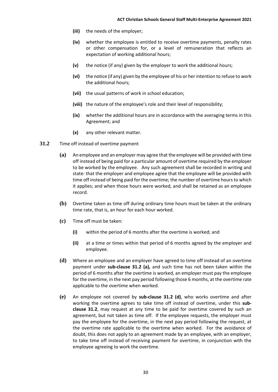- **(iii)** the needs of the employer;
- **(iv)** whether the employee is entitled to receive overtime payments, penalty rates or other compensation for, or a level of remuneration that reflects an expectation of working additional hours;
- **(v)** the notice (if any) given by the employer to work the additional hours;
- **(vi)** the notice (if any) given by the employee of his or her intention to refuse to work the additional hours;
- **(vii)** the usual patterns of work in school education;
- **(viii)** the nature of the employee's role and their level of responsibility;
- **(ix)** whether the additional hours are in accordance with the averaging terms in this Agreement; and
- **(x)** any other relevant matter.
- <span id="page-33-0"></span>**31.2** Time off instead of overtime payment
	- **(a)** An employee and an employer may agree that the employee will be provided with time off instead of being paid for a particular amount of overtime required by the employer to be worked by the employee. Any such agreement shall be recorded in writing and state: that the employer and employee agree that the employee will be provided with time off instead of being paid for the overtime; the number of overtime hours to which it applies; and when those hours were worked, and shall be retained as an employee record.
	- **(b)** Overtime taken as time off during ordinary time hours must be taken at the ordinary time rate, that is, an hour for each hour worked.
	- **(c)** Time off must be taken:
		- **(i)** within the period of 6 months after the overtime is worked; and
		- **(ii)** at a time or times within that period of 6 months agreed by the employer and employee.
	- **(d)** Where an employee and an employer have agreed to time off instead of an overtime payment under **sub-clause 31.2 (a),** and such time has not been taken within the period of 6 months after the overtime is worked, an employer must pay the employee for the overtime, in the next pay period following those 6 months, at the overtime rate applicable to the overtime when worked.
	- **(e)** An employee not covered by **sub-clause 31.2 (d)**, who works overtime and after working the overtime agrees to take time off instead of overtime, under this **subclause 31.2**, may request at any time to be paid for overtime covered by such an agreement, but not taken as time off. If the employee requests, the employer must pay the employee for the overtime, in the next pay period following the request, at the overtime rate applicable to the overtime when worked. For the avoidance of doubt, this does not apply to an agreement made by an employee, with an employer, to take time off instead of receiving payment for overtime, in conjunction with the employee agreeing to work the overtime.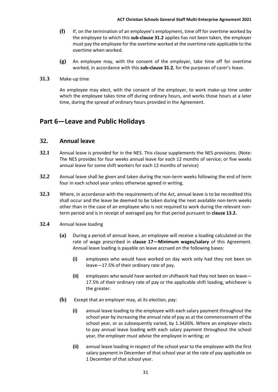- **(f)** If, on the termination of an employee's employment, time off for overtime worked by the employee to which this **sub-clause 31.2** applies has not been taken, the employer must pay the employee for the overtime worked at the overtime rate applicable to the overtime when worked.
- **(g)** An employee may, with the consent of the employer, take time off for overtime worked, in accordance with this **sub-clause 31.2**, for the purposes of carer's leave.
- **31.3** Make-up time

An employee may elect, with the consent of the employer, to work make-up time under which the employee takes time off during ordinary hours, and works those hours at a later time, during the spread of ordinary hours provided in the Agreement.

# <span id="page-34-1"></span><span id="page-34-0"></span>**Part 6—Leave and Public Holidays**

# **32. Annual leave**

- **32.1** Annual leave is provided for in the NES. This clause supplements the NES provisions. (Note: The NES provides for four weeks annual leave for each 12 months of service; or five weeks annual leave for some shift workers for each 12 months of service)
- **32.2** Annual leave shall be given and taken during the non-term weeks following the end of term four in each school year unless otherwise agreed in writing.
- **32.3** Where, in accordance with the requirements of the Act, annual leave is to be recredited this shall occur and the leave be deemed to be taken during the next available non-term weeks other than in the case of an employee who is not required to work during the relevant nonterm period and is in receipt of averaged pay for that period pursuant to **clause 13.2.**
- <span id="page-34-2"></span>**32.4** Annual leave loading
	- **(a)** During a period of annual leave, an employee will receive a loading calculated on the rate of wage prescribed in **clause [17](#page-19-0)—[Minimum wages/](#page-19-0)salary** of this Agreement. Annual leave loading is payable on leave accrued on the following bases:
		- **(i)** employees who would have worked on day work only had they not been on leave—17.5% of their ordinary rate of pay.
		- **(ii)** employees who would have worked on shiftwork had they not been on leave— 17.5% of their ordinary rate of pay or the applicable shift loading, whichever is the greater.
	- **(b)** Except that an employer may, at its election, pay:
		- **(i)** annual leave loading to the employee with each salary payment throughout the school year by increasing the annual rate of pay as at the commencement of the school year, or as subsequently varied, by 1.3426%. Where an employer elects to pay annual leave loading with each salary payment throughout the school year, the employer must advise the employee in writing; or
		- **(ii)** annual leave loading in respect of the school year to the employee with the first salary payment in December of that school year at the rate of pay applicable on 1 December of that school year.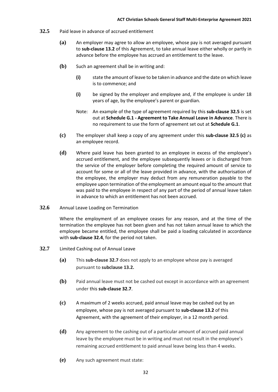- **32.5** Paid leave in advance of accrued entitlement
	- **(a)** An employer may agree to allow an employee, whose pay is not averaged pursuant to **sub-clause 13.2** of this Agreement, to take annual leave either wholly or partly in advance before the employee has accrued an entitlement to the leave.
	- **(b)** Such an agreement shall be in writing and:
		- **(i)** state the amount of leave to be taken in advance and the date on which leave is to commence; and
		- **(i)** be signed by the employer and employee and, if the employee is under 18 years of age, by the employee's parent or guardian.
		- Note: An example of the type of agreement required by this **sub-claus[e 32.5](http://awardviewer.fwo.gov.au/award/show/MA000076#P815_70094)** is set out at **[Schedule](http://awardviewer.fwo.gov.au/award/show/MA000076#P2189_171103) G.1 - Agreement to Take Annual Leave in Advance**. There is no requirement to use the form of agreement set out at **[Schedule](http://awardviewer.fwo.gov.au/award/show/MA000076#P2189_171103) G.1**.
	- **(c)** The employer shall keep a copy of any agreement under this **sub-clause 32.5 (c)** as an employee record.
	- **(d)** Where paid leave has been granted to an employee in excess of the employee's accrued entitlement, and the employee subsequently leaves or is discharged from the service of the employer before completing the required amount of service to account for some or all of the leave provided in advance, with the authorisation of the employee, the employer may deduct from any remuneration payable to the employee upon termination of the employment an amount equal to the amount that was paid to the employee in respect of any part of the period of annual leave taken in advance to which an entitlement has not been accrued.
- **32.6** Annual Leave Loading on Termination

Where the employment of an employee ceases for any reason, and at the time of the termination the employee has not been given and has not taken annual leave to which the employee became entitled, the employee shall be paid a loading calculated in accordance with **sub-claus[e 32.4](#page-34-2)**, for the period not taken.

- **32.7** Limited Cashing out of Annual Leave
	- **(a)** This **sub-clause 32.7** does not apply to an employee whose pay is averaged pursuant to **subclause 13.2.**
	- **(b)** Paid annual leave must not be cashed out except in accordance with an agreement under this **sub-clause 32.7**.
	- **(c)** A maximum of 2 weeks accrued, paid annual leave may be cashed out by an employee, whose pay is not averaged pursuant to **sub-clause 13.2** of this Agreement, with the agreement of their employer, in a 12 month period.
	- **(d)** Any agreement to the cashing out of a particular amount of accrued paid annual leave by the employee must be in writing and must not result in the employee's remaining accrued entitlement to paid annual leave being less than 4 weeks.
	- **(e)** Any such agreement must state: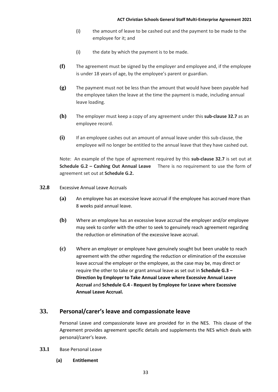- (i) the amount of leave to be cashed out and the payment to be made to the employee for it; and
- (i) the date by which the payment is to be made.
- **(f)** The agreement must be signed by the employer and employee and, if the employee is under 18 years of age, by the employee's parent or guardian.
- **(g)** The payment must not be less than the amount that would have been payable had the employee taken the leave at the time the payment is made, including annual leave loading.
- **(h)** The employer must keep a copy of any agreement under this **sub-clause 32.7** as an employee record.
- **(i)** If an employee cashes out an amount of annual leave under this sub-clause, the employee will no longer be entitled to the annual leave that they have cashed out.

Note: An example of the type of agreement required by this **sub-clause 32.7** is set out at **Schedule G.2 – Cashing Out Annual Leave** There is no requirement to use the form of agreement set out at **Schedule G.2.**

- **32.8** Excessive Annual Leave Accruals
	- **(a)** An employee has an excessive leave accrual if the employee has accrued more than 8 weeks paid annual leave.
	- **(b)** Where an employee has an excessive leave accrual the employer and/or employee may seek to confer with the other to seek to genuinely reach agreement regarding the reduction or elimination of the excessive leave accrual.
	- **(c)** Where an employer or employee have genuinely sought but been unable to reach agreement with the other regarding the reduction or elimination of the excessive leave accrual the employer or the employee, as the case may be, may direct or require the other to take or grant annual leave as set out in **Schedule G.3 – Direction by Employer to Take Annual Leave where Excessive Annual Leave Accrual** and **Schedule G.4 - Request by Employee for Leave where Excessive Annual Leave Accrual.**

# **33. Personal/carer's leave and compassionate leave**

Personal Leave and compassionate leave are provided for in the NES. This clause of the Agreement provides agreement specific details and supplements the NES which deals with personal/carer's leave.

- **33.1** Base Personal Leave
	- **(a) Entitlement**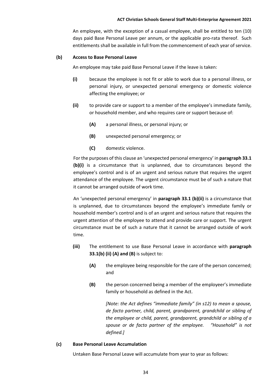#### **ACT Christian Schools General Staff Multi-Enterprise Agreement 2021**

An employee, with the exception of a casual employee, shall be entitled to ten (10) days paid Base Personal Leave per annum, or the applicable pro-rata thereof. Such entitlements shall be available in full from the commencement of each year of service.

## **(b) Access to Base Personal Leave**

An employee may take paid Base Personal Leave if the leave is taken:

- **(i)** because the employee is not fit or able to work due to a personal illness, or personal injury, or unexpected personal emergency or domestic violence affecting the employee; or
- **(ii)** to provide care or support to a member of the employee's immediate family, or household member, and who requires care or support because of:
	- **(A)** a personal illness, or personal injury; or
	- **(B)** unexpected personal emergency; or
	- **(C)** domestic violence.

For the purposes of this clause an 'unexpected personal emergency' in **paragraph 33.1 (b)(i)** is a circumstance that is unplanned, due to circumstances beyond the employee's control and is of an urgent and serious nature that requires the urgent attendance of the employee. The urgent circumstance must be of such a nature that it cannot be arranged outside of work time.

An 'unexpected personal emergency' in **paragraph 33.1 (b)(ii)** is a circumstance that is unplanned, due to circumstances beyond the employee's immediate family or household member's control and is of an urgent and serious nature that requires the urgent attention of the employee to attend and provide care or support. The urgent circumstance must be of such a nature that it cannot be arranged outside of work time.

- **(iii)** The entitlement to use Base Personal Leave in accordance with **paragraph 33.1(b) (ii) (A) and (B)** is subject to:
	- **(A)** the employee being responsible for the care of the person concerned; and
	- **(B)** the person concerned being a member of the employeer's immediate family or household as defined in the Act.

*[Note: the Act defines "immediate family" (in s12) to mean a spouse, de facto partner, child, parent, grandparent, grandchild or sibling of the employee or child, parent, grandparent, grandchild or sibling of a spouse or de facto partner of the employee. "Household" is not defined.]*

# **(c) Base Personal Leave Accumulation**

Untaken Base Personal Leave will accumulate from year to year as follows: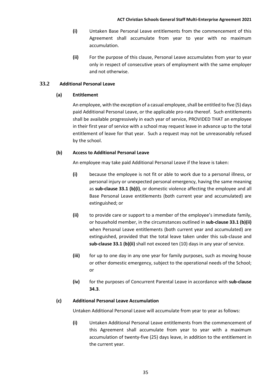- **(i)** Untaken Base Personal Leave entitlements from the commencement of this Agreement shall accumulate from year to year with no maximum accumulation.
- **(ii)** For the purpose of this clause, Personal Leave accumulates from year to year only in respect of consecutive years of employment with the same employer and not otherwise.

# **33.2 Additional Personal Leave**

# **(a) Entitlement**

An employee, with the exception of a casual employee, shall be entitled to five (5) days paid Additional Personal Leave, or the applicable pro-rata thereof. Such entitlements shall be available progressively in each year of service, PROVIDED THAT an employee in their first year of service with a school may request leave in advance up to the total entitlement of leave for that year. Such a request may not be unreasonably refused by the school.

# **(b) Access to Additional Personal Leave**

An employee may take paid Additional Personal Leave if the leave is taken:

- **(i)** because the employee is not fit or able to work due to a personal illness, or personal injury or unexpected personal emergency, having the same meaning as **sub-clause 33.1 (b)(i)**, or domestic violence affecting the employee and all Base Personal Leave entitlements (both current year and accumulated) are extinguished; or
- **(ii)** to provide care or support to a member of the employee's immediate family, or household member, in the circumstances outlined in **sub-clause 33.1 (b)(ii)** when Personal Leave entitlements (both current year and accumulated) are extinguished, provided that the total leave taken under this sub-clause and **sub-clause 33.1 (b)(ii)** shall not exceed ten (10) days in any year of service.
- **(iii)** for up to one day in any one year for family purposes, such as moving house or other domestic emergency, subject to the operational needs of the School; or
- **(iv)** for the purposes of Concurrent Parental Leave in accordance with **sub-clause 34.3**.

# **(c) Additional Personal Leave Accumulation**

Untaken Additional Personal Leave will accumulate from year to year as follows:

**(i)** Untaken Additional Personal Leave entitlements from the commencement of this Agreement shall accumulate from year to year with a maximum accumulation of twenty-five (25) days leave, in addition to the entitlement in the current year.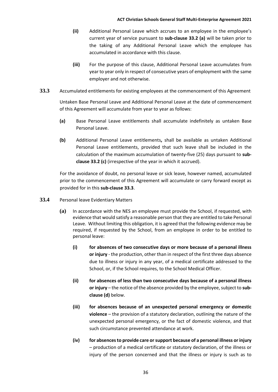#### **ACT Christian Schools General Staff Multi-Enterprise Agreement 2021**

- **(ii)** Additional Personal Leave which accrues to an employee in the employee's current year of service pursuant to **sub-clause 33.2 (a)** will be taken prior to the taking of any Additional Personal Leave which the employee has accumulated in accordance with this clause.
- **(iii)** For the purpose of this clause, Additional Personal Leave accumulates from year to year only in respect of consecutive years of employment with the same employer and not otherwise.
- **33.3** Accumulated entitlements for existing employees at the commencement of this Agreement

Untaken Base Personal Leave and Additional Personal Leave at the date of commencement of this Agreement will accumulate from year to year as follows:

- **(a)** Base Personal Leave entitlements shall accumulate indefinitely as untaken Base Personal Leave.
- **(b)** Additional Personal Leave entitlements**,** shall be available as untaken Additional Personal Leave entitlements, provided that such leave shall be included in the calculation of the maximum accumulation of twenty-five (25) days pursuant to **subclause 33.2 (c)** (irrespective of the year in which it accrued).

For the avoidance of doubt, no personal leave or sick leave, however named, accumulated prior to the commencement of this Agreement will accumulate or carry forward except as provided for in this **sub-clause 33.3**.

- **33.4** Personal leave Evidentiary Matters
	- **(a)** In accordance with the NES an employee must provide the School, if requested, with evidence that would satisfy a reasonable person that they are entitled to take Personal Leave. Without limiting this obligation, it is agreed that the following evidence may be required, if requested by the School, from an employee in order to be entitled to personal leave:
		- **(i) for absences of two consecutive days or more because of a personal illness or injury** - the production, other than in respect of the first three days absence due to illness or injury in any year, of a medical certificate addressed to the School, or, if the School requires, to the School Medical Officer.
		- **(ii) for absences of less than two consecutive days because of a personal illness or injury** – the notice of the absence provided by the employee, subject to **subclause (d)** below.
		- **(iii) for absences because of an unexpected personal emergency or domestic violence** – the provision of a statutory declaration, outlining the nature of the unexpected personal emergency, or the fact of domestic violence, and that such circumstance prevented attendance at work.
		- **(iv) for absences to provide care or support because of a personal illness or injury**  – production of a medical certificate or statutory declaration, of the illness or injury of the person concerned and that the illness or injury is such as to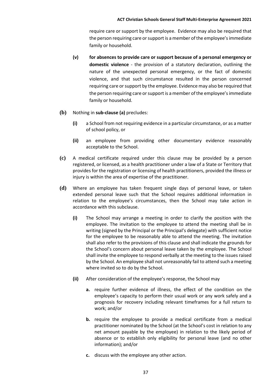require care or support by the employee. Evidence may also be required that the person requiring care or support is a member of the employee's immediate family or household.

- **(v) for absences to provide care or support because of a personal emergency or domestic violence** - the provision of a statutory declaration, outlining the nature of the unexpected personal emergency, or the fact of domestic violence, and that such circumstance resulted in the person concerned requiring care or support by the employee. Evidence may also be required that the person requiring care or support is a member of the employee's immediate family or household.
- **(b)** Nothing in **sub-clause (a)** precludes:
	- **(i)** a School from not requiring evidence in a particular circumstance, or as a matter of school policy, or
	- **(ii)** an employee from providing other documentary evidence reasonably acceptable to the School.
- **(c)** A medical certificate required under this clause may be provided by a person registered, or licensed, as a health practitioner under a law of a State or Territory that provides for the registration or licensing of health practitioners, provided the illness or injury is within the area of expertise of the practitioner.
- **(d)** Where an employee has taken frequent single days of personal leave, or taken extended personal leave such that the School requires additional information in relation to the employee's circumstances, then the School may take action in accordance with this subclause.
	- **(i)** The School may arrange a meeting in order to clarify the position with the employee. The invitation to the employee to attend the meeting shall be in writing (signed by the Principal or the Principal's delegate) with sufficient notice for the employee to be reasonably able to attend the meeting. The invitation shall also refer to the provisions of this clause and shall indicate the grounds for the School's concern about personal leave taken by the employee. The School shall invite the employee to respond verbally at the meeting to the issues raised by the School. An employee shall not unreasonably fail to attend such a meeting where invited so to do by the School.
	- **(ii)** After consideration of the employee's response, the School may
		- **a.** require further evidence of illness, the effect of the condition on the employee's capacity to perform their usual work or any work safely and a prognosis for recovery including relevant timeframes for a full return to work; and/or
		- **b.** require the employee to provide a medical certificate from a medical practitioner nominated by the School (at the School's cost in relation to any net amount payable by the employee) in relation to the likely period of absence or to establish only eligibility for personal leave (and no other information); and/or
		- **c.** discuss with the employee any other action.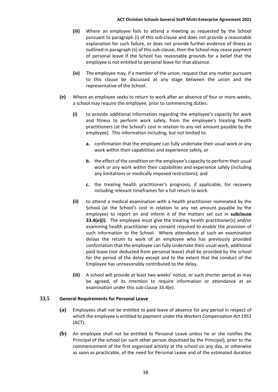#### **ACT Christian Schools General Staff Multi-Enterprise Agreement 2021**

- **(iii)** Where an employee fails to attend a meeting as requested by the School pursuant to paragraph (i) of this sub-clause and does not provide a reasonable explanation for such failure, or does not provide further evidence of illness as outlined in paragraph (ii) of this sub-clause, then the School may cease payment of personal leave if the School has reasonable grounds for a belief that the employee is not entitled to personal leave for that absence.
- **(iv)** The employee may, if a member of the union, request that any matter pursuant to this clause be discussed at any stage between the union and the representative of the School.
- **(e)** Where an employee seeks to return to work after an absence of four or more weeks, a school may require the employee, prior to commencing duties:
	- **(i)** to provide additional information regarding the employee's capacity for work and fitness to perform work safely, from the employee's treating health practitioners (at the School's cost in relation to any net amount payable by the employee). This information including, but not limited to:
		- **a.** confirmation that the employee can fully undertake their usual work or any work within their capabilities and experience safely, or
		- **b.** the effect of the condition on the employee's capacity to perform their usual work or any work within their capabilities and experience safely (including any limitations or medically imposed restrictions); and
		- **c.** the treating health practitioner's prognosis, if applicable, for recovery including relevant timeframes for a full return to work.
	- **(ii)** to attend a medical examination with a health practitioner nominated by the School (at the School's cost in relation to any net amount payable by the employee) to report on and inform it of the matters set out in **subclause 33.4(e)(i)**. The employee must give the treating health practitioner(s) and/or examining health practitioner any consent required to enable the provision of such information to the School. Where attendance at such an examination delays the return to work of an employee who has previously provided confirmation that the employee can fully undertake their usual work, additional paid leave (not deducted from personal leave) shall be provided by the school for the period of the delay except and to the extent that the conduct of the Employee has unreasonably contributed to the delay.
	- **(iii)** A school will provide at least two weeks' notice, or such shorter period as may be agreed, of its intention to require information or attendance at an examination under this sub-clause 33.4(e).

# **33.5 General Requirements for Personal Leave**

- **(a)** Employees shall not be entitled to paid leave of absence for any period in respect of which the employee is entitled to payment under the *Workers Compensation Act 1951*  (ACT).
- **(b)** An employee shall not be entitled to Personal Leave unless he or she notifies the Principal of the school (or such other person deputised by the Principal), prior to the commencement of the first organised activity at the school on any day, or otherwise as soon as practicable, of the need for Personal Leave and of the estimated duration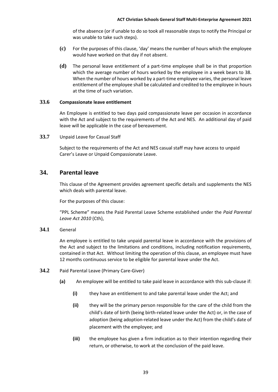of the absence (or if unable to do so took all reasonable steps to notify the Principal or was unable to take such steps).

- **(c)** For the purposes of this clause, 'day' means the number of hours which the employee would have worked on that day if not absent.
- **(d)** The personal leave entitlement of a part-time employee shall be in that proportion which the average number of hours worked by the employee in a week bears to 38. When the number of hours worked by a part-time employee varies, the personal leave entitlement of the employee shall be calculated and credited to the employee in hours at the time of such variation.

# **33.6 Compassionate leave entitlement**

An Employee is entitled to two days paid compassionate leave per occasion in accordance with the Act and subject to the requirements of the Act and NES. An additional day of paid leave will be applicable in the case of bereavement.

**33.7** Unpaid Leave for Casual Staff

Subject to the requirements of the Act and NES casual staff may have access to unpaid Carer's Leave or Unpaid Compassionate Leave.

# **34. Parental leave**

This clause of the Agreement provides agreement specific details and supplements the NES which deals with parental leave.

For the purposes of this clause:

"PPL Scheme" means the Paid Parental Leave Scheme established under the *Paid Parental Leave Act 2010* (Cth),

**34.1** General

An employee is entitled to take unpaid parental leave in accordance with the provisions of the Act and subject to the limitations and conditions, including notification requirements, contained in that Act. Without limiting the operation of this clause, an employee must have 12 months continuous service to be eligible for parental leave under the Act.

- **34.2** Paid Parental Leave (Primary Care-Giver)
	- **(a)** An employee will be entitled to take paid leave in accordance with this sub-clause if:
		- **(i)** they have an entitlement to and take parental leave under the Act; and
		- **(ii)** they will be the primary person responsible for the care of the child from the child's date of birth (being birth-related leave under the Act) or, in the case of adoption (being adoption-related leave under the Act) from the child's date of placement with the employee; and
		- **(iii)** the employee has given a firm indication as to their intention regarding their return, or otherwise, to work at the conclusion of the paid leave.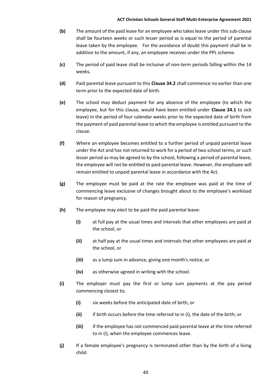- **(b)** The amount of the paid leave for an employee who takes leave under this sub-clause shall be fourteen weeks or such lesser period as is equal to the period of parental leave taken by the employee. For the avoidance of doubt this payment shall be in addition to the amount, if any, an employee receives under the PPL scheme.
- **(c)** The period of paid leave shall be inclusive of non-term periods falling within the 14 weeks.
- **(d)** Paid parental leave pursuant to this **Clause 34.2** shall commence no earlier than one term prior to the expected date of birth.
- **(e)** The school may deduct payment for any absence of the employee (to which the employee, but for this clause, would have been entitled under **Clause 24.1** to sick leave) in the period of four calendar weeks prior to the expected date of birth from the payment of paid parental leave to which the employee is entitled pursuant to the clause.
- **(f)** Where an employee becomes entitled to a further period of unpaid parental leave under the Act and has not returned to work for a period of two school terms, or such lesser period as may be agreed to by the school, following a period of parental leave, the employee will not be entitled to paid parental leave. However, the employee will remain entitled to unpaid parental leave in accordance with the Act.
- **(g)** The employee must be paid at the rate the employee was paid at the time of commencing leave exclusive of changes brought about to the employee's workload for reason of pregnancy.
- **(h)** The employee may elect to be paid the paid parental leave:
	- **(i)** at full pay at the usual times and intervals that other employees are paid at the school, or
	- **(ii)** at half pay at the usual times and intervals that other employees are paid at the school, or
	- **(iii)** as a lump sum in advance, giving one month's notice, or
	- **(iv)** as otherwise agreed in writing with the school.
- **(i)** The employer must pay the first or lump sum payments at the pay period commencing closest to;
	- **(i)** six weeks before the anticipated date of birth, or
	- **(ii)** if birth occurs before the time referred to in (i), the date of the birth; or
	- **(iii)** if the employee has not commenced paid parental leave at the time referred to in (i), when the employee commences leave.
- **(j)** If a female employee's pregnancy is terminated other than by the birth of a living child: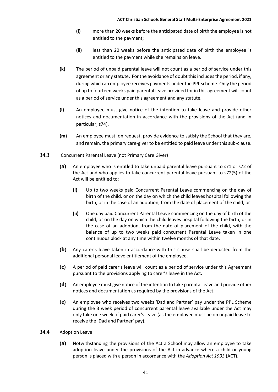- **(i)** more than 20 weeks before the anticipated date of birth the employee is not entitled to the payment;
- **(ii)** less than 20 weeks before the anticipated date of birth the employee is entitled to the payment while she remains on leave.
- **(k)** The period of unpaid parental leave will not count as a period of service under this agreement or any statute. For the avoidance of doubt this includes the period, if any, during which an employee receives payments under the PPL scheme. Only the period of up to fourteen weeks paid parental leave provided for in this agreement will count as a period of service under this agreement and any statute.
- **(l)** An employee must give notice of the intention to take leave and provide other notices and documentation in accordance with the provisions of the Act (and in particular, s74).
- **(m)** An employee must, on request, provide evidence to satisfy the School that they are, and remain, the primary care-giver to be entitled to paid leave under this sub-clause.
- **34.3** Concurrent Parental Leave (not Primary Care Giver)
	- **(a)** An employee who is entitled to take unpaid parental leave pursuant to s71 or s72 of the Act and who applies to take concurrent parental leave pursuant to s72(5) of the Act will be entitled to:
		- **(i)** Up to two weeks paid Concurrent Parental Leave commencing on the day of birth of the child, or on the day on which the child leaves hospital following the birth, or in the case of an adoption, from the date of placement of the child, or
		- **(ii)** One day paid Concurrent Parental Leave commencing on the day of birth of the child, or on the day on which the child leaves hospital following the birth, or in the case of an adoption, from the date of placement of the child, with the balance of up to two weeks paid concurrent Parental Leave taken in one continuous block at any time within twelve months of that date.
	- **(b)** Any carer's leave taken in accordance with this clause shall be deducted from the additional personal leave entitlement of the employee.
	- **(c)** A period of paid carer's leave will count as a period of service under this Agreement pursuant to the provisions applying to carer's leave in the Act.
	- **(d)** An employee must give notice of the intention to take parental leave and provide other notices and documentation as required by the provisions of the Act.
	- **(e)** An employee who receives two weeks 'Dad and Partner' pay under the PPL Scheme during the 3 week period of concurrent parental leave available under the Act may only take one week of paid carer's leave (as the employee must be on unpaid leave to receive the 'Dad and Partner' pay).
- **34.4** Adoption Leave
	- **(a)** Notwithstanding the provisions of the Act a School may allow an employee to take adoption leave under the provisions of the Act in advance where a child or young person is placed with a person in accordance with the *Adoption Act 1993* (ACT).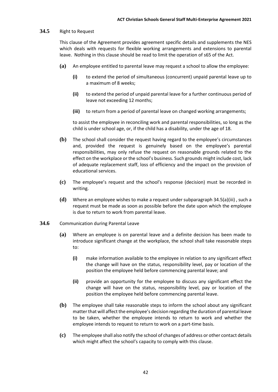# **34.5** Right to Request

This clause of the Agreement provides agreement specific details and supplements the NES which deals with requests for flexible working arrangements and extensions to parental leave. Nothing in this clause should be read to limit the operation of s65 of the Act.

- **(a)** An employee entitled to parental leave may request a school to allow the employee:
	- **(i)** to extend the period of simultaneous (concurrent) unpaid parental leave up to a maximum of 8 weeks;
	- **(ii)** to extend the period of unpaid parental leave for a further continuous period of leave not exceeding 12 months;
	- **(iii)** to return from a period of parental leave on changed working arrangements;

<span id="page-45-0"></span>to assist the employee in reconciling work and parental responsibilities, so long as the child is under school age, or, if the child has a disability, under the age of 18.

- **(b)** The school shall consider the request having regard to the employee's circumstances and, provided the request is genuinely based on the employee's parental responsibilities, may only refuse the request on reasonable grounds related to the effect on the workplace or the school's business. Such grounds might include cost, lack of adequate replacement staff, loss of efficiency and the impact on the provision of educational services.
- **(c)** The employee's request and the school's response (decision) must be recorded in writing.
- **(d)** Where an employee wishes to make a request under subparagrap[h 34.5\(a\)\(iii\)](#page-45-0) , such a request must be made as soon as possible before the date upon which the employee is due to return to work from parental leave.
- **34.6** Communication during Parental Leave
	- **(a)** Where an employee is on parental leave and a definite decision has been made to introduce significant change at the workplace, the school shall take reasonable steps to:
		- **(i)** make information available to the employee in relation to any significant effect the change will have on the status, responsibility level, pay or location of the position the employee held before commencing parental leave; and
		- **(ii)** provide an opportunity for the employee to discuss any significant effect the change will have on the status, responsibility level, pay or location of the position the employee held before commencing parental leave.
	- **(b)** The employee shall take reasonable steps to inform the school about any significant matter that will affect the employee's decision regarding the duration of parental leave to be taken, whether the employee intends to return to work and whether the employee intends to request to return to work on a part-time basis.
	- **(c)** The employee shall also notify the school of changes of address or other contact details which might affect the school's capacity to comply with this clause.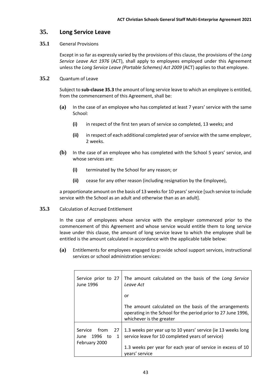# **35. Long Service Leave**

# **35.1** General Provisions

Except in so far as expressly varied by the provisions of this clause, the provisions of the *Long Service Leave Act 1976* (ACT), shall apply to employees employed under this Agreement unless the *Long Service Leave (Portable Schemes) Act 2009* (ACT) applies to that employee.

# **35.2** Quantum of Leave

Subject to **sub-claus[e 35.3](#page-46-0)** the amount of long service leave to which an employee is entitled, from the commencement of this Agreement, shall be:

- <span id="page-46-2"></span>**(a)** In the case of an employee who has completed at least 7 years' service with the same School:
	- **(i)** in respect of the first ten years of service so completed, 13 weeks; and
	- **(ii)** in respect of each additional completed year of service with the same employer, 2 weeks.
- <span id="page-46-1"></span>**(b)** In the case of an employee who has completed with the School 5 years' service, and whose services are:
	- **(i)** terminated by the School for any reason; or
	- **(ii)** cease for any other reason (including resignation by the Employee),

a proportionate amount on the basis of 13 weeks for 10 years' service [such service to include service with the School as an adult and otherwise than as an adult].

# <span id="page-46-0"></span>**35.3** Calculation of Accrued Entitlement

In the case of employees whose service with the employer commenced prior to the commencement of this Agreement and whose service would entitle them to long service leave under this clause, the amount of long service leave to which the employee shall be entitled is the amount calculated in accordance with the applicable table below:

**(a)** Entitlements for employees engaged to provide school support services, instructional services or school administration services:

| Service prior to 27<br>June 1996                            | The amount calculated on the basis of the Long Service<br>Leave Act                                                                                 |  |
|-------------------------------------------------------------|-----------------------------------------------------------------------------------------------------------------------------------------------------|--|
|                                                             | or                                                                                                                                                  |  |
|                                                             | The amount calculated on the basis of the arrangements<br>operating in the School for the period prior to 27 June 1996,<br>whichever is the greater |  |
| Service<br>from<br>27<br>1996 to 1<br>June<br>February 2000 | 1.3 weeks per year up to 10 years' service (ie 13 weeks long<br>service leave for 10 completed years of service)                                    |  |
|                                                             | 1.3 weeks per year for each year of service in excess of 10<br>years' service                                                                       |  |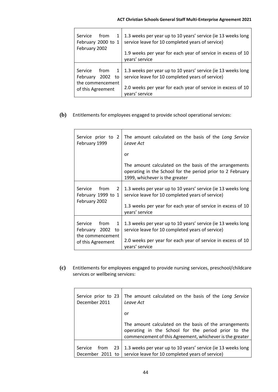| from<br>Service<br>1<br>February 2000 to 1 | 1.3 weeks per year up to 10 years' service (ie 13 weeks long<br>service leave for 10 completed years of service) |  |  |
|--------------------------------------------|------------------------------------------------------------------------------------------------------------------|--|--|
| February 2002                              | 1.9 weeks per year for each year of service in excess of 10<br>years' service                                    |  |  |
|                                            |                                                                                                                  |  |  |
| Service<br>from<br>1                       | 1.3 weeks per year up to 10 years' service (ie 13 weeks long                                                     |  |  |
| February<br>2002 to                        | service leave for 10 completed years of service)                                                                 |  |  |
| the commencement                           |                                                                                                                  |  |  |
| of this Agreement                          | 2.0 weeks per year for each year of service in excess of 10                                                      |  |  |
|                                            | years' service                                                                                                   |  |  |

**(b)** Entitlements for employees engaged to provide school operational services:

| Service prior to 2<br>February 1999                                                  | The amount calculated on the basis of the Long Service<br>Leave Act                                                                                                                               |  |  |
|--------------------------------------------------------------------------------------|---------------------------------------------------------------------------------------------------------------------------------------------------------------------------------------------------|--|--|
|                                                                                      | or                                                                                                                                                                                                |  |  |
|                                                                                      | The amount calculated on the basis of the arrangements<br>operating in the School for the period prior to 2 February<br>1999, whichever is the greater                                            |  |  |
| Service from<br>2<br>February 1999 to 1<br>February 2002                             | 1.3 weeks per year up to 10 years' service (ie 13 weeks long<br>service leave for 10 completed years of service)<br>1.3 weeks per year for each year of service in excess of 10<br>years' service |  |  |
| Service<br>from<br>1<br>February 2002<br>to<br>the commencement<br>of this Agreement | 1.3 weeks per year up to 10 years' service (ie 13 weeks long<br>service leave for 10 completed years of service)<br>2.0 weeks per year for each year of service in excess of 10<br>years' service |  |  |

**(c)** Entitlements for employees engaged to provide nursing services, preschool/childcare services or wellbeing services:

Ē

| Service prior to 23<br>December 2011 | The amount calculated on the basis of the Long Service<br>Leave Act                                                                                                       |  |  |
|--------------------------------------|---------------------------------------------------------------------------------------------------------------------------------------------------------------------------|--|--|
|                                      | or                                                                                                                                                                        |  |  |
|                                      | The amount calculated on the basis of the arrangements<br>operating in the School for the period prior to the<br>commencement of this Agreement, whichever is the greater |  |  |
|                                      |                                                                                                                                                                           |  |  |
| Service<br>23<br>from                | 1.3 weeks per year up to 10 years' service (ie 13 weeks long                                                                                                              |  |  |
|                                      | December 2011 to   service leave for 10 completed years of service)                                                                                                       |  |  |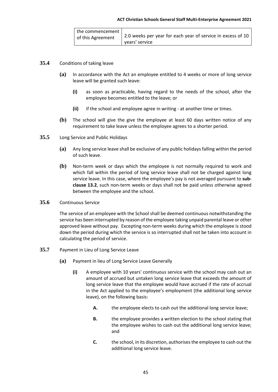| the commencement  |                                                             |
|-------------------|-------------------------------------------------------------|
| of this Agreement | 2.0 weeks per year for each year of service in excess of 10 |
|                   | vears' service                                              |

- <span id="page-48-0"></span>**35.4** Conditions of taking leave
	- **(a)** In accordance with the Act an employee entitled to 4 weeks or more of long service leave will be granted such leave:
		- **(i)** as soon as practicable, having regard to the needs of the school, after the employee becomes entitled to the leave; or
		- **(ii)** if the school and employee agree in writing at another time or times.
	- **(b)** The school will give the give the employee at least 60 days written notice of any requirement to take leave unless the employee agrees to a shorter period.
- **35.5** Long Service and Public Holidays
	- **(a)** Any long service leave shall be exclusive of any public holidays falling within the period of such leave.
	- **(b)** Non-term week or days which the employee is not normally required to work and which fall within the period of long service leave shall not be charged against long service leave. In this case, where the employee's pay is not averaged pursuant to **subclause 13.2**, such non-term weeks or days shall not be paid unless otherwise agreed between the employee and the school.
- **35.6** Continuous Service

The service of an employee with the School shall be deemed continuous notwithstanding the service has been interrupted by reason of the employee taking unpaid parental leave or other approved leave without pay. Excepting non-term weeks during which the employee is stood down the period during which the service is so interrupted shall not be taken into account in calculating the period of service.

- **35.7** Payment in Lieu of Long Service Leave
	- **(a)** Payment in lieu of Long Service Leave Generally
		- **(i)** A employee with 10 years' continuous service with the school may cash out an amount of accrued but untaken long service leave that exceeds the amount of long service leave that the employee would have accrued if the rate of accrual in the Act applied to the employee's employment (the additional long service leave), on the following basis:
			- **A.** the employee elects to cash out the additional long service leave;
			- **B.** the employee provides a written election to the school stating that the employee wishes to cash out the additional long service leave; and
			- **C.** the school, in its discretion, authorises the employee to cash out the additional long service leave.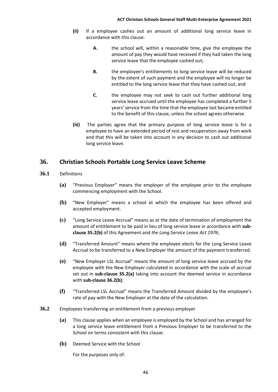- **(ii)** If a employee cashes out an amount of additional long service leave in accordance with this clause:
	- **A.** the school will, within a reasonable time, give the employee the amount of pay they would have received if they had taken the long service leave that the employee cashed out;
	- **B.** the employee's entitlements to long service leave will be reduced by the extent of such payment and the employee will no longer be entitled to the long service leave that they have cashed out; and
	- **C.** the employee may not seek to cash out further additional long service leave accrued until the employee has completed a further 5 years' service from the time that the employee last became entitled to the benefit of this clause, unless the school agrees otherwise.
- **(iii)** The parties agree that the primary purpose of long service leave is for a employee to have an extended period of rest and recuperation away from work and that this will be taken into account in any decision to cash out additional long service leave.

# **36. Christian Schools Portable Long Service Leave Scheme**

- **36.1** Definitions
	- **(a)** "Previous Employer" means the employer of the employee prior to the employee commencing employment with the School.
	- **(b)** "New Employer" means a school at which the employee has been offered and accepted employment.
	- **(c)** "Long Service Leave Accrual" means as at the date of termination of employment the amount of entitlement to be paid in lieu of long service leave in accordance with **subclause [35.2\(b\)](#page-46-1)** of this Agreement and *the Long Service Leave Act 1976*;
	- **(d)** "Transferred Amount" means where the employee elects for the Long Service Leave Accrual to be transferred to a New Employer the amount of the payment transferred.
	- **(e)** "New Employer LSL Accrual" means the amount of long service leave accrued by the employee with the New Employer calculated in accordance with the scale of accrual set out in **sub-clause [35.2\(a\)](#page-46-2)** taking into account the deemed service in accordance with **sub-clause [36.2\(b\)](#page-49-0)**;
	- **(f)** "Transferred LSL Accrual" means the Transferred Amount divided by the employee's rate of pay with the New Employer at the date of the calculation.
- <span id="page-49-0"></span>**36.2** Employees transferring an entitlement from a previous employer
	- **(a)** This clause applies when an employee is employed by the School and has arranged for a long service leave entitlement from a Previous Employer to be transferred to the School on terms consistent with this clause.
	- **(b)** Deemed Service with the School

For the purposes only of: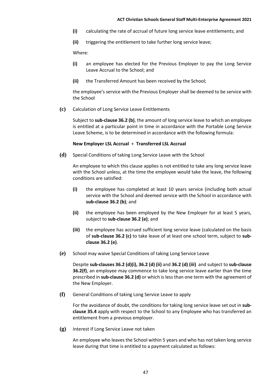- **(i)** calculating the rate of accrual of future long service leave entitlements; and
- **(ii)** triggering the entitlement to take further long service leave;

Where:

- **(i)** an employee has elected for the Previous Employer to pay the Long Service Leave Accrual to the School; and
- **(ii)** the Transferred Amount has been received by the School;

the employee's service with the Previous Employer shall be deemed to be service with the School

<span id="page-50-1"></span>**(c)** Calculation of Long Service Leave Entitlements

Subject to **sub-clause 36.2 [\(b\)](#page-49-0)**, the amount of long service leave to which an employee is entitled at a particular point in time in accordance with the Portable Long Service Leave Scheme, is to be determined in accordance with the following formula:

#### **New Employer LSL Accrual** + **Transferred LSL Accrual**

**(d)** Special Conditions of taking Long Service Leave with the School

An employee to which this clause applies is not entitled to take any long service leave with the School unless, at the time the employee would take the leave, the following conditions are satisfied:

- <span id="page-50-2"></span>**(i)** the employee has completed at least 10 years service (including both actual service with the School and deemed service with the School in accordance with **sub-clause 36.2 [\(b\)](#page-49-0)**; and
- **(ii)** the employee has been employed by the New Employer for at least 5 years, subject to **sub-clause 36.2 [\(e\)](#page-50-0)**; and
- **(iii)** the employee has accrued sufficient long service leave (calculated on the basis of **sub-clause 36.2 [\(c\)](#page-50-1)** to take leave of at least one school term, subject to **subclause 36.2 [\(e\)](#page-50-0)**.
- <span id="page-50-0"></span>**(e)** School may waive Special Conditions of taking Long Service Leave

Despite **sub-clauses 36.2 (d[\)\(i\),](#page-50-2) 36.2 (d) (ii)** and **36.2 (d) (iii)** and subject to **sub-clause [36.2\(f\)](#page-50-3)**, an employee may commence to take long service leave earlier than the time prescribed in **sub-clause 36.2 (d)** or which is less than one term with the agreement of the New Employer.

<span id="page-50-3"></span>**(f)** General Conditions of taking Long Service Leave to apply

For the avoidance of doubt, the conditions for taking long service leave set out in **subclause [35.4](#page-48-0)** apply with respect to the School to any Employee who has transferred an entitlement from a previous employer.

**(g)** Interest if Long Service Leave not taken

An employee who leaves the School within 5 years and who has not taken long service leave during that time is entitled to a payment calculated as follows: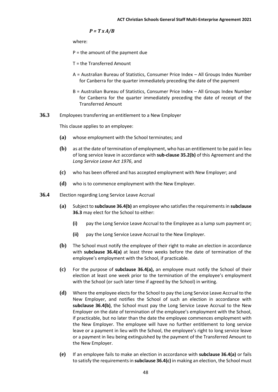#### *P = T x A/B*

where:

 $P =$  the amount of the payment due

- T = the Transferred Amount
- A = Australian Bureau of Statistics, Consumer Price Index All Groups Index Number for Canberra for the quarter immediately preceding the date of the payment
- B = Australian Bureau of Statistics, Consumer Price Index All Groups Index Number for Canberra for the quarter immediately preceding the date of receipt of the Transferred Amount
- <span id="page-51-1"></span>**36.3** Employees transferring an entitlement to a New Employer

This clause applies to an employee:

- **(a)** whose employment with the School terminates; and
- **(b)** as at the date of termination of employment, who has an entitlement to be paid in lieu of long service leave in accordance with **sub-claus[e 35.2\(b\)](#page-46-1)** of this Agreement and the *Long Service Leave Act 1976*, and
- **(c)** who has been offered and has accepted employment with New Employer; and
- **(d)** who is to commence employment with the New Employer.
- <span id="page-51-3"></span><span id="page-51-2"></span><span id="page-51-0"></span>**36.4** Election regarding Long Service Leave Accrual
	- **(a)** Subject to **subclaus[e 36.4\(b\)](#page-51-0)** an employee who satisfies the requirements in **subclause [36.3](#page-51-1)** may elect for the School to either:
		- **(i)** pay the Long Service Leave Accrual to the Employee as a lump sum payment or;
		- **(ii)** pay the Long Service Leave Accrual to the New Employer.
	- **(b)** The School must notify the employee of their right to make an election in accordance with **subclause [36.4\(a\)](#page-51-2)** at least three weeks before the date of termination of the employee's employment with the School, if practicable.
	- **(c)** For the purpose of **subclause [36.4\(a\),](#page-51-2)** an employee must notify the School of their election at least one week prior to the termination of the employee's employment with the School (or such later time if agreed by the School) in writing.
	- **(d)** Where the employee elects for the School to pay the Long Service Leave Accrual to the New Employer, and notifies the School of such an election in accordance with **subclause [36.4\(b\)](#page-51-0)**, the School must pay the Long Service Leave Accrual to the New Employer on the date of termination of the employee's employment with the School, if practicable, but no later than the date the employee commences employment with the New Employer. The employee will have no further entitlement to long service leave or a payment in lieu with the School, the employee's right to long service leave or a payment in lieu being extinguished by the payment of the Transferred Amount to the New Employer.
	- **(e)** If an employee fails to make an election in accordance with **subclaus[e 36.4\(a\)](#page-51-2)** or fails to satisfy the requirements in **subclaus[e 36.4\(c\)](#page-51-3)** in making an election, the School must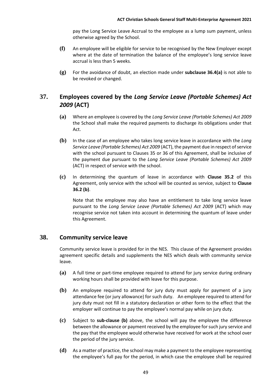pay the Long Service Leave Accrual to the employee as a lump sum payment, unless otherwise agreed by the School.

- **(f)** An employee will be eligible for service to be recognised by the New Employer except where at the date of termination the balance of the employee's long service leave accrual is less than 5 weeks.
- **(g)** For the avoidance of doubt, an election made under **subclause [36.4\(a\)](#page-51-2)** is not able to be revoked or changed.

# **37. Employees covered by the** *Long Service Leave (Portable Schemes) Act 2009* **(ACT)**

- **(a)** Where an employee is covered by the *Long Service Leave (Portable Schemes) Act 2009* the School shall make the required payments to discharge its obligations under that Act.
- **(b)** In the case of an employee who takes long service leave in accordance with the *Long Service Leave (Portable Schemes) Act 2009* (ACT), the payment due in respect of service with the school pursuant to Clauses 35 or 36 of this Agreement, shall be inclusive of the payment due pursuant to the *Long Service Leave (Portable Schemes) Act 2009* (ACT) in respect of service with the school.
- **(c)** In determining the quantum of leave in accordance with **Clause 35.2** of this Agreement, only service with the school will be counted as service, subject to **Clause 36.2 (b)**.

Note that the employee may also have an entitlement to take long service leave pursuant to the *Long Service Leave (Portable Schemes) Act 2009* (ACT) which may recognise service not taken into account in determining the quantum of leave under this Agreement.

# **38. Community service leave**

Community service leave is provided for in the NES. This clause of the Agreement provides agreement specific details and supplements the NES which deals with community service leave.

- **(a)** A full time or part-time employee required to attend for jury service during ordinary working hours shall be provided with leave for this purpose.
- <span id="page-52-0"></span>**(b)** An employee required to attend for jury duty must apply for payment of a jury attendance fee (or jury allowance) for such duty. An employee required to attend for jury duty must not fill in a statutory declaration or other form to the effect that the employer will continue to pay the employee's normal pay while on jury duty.
- **(c)** Subject to **sub-clause [\(b\)](#page-52-0)** above, the school will pay the employee the difference between the allowance or payment received by the employee for such jury service and the pay that the employee would otherwise have received for work at the school over the period of the jury service.
- **(d)** As a matter of practice, the school may make a payment to the employee representing the employee's full pay for the period, in which case the employee shall be required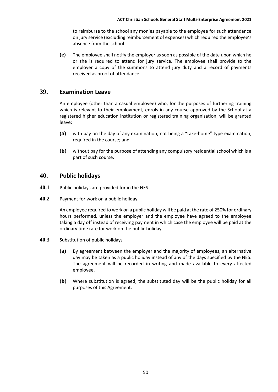to reimburse to the school any monies payable to the employee for such attendance on jury service (excluding reimbursement of expenses) which required the employee's absence from the school.

**(e)** The employee shall notify the employer as soon as possible of the date upon which he or she is required to attend for jury service. The employee shall provide to the employer a copy of the summons to attend jury duty and a record of payments received as proof of attendance.

# **39. Examination Leave**

An employee (other than a casual employee) who, for the purposes of furthering training which is relevant to their employment, enrols in any course approved by the School at a registered higher education institution or registered training organisation, will be granted leave:

- **(a)** with pay on the day of any examination, not being a "take-home" type examination, required in the course; and
- **(b)** without pay for the purpose of attending any compulsory residential school which is a part of such course.

# **40. Public holidays**

- **40.1** Public holidays are provided for in the NES.
- **40.2** Payment for work on a public holiday

An employee required to work on a public holiday will be paid at the rate of 250% for ordinary hours performed, unless the employer and the employee have agreed to the employee taking a day off instead of receiving payment in which case the employee will be paid at the ordinary time rate for work on the public holiday.

- **40.3** Substitution of public holidays
	- **(a)** By agreement between the employer and the majority of employees, an alternative day may be taken as a public holiday instead of any of the days specified by the NES. The agreement will be recorded in writing and made available to every affected employee.
	- **(b)** Where substitution is agreed, the substituted day will be the public holiday for all purposes of this Agreement.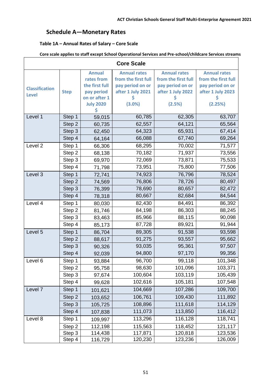# **Schedule A—Monetary Rates**

# **Table 1A – Annual Rates of Salary – Core Scale**

| <b>Core Scale</b>     |             |                  |                     |                     |                     |
|-----------------------|-------------|------------------|---------------------|---------------------|---------------------|
|                       |             | <b>Annual</b>    | <b>Annual rates</b> | <b>Annual rates</b> | <b>Annual rates</b> |
|                       |             | rates from       | from the first full | from the first full | from the first full |
| <b>Classification</b> |             | the first full   | pay period on or    | pay period on or    | pay period on or    |
| <b>Level</b>          | <b>Step</b> | pay period       | after 1 July 2021   | after 1 July 2022   | after 1 July 2023   |
|                       |             | on or after 1    | \$                  | \$                  |                     |
|                       |             | <b>July 2020</b> | (3.0%)              | (2.5%)              | (2.25%)             |
| Level 1               | Step 1      | \$<br>59,015     | 60,785              | 62,305              | 63,707              |
|                       | Step 2      | 60,735           | 62,557              | 64,121              | 65,564              |
|                       | Step 3      | 62,450           | 64,323              | 65,931              | 67,414              |
|                       | Step 4      | 64,164           | 66,088              | 67,740              | 69,264              |
| Level <sub>2</sub>    | Step 1      | 66,306           | 68,295              | 70,002              | 71,577              |
|                       | Step 2      | 68,138           | 70,182              | 71,937              | 73,556              |
|                       | Step 3      | 69,970           | 72,069              | 73,871              | 75,533              |
|                       | Step 4      | 71,798           | 73,951              | 75,800              | 77,506              |
| Level 3               | Step 1      | 72,741           | 74,923              | 76,796              | 78,524              |
|                       | Step 2      | 74,569           | 76,806              | 78,726              | 80,497              |
|                       | Step 3      | 76,399           | 78,690              | 80,657              | 82,472              |
|                       | Step 4      | 78,318           | 80,667              | 82,684              | 84,544              |
| Level 4               | Step 1      | 80,030           | 82,430              | 84,491              | 86,392              |
|                       | Step 2      | 81,746           | 84,198              | 86,303              | 88,245              |
|                       | Step 3      | 83,463           | 85,966              | 88,115              | 90,098              |
|                       | Step 4      | 85,173           | 87,728              | 89,921              | 91,944              |
| Level 5               | Step 1      | 86,704           | 89,305              | 91,538              | 93,598              |
|                       | Step 2      | 88,617           | 91,275              | 93,557              | 95,662              |
|                       | Step 3      | 90,326           | 93,035              | 95,361              | 97,507              |
|                       | Step 4      | 92,039           | 94,800              | 97,170              | 99,356              |
| Level 6               | Step 1      | 93,884           | 96,700              | 99,118              | 101,348             |
|                       | Step 2      | 95,758           | 98,630              | 101,096             | 103,371             |
|                       | Step 3      | 97,674           | 100,604             | 103,119             | 105,439             |
|                       | Step 4      | 99,628           | 102,616             | 105,181             | 107,548             |
| Level 7               | Step 1      | 101,621          | 104,669             | 107,286             | 109,700             |
|                       | Step 2      | 103,652          | 106,761             | 109,430             | 111,892             |
|                       | Step 3      | 105,725          | 108,896             | 111,618             | 114,129             |
|                       | Step 4      | 107,838          | 111,073             | 113,850             | 116,412             |
| Level 8               | Step 1      | 109,997          | 113,296             | 116,128             | 118,741             |
|                       | Step 2      | 112,198          | 115,563             | 118,452             | 121,117             |
|                       | Step 3      | 114,438          | 117,871             | 120,818             | 123,536             |
|                       | Step 4      | 116,729          | 120,230             | 123,236             | 126,009             |

**Core scale applies to staff except School Operational Services and Pre-school/childcare Services streams**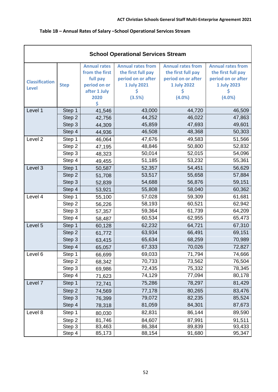| <b>School Operational Services Stream</b> |             |                                                                                                 |                                                                                                            |                                                                                                           |                                                                                                           |
|-------------------------------------------|-------------|-------------------------------------------------------------------------------------------------|------------------------------------------------------------------------------------------------------------|-----------------------------------------------------------------------------------------------------------|-----------------------------------------------------------------------------------------------------------|
| <b>Classification</b><br><b>Level</b>     | <b>Step</b> | <b>Annual rates</b><br>from the first<br>full pay<br>period on or<br>after 1 July<br>2020<br>\$ | <b>Annual rates from</b><br>the first full pay<br>period on or after<br><b>1 July 2021</b><br>\$<br>(3.5%) | <b>Annual rates from</b><br>the first full pay<br>period on or after<br><b>1 July 2022</b><br>\$<br>(4.0% | <b>Annual rates from</b><br>the first full pay<br>period on or after<br><b>1 July 2023</b><br>\$<br>(4.0% |
| Level 1                                   | Step 1      | 41,546                                                                                          | 43,000                                                                                                     | 44,720                                                                                                    | 46,509                                                                                                    |
|                                           | Step 2      | 42,756                                                                                          | 44,252                                                                                                     | 46,022                                                                                                    | 47,863                                                                                                    |
|                                           | Step 3      | 44,309                                                                                          | 45,859                                                                                                     | 47,693                                                                                                    | 49,601                                                                                                    |
|                                           | Step 4      | 44,936                                                                                          | 46,508                                                                                                     | 48,368                                                                                                    | 50,303                                                                                                    |
| Level 2                                   | Step 1      | 46,064                                                                                          | 47,676                                                                                                     | 49,583                                                                                                    | 51,566                                                                                                    |
|                                           | Step 2      | 47,195                                                                                          | 48,846                                                                                                     | 50,800                                                                                                    | 52,832                                                                                                    |
|                                           | Step 3      | 48,323                                                                                          | 50,014                                                                                                     | 52,015                                                                                                    | 54,096                                                                                                    |
|                                           | Step 4      | 49,455                                                                                          | 51,185                                                                                                     | 53,232                                                                                                    | 55,361                                                                                                    |
| Level 3                                   | Step 1      | 50,587                                                                                          | 52,357                                                                                                     | 54,451                                                                                                    | 56,629                                                                                                    |
|                                           | Step 2      | 51,708                                                                                          | 53,517                                                                                                     | 55,658                                                                                                    | 57,884                                                                                                    |
|                                           | Step 3      | 52,839                                                                                          | 54,688                                                                                                     | 56,876                                                                                                    | 59,151                                                                                                    |
|                                           | Step 4      | 53,921                                                                                          | 55,808                                                                                                     | 58,040                                                                                                    | 60,362                                                                                                    |
| Level 4                                   | Step 1      | 55,100                                                                                          | 57,028                                                                                                     | 59,309                                                                                                    | 61,681                                                                                                    |
|                                           | Step 2      | 56,226                                                                                          | 58,193                                                                                                     | 60,521                                                                                                    | 62,942                                                                                                    |
|                                           | Step 3      | 57,357                                                                                          | 59,364                                                                                                     | 61,739                                                                                                    | 64,209                                                                                                    |
|                                           | Step 4      | 58,487                                                                                          | 60,534                                                                                                     | 62,955                                                                                                    | 65,473                                                                                                    |
| Level 5                                   | Step 1      | 60,128                                                                                          | 62,232                                                                                                     | 64,721                                                                                                    | 67,310                                                                                                    |
|                                           | Step 2      | 61,772                                                                                          | 63,934                                                                                                     | 66,491                                                                                                    | 69,151                                                                                                    |
|                                           | Step 3      | 63,415                                                                                          | 65,634                                                                                                     | 68,259                                                                                                    | 70,989                                                                                                    |
|                                           | Step 4      | 65,057                                                                                          | 67,333                                                                                                     | 70,026                                                                                                    | 72,827                                                                                                    |
| Level 6                                   | Step 1      | 66,699                                                                                          | 69,033                                                                                                     | 71,794                                                                                                    | 74,666                                                                                                    |
|                                           | Step 2      | 68,342                                                                                          | 70,733                                                                                                     | 73,562                                                                                                    | 76,504                                                                                                    |
|                                           | Step 3      | 69,986                                                                                          | 72,435                                                                                                     | 75,332                                                                                                    | 78,345                                                                                                    |
|                                           | Step 4      | 71,623                                                                                          | 74,129                                                                                                     | 77,094                                                                                                    | 80,178                                                                                                    |
| Level 7                                   | Step 1      | 72,741                                                                                          | 75,286                                                                                                     | 78,297                                                                                                    | 81,429                                                                                                    |
|                                           | Step 2      | 74,569                                                                                          | 77,178                                                                                                     | 80,265                                                                                                    | 83,476                                                                                                    |
|                                           | Step 3      | 76,399                                                                                          | 79,072                                                                                                     | 82,235                                                                                                    | 85,524                                                                                                    |
|                                           | Step 4      | 78,318                                                                                          | 81,059                                                                                                     | 84,301                                                                                                    | 87,673                                                                                                    |
| Level 8                                   | Step 1      | 80,030                                                                                          | 82,831                                                                                                     | 86,144                                                                                                    | 89,590                                                                                                    |
|                                           | Step 2      | 81,746                                                                                          | 84,607                                                                                                     | 87,991                                                                                                    | 91,511                                                                                                    |
|                                           | Step 3      | 83,463                                                                                          | 86,384                                                                                                     | 89,839                                                                                                    | 93,433                                                                                                    |
|                                           | Step 4      | 85,173                                                                                          | 88,154                                                                                                     | 91,680                                                                                                    | 95,347                                                                                                    |

# **Table 1B – Annual Rates of Salary –School Operational Services Stream**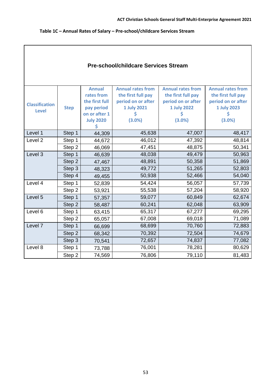# **Table 1C – Annual Rates of Salary – Pre-school/childcare Services Stream**

| <b>Pre-school/childcare Services Stream</b> |             |                  |                          |                          |                          |
|---------------------------------------------|-------------|------------------|--------------------------|--------------------------|--------------------------|
|                                             |             |                  |                          |                          |                          |
|                                             |             | <b>Annual</b>    | <b>Annual rates from</b> | <b>Annual rates from</b> | <b>Annual rates from</b> |
|                                             |             | rates from       | the first full pay       | the first full pay       | the first full pay       |
| <b>Classification</b>                       |             | the first full   | period on or after       | period on or after       | period on or after       |
| <b>Level</b>                                | <b>Step</b> | pay period       | 1 July 2021              | <b>1 July 2022</b>       | <b>1 July 2023</b>       |
|                                             |             | on or after 1    | \$                       | \$                       |                          |
|                                             |             | <b>July 2020</b> | $(3.0\%)$                | $(3.0\%)$                | $(3.0\%)$                |
|                                             |             |                  |                          |                          |                          |
| Level 1                                     | Step 1      | 44,309           | 45,638                   | 47,007                   | 48,417                   |
| Level 2                                     | Step 1      | 44,672           | 46,012                   | 47,392                   | 48,814                   |
|                                             | Step 2      | 46,069           | 47,451                   | 48,875                   | 50,341                   |
| Level 3                                     | Step 1      | 46,639           | 48,038                   | 49,479                   | 50,963                   |
|                                             | Step 2      | 47,467           | 48,891                   | 50,358                   | 51,869                   |
|                                             | Step 3      | 48,323           | 49,772                   | 51,265                   | 52,803                   |
|                                             | Step 4      | 49,455           | 50,938                   | 52,466                   | 54,040                   |
| Level 4                                     | Step 1      | 52,839           | 54,424                   | 56,057                   | 57,739                   |
|                                             | Step 2      | 53,921           | 55,538                   | 57,204                   | 58,920                   |
| Level 5                                     | Step 1      | 57,357           | 59,077                   | 60,849                   | 62,674                   |
|                                             | Step 2      | 58,487           | 60,241                   | 62,048                   | 63,909                   |
| Level 6                                     | Step 1      | 63,415           | 65,317                   | 67,277                   | 69,295                   |
|                                             | Step 2      | 65,057           | 67,008                   | 69,018                   | 71,089                   |
| Level 7                                     | Step 1      | 66,699           | 68,699                   | 70,760                   | 72,883                   |
|                                             | Step 2      | 68,342           | 70,392                   | 72,504                   | 74,679                   |
|                                             | Step 3      | 70,541           | 72,657                   | 74,837                   | 77,082                   |
| Level 8                                     | Step 1      | 73,788           | 76,001                   | 78,281                   | 80,629                   |
|                                             | Step 2      | 74,569           | 76,806                   | 79,110                   | 81,483                   |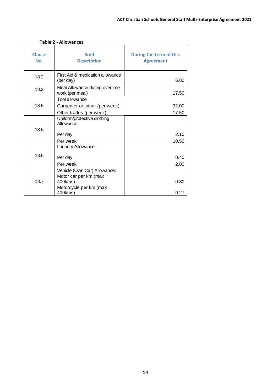| <b>Clause</b><br>No. | <b>Brief</b><br><b>Description</b>                | During the term of this<br><b>Agreement</b> |  |
|----------------------|---------------------------------------------------|---------------------------------------------|--|
| 18.2                 | First Aid & medication allowance<br>(per day)     | 6.80                                        |  |
| 18.3                 | Meal Allowance during overtime<br>work (per meal) | 17.50                                       |  |
|                      | <b>Tool allowance</b>                             |                                             |  |
| 18.5                 | Carpenter or joiner (per week)                    | 32.00                                       |  |
|                      | Other trades (per week)                           | 17.50                                       |  |
|                      | Uniform/protective clothing<br>Allowance          |                                             |  |
| 18.6                 | Per day                                           | 2.10                                        |  |
|                      | Per week                                          | 10.50                                       |  |
|                      | Laundry Allowance                                 |                                             |  |
| 18.6                 | Per day                                           | 0.40                                        |  |
|                      | Per week                                          | 2.00                                        |  |
|                      | Vehicle (Own Car) Allowance:                      |                                             |  |
| 18.7                 | Motor car per km (max                             |                                             |  |
|                      | 400kms)<br>Motorcycle per km (max                 | 0.80                                        |  |
|                      | 400kms)                                           | 0.27                                        |  |

# **Table 2 - Allowances**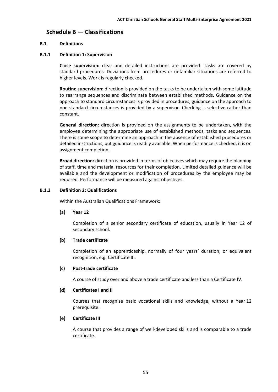# **Schedule B — Classifications**

#### **B.1 Definitions**

#### **B.1.1 Definition 1: Supervision**

**Close supervision:** clear and detailed instructions are provided. Tasks are covered by standard procedures. Deviations from procedures or unfamiliar situations are referred to higher levels. Work is regularly checked.

**Routine supervision:** direction is provided on the tasks to be undertaken with some latitude to rearrange sequences and discriminate between established methods. Guidance on the approach to standard circumstances is provided in procedures, guidance on the approach to non-standard circumstances is provided by a supervisor. Checking is selective rather than constant.

**General direction:** direction is provided on the assignments to be undertaken, with the employee determining the appropriate use of established methods, tasks and sequences. There is some scope to determine an approach in the absence of established procedures or detailed instructions, but guidance is readily available. When performance is checked, it is on assignment completion.

**Broad direction:** direction is provided in terms of objectives which may require the planning of staff, time and material resources for their completion. Limited detailed guidance will be available and the development or modification of procedures by the employee may be required. Performance will be measured against objectives.

#### **B.1.2 Definition 2: Qualifications**

Within the Australian Qualifications Framework:

#### **(a) Year 12**

Completion of a senior secondary certificate of education, usually in Year 12 of secondary school.

#### **(b) Trade certificate**

Completion of an apprenticeship, normally of four years' duration, or equivalent recognition, e.g. Certificate III.

#### **(c) Post-trade certificate**

A course of study over and above a trade certificate and less than a Certificate IV.

#### **(d) Certificates I and II**

Courses that recognise basic vocational skills and knowledge, without a Year 12 prerequisite.

#### **(e) Certificate III**

A course that provides a range of well-developed skills and is comparable to a trade certificate.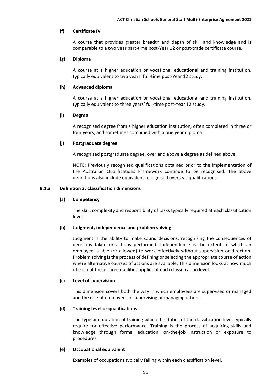# **(f) Certificate IV**

A course that provides greater breadth and depth of skill and knowledge and is comparable to a two year part-time post-Year 12 or post-trade certificate course.

#### **(g) Diploma**

A course at a higher education or vocational educational and training institution, typically equivalent to two years' full-time post-Year 12 study.

#### **(h) Advanced diploma**

A course at a higher education or vocational educational and training institution, typically equivalent to three years' full-time post-Year 12 study.

#### **(i) Degree**

A recognised degree from a higher education institution, often completed in three or four years, and sometimes combined with a one year diploma.

#### **(j) Postgraduate degree**

A recognised postgraduate degree, over and above a degree as defined above.

NOTE: Previously recognised qualifications obtained prior to the implementation of the Australian Qualifications Framework continue to be recognised. The above definitions also include equivalent recognised overseas qualifications.

#### **B.1.3 Definition 3: Classification dimensions**

#### **(a) Competency**

The skill, complexity and responsibility of tasks typically required at each classification level.

#### **(b) Judgment, independence and problem solving**

Judgment is the ability to make sound decisions, recognising the consequences of decisions taken or actions performed. Independence is the extent to which an employee is able (or allowed) to work effectively without supervision or direction. Problem solving is the process of defining or selecting the appropriate course of action where alternative courses of actions are available. This dimension looks at how much of each of these three qualities applies at each classification level.

#### **(c) Level of supervision**

This dimension covers both the way in which employees are supervised or managed and the role of employees in supervising or managing others.

# **(d) Training level or qualifications**

The type and duration of training which the duties of the classification level typically require for effective performance. Training is the process of acquiring skills and knowledge through formal education, on-the-job instruction or exposure to procedures.

#### **(e) Occupational equivalent**

Examples of occupations typically falling within each classification level.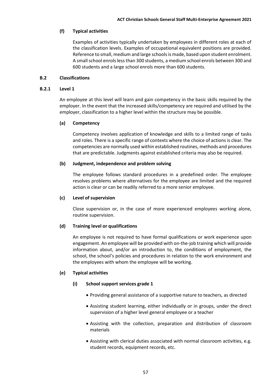# **(f) Typical activities**

Examples of activities typically undertaken by employees in different roles at each of the classification levels. Examples of occupational equivalent positions are provided. Reference to small, medium and large schools is made, based upon student enrolment. A small school enrols less than 300 students, a medium school enrols between 300 and 600 students and a large school enrols more than 600 students.

# **B.2 Classifications**

## **B.2.1 Level 1**

An employee at this level will learn and gain competency in the basic skills required by the employer. In the event that the increased skills/competency are required and utilised by the employer, classification to a higher level within the structure may be possible.

# **(a) Competency**

Competency involves application of knowledge and skills to a limited range of tasks and roles. There is a specific range of contexts where the choice of actions is clear. The competencies are normally used within established routines, methods and procedures that are predictable. Judgments against established criteria may also be required.

#### **(b) Judgment, independence and problem solving**

The employee follows standard procedures in a predefined order. The employee resolves problems where alternatives for the employee are limited and the required action is clear or can be readily referred to a more senior employee.

## **(c) Level of supervision**

Close supervision or, in the case of more experienced employees working alone, routine supervision.

# **(d) Training level or qualifications**

An employee is not required to have formal qualifications or work experience upon engagement. An employee will be provided with on-the-job training which will provide information about, and/or an introduction to, the conditions of employment, the school, the school's policies and procedures in relation to the work environment and the employees with whom the employee will be working.

# **(e) Typical activities**

# **(i) School support services grade 1**

- Providing general assistance of a supportive nature to teachers, as directed
- Assisting student learning, either individually or in groups, under the direct supervision of a higher level general employee or a teacher
- Assisting with the collection, preparation and distribution of classroom materials
- Assisting with clerical duties associated with normal classroom activities, e.g. student records, equipment records, etc.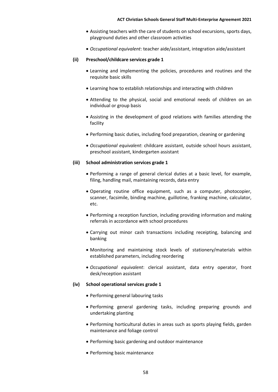- Assisting teachers with the care of students on school excursions, sports days, playground duties and other classroom activities
- *Occupational equivalent*: teacher aide/assistant, integration aide/assistant

#### **(ii) Preschool/childcare services grade 1**

- Learning and implementing the policies, procedures and routines and the requisite basic skills
- Learning how to establish relationships and interacting with children
- Attending to the physical, social and emotional needs of children on an individual or group basis
- Assisting in the development of good relations with families attending the facility
- Performing basic duties, including food preparation, cleaning or gardening
- *Occupational equivalent*: childcare assistant, outside school hours assistant, preschool assistant, kindergarten assistant

#### **(iii) School administration services grade 1**

- Performing a range of general clerical duties at a basic level, for example, filing, handling mail, maintaining records, data entry
- Operating routine office equipment, such as a computer, photocopier, scanner, facsimile, binding machine, guillotine, franking machine, calculator, etc.
- Performing a reception function, including providing information and making referrals in accordance with school procedures
- Carrying out minor cash transactions including receipting, balancing and banking
- Monitoring and maintaining stock levels of stationery/materials within established parameters, including reordering
- *Occupational equivalent*: clerical assistant, data entry operator, front desk/reception assistant

# **(iv) School operational services grade 1**

- Performing general labouring tasks
- Performing general gardening tasks, including preparing grounds and undertaking planting
- Performing horticultural duties in areas such as sports playing fields, garden maintenance and foliage control
- Performing basic gardening and outdoor maintenance
- Performing basic maintenance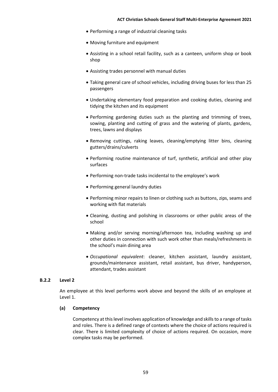- Performing a range of industrial cleaning tasks
- Moving furniture and equipment
- Assisting in a school retail facility, such as a canteen, uniform shop or book shop
- Assisting trades personnel with manual duties
- Taking general care of school vehicles, including driving buses for less than 25 passengers
- Undertaking elementary food preparation and cooking duties, cleaning and tidying the kitchen and its equipment
- Performing gardening duties such as the planting and trimming of trees, sowing, planting and cutting of grass and the watering of plants, gardens, trees, lawns and displays
- Removing cuttings, raking leaves, cleaning/emptying litter bins, cleaning gutters/drains/culverts
- Performing routine maintenance of turf, synthetic, artificial and other play surfaces
- Performing non-trade tasks incidental to the employee's work
- Performing general laundry duties
- Performing minor repairs to linen or clothing such as buttons, zips, seams and working with flat materials
- Cleaning, dusting and polishing in classrooms or other public areas of the school
- Making and/or serving morning/afternoon tea, including washing up and other duties in connection with such work other than meals/refreshments in the school's main dining area
- *Occupational equivalent*: cleaner, kitchen assistant, laundry assistant, grounds/maintenance assistant, retail assistant, bus driver, handyperson, attendant, trades assistant

# **B.2.2 Level 2**

An employee at this level performs work above and beyond the skills of an employee at Level 1.

# **(a) Competency**

Competency at this level involves application of knowledge and skills to a range of tasks and roles. There is a defined range of contexts where the choice of actions required is clear. There is limited complexity of choice of actions required. On occasion, more complex tasks may be performed.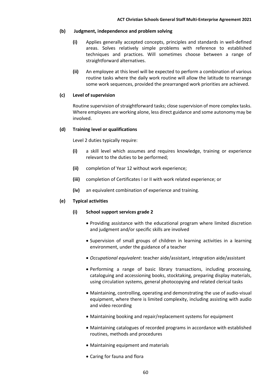# **(b) Judgment, independence and problem solving**

- **(i)** Applies generally accepted concepts, principles and standards in well-defined areas. Solves relatively simple problems with reference to established techniques and practices. Will sometimes choose between a range of straightforward alternatives.
- **(ii)** An employee at this level will be expected to perform a combination of various routine tasks where the daily work routine will allow the latitude to rearrange some work sequences, provided the prearranged work priorities are achieved.

# **(c) Level of supervision**

Routine supervision of straightforward tasks; close supervision of more complex tasks. Where employees are working alone, less direct guidance and some autonomy may be involved.

# **(d) Training level or qualifications**

Level 2 duties typically require:

- **(i)** a skill level which assumes and requires knowledge, training or experience relevant to the duties to be performed;
- **(ii)** completion of Year 12 without work experience;
- **(iii)** completion of Certificates I or II with work related experience; or
- **(iv)** an equivalent combination of experience and training.

# **(e) Typical activities**

- **(i) School support services grade 2**
	- Providing assistance with the educational program where limited discretion and judgment and/or specific skills are involved
	- Supervision of small groups of children in learning activities in a learning environment, under the guidance of a teacher
	- *Occupational equivalent*: teacher aide/assistant, integration aide/assistant
	- Performing a range of basic library transactions, including processing, cataloguing and accessioning books, stocktaking, preparing display materials, using circulation systems, general photocopying and related clerical tasks
	- Maintaining, controlling, operating and demonstrating the use of audio-visual equipment, where there is limited complexity, including assisting with audio and video recording
	- Maintaining booking and repair/replacement systems for equipment
	- Maintaining catalogues of recorded programs in accordance with established routines, methods and procedures
	- Maintaining equipment and materials
	- Caring for fauna and flora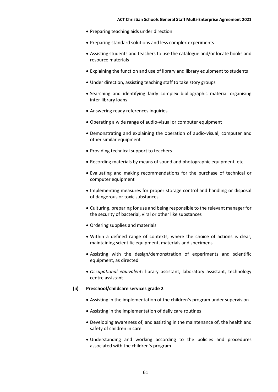- Preparing teaching aids under direction
- Preparing standard solutions and less complex experiments
- Assisting students and teachers to use the catalogue and/or locate books and resource materials
- Explaining the function and use of library and library equipment to students
- Under direction, assisting teaching staff to take story groups
- Searching and identifying fairly complex bibliographic material organising inter-library loans
- Answering ready references inquiries
- Operating a wide range of audio-visual or computer equipment
- Demonstrating and explaining the operation of audio-visual, computer and other similar equipment
- Providing technical support to teachers
- Recording materials by means of sound and photographic equipment, etc.
- Evaluating and making recommendations for the purchase of technical or computer equipment
- Implementing measures for proper storage control and handling or disposal of dangerous or toxic substances
- Culturing, preparing for use and being responsible to the relevant manager for the security of bacterial, viral or other like substances
- Ordering supplies and materials
- Within a defined range of contexts, where the choice of actions is clear, maintaining scientific equipment, materials and specimens
- Assisting with the design/demonstration of experiments and scientific equipment, as directed
- *Occupational equivalent*: library assistant, laboratory assistant, technology centre assistant

#### **(ii) Preschool/childcare services grade 2**

- Assisting in the implementation of the children's program under supervision
- Assisting in the implementation of daily care routines
- Developing awareness of, and assisting in the maintenance of, the health and safety of children in care
- Understanding and working according to the policies and procedures associated with the children's program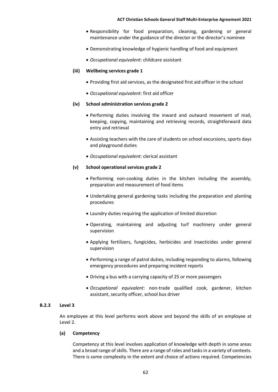- Responsibility for food preparation, cleaning, gardening or general maintenance under the guidance of the director or the director's nominee
- Demonstrating knowledge of hygienic handling of food and equipment
- *Occupational equivalent*: childcare assistant

#### **(iii) Wellbeing services grade 1**

- Providing first aid services, as the designated first aid officer in the school
- *Occupational equivalent*: first aid officer

#### **(iv) School administration services grade 2**

- Performing duties involving the inward and outward movement of mail, keeping, copying, maintaining and retrieving records, straightforward data entry and retrieval
- Assisting teachers with the care of students on school excursions, sports days and playground duties
- *Occupational equivalent*: clerical assistant

#### **(v) School operational services grade 2**

- Performing non-cooking duties in the kitchen including the assembly, preparation and measurement of food items
- Undertaking general gardening tasks including the preparation and planting procedures
- Laundry duties requiring the application of limited discretion
- Operating, maintaining and adjusting turf machinery under general supervision
- Applying fertilizers, fungicides, herbicides and insecticides under general supervision
- Performing a range of patrol duties, including responding to alarms, following emergency procedures and preparing incident reports
- Driving a bus with a carrying capacity of 25 or more passengers
- *Occupational equivalent*: non-trade qualified cook, gardener, kitchen assistant, security officer, school bus driver

## **B.2.3 Level 3**

An employee at this level performs work above and beyond the skills of an employee at Level 2.

#### **(a) Competency**

Competency at this level involves application of knowledge with depth in some areas and a broad range of skills. There are a range of roles and tasks in a variety of contexts. There is some complexity in the extent and choice of actions required. Competencies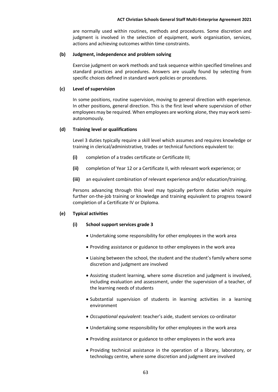#### **ACT Christian Schools General Staff Multi-Enterprise Agreement 2021**

are normally used within routines, methods and procedures. Some discretion and judgment is involved in the selection of equipment, work organisation, services, actions and achieving outcomes within time constraints.

#### **(b) Judgment, independence and problem solving**

Exercise judgment on work methods and task sequence within specified timelines and standard practices and procedures. Answers are usually found by selecting from specific choices defined in standard work policies or procedures.

#### **(c) Level of supervision**

In some positions, routine supervision, moving to general direction with experience. In other positions, general direction. This is the first level where supervision of other employees may be required. When employees are working alone, they may work semiautonomously.

#### **(d) Training level or qualifications**

Level 3 duties typically require a skill level which assumes and requires knowledge or training in clerical/administrative, trades or technical functions equivalent to:

- **(i)** completion of a trades certificate or Certificate III;
- **(ii)** completion of Year 12 or a Certificate II, with relevant work experience; or
- **(iii)** an equivalent combination of relevant experience and/or education/training.

Persons advancing through this level may typically perform duties which require further on-the-job training or knowledge and training equivalent to progress toward completion of a Certificate IV or Diploma.

#### **(e) Typical activities**

#### **(i) School support services grade 3**

- Undertaking some responsibility for other employees in the work area
- Providing assistance or guidance to other employees in the work area
- Liaising between the school, the student and the student's family where some discretion and judgment are involved
- Assisting student learning, where some discretion and judgment is involved, including evaluation and assessment, under the supervision of a teacher, of the learning needs of students
- Substantial supervision of students in learning activities in a learning environment
- *Occupational equivalent*: teacher's aide, student services co-ordinator
- Undertaking some responsibility for other employees in the work area
- Providing assistance or guidance to other employees in the work area
- Providing technical assistance in the operation of a library, laboratory, or technology centre, where some discretion and judgment are involved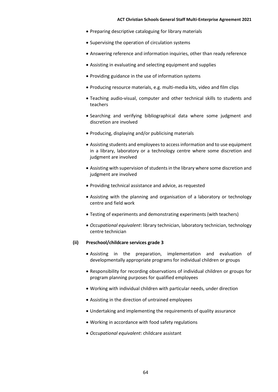- Preparing descriptive cataloguing for library materials
- Supervising the operation of circulation systems
- Answering reference and information inquiries, other than ready reference
- Assisting in evaluating and selecting equipment and supplies
- Providing guidance in the use of information systems
- Producing resource materials, e.g. multi-media kits, video and film clips
- Teaching audio-visual, computer and other technical skills to students and teachers
- Searching and verifying bibliographical data where some judgment and discretion are involved
- Producing, displaying and/or publicising materials
- Assisting students and employees to access information and to use equipment in a library, laboratory or a technology centre where some discretion and judgment are involved
- Assisting with supervision of students in the library where some discretion and judgment are involved
- Providing technical assistance and advice, as requested
- Assisting with the planning and organisation of a laboratory or technology centre and field work
- Testing of experiments and demonstrating experiments (with teachers)
- *Occupational equivalent*: library technician, laboratory technician, technology centre technician

#### **(ii) Preschool/childcare services grade 3**

- Assisting in the preparation, implementation and evaluation of developmentally appropriate programs for individual children or groups
- Responsibility for recording observations of individual children or groups for program planning purposes for qualified employees
- Working with individual children with particular needs, under direction
- Assisting in the direction of untrained employees
- Undertaking and implementing the requirements of quality assurance
- Working in accordance with food safety regulations
- *Occupational equivalent*: childcare assistant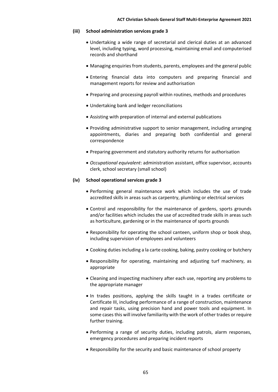#### **(iii) School administration services grade 3**

- Undertaking a wide range of secretarial and clerical duties at an advanced level, including typing, word processing, maintaining email and computerised records and shorthand
- Managing enquiries from students, parents, employees and the general public
- Entering financial data into computers and preparing financial and management reports for review and authorisation
- Preparing and processing payroll within routines, methods and procedures
- Undertaking bank and ledger reconciliations
- Assisting with preparation of internal and external publications
- Providing administrative support to senior management, including arranging appointments, diaries and preparing both confidential and general correspondence
- Preparing government and statutory authority returns for authorisation
- *Occupational equivalent*: administration assistant, office supervisor, accounts clerk, school secretary (small school)

#### **(iv) School operational services grade 3**

- Performing general maintenance work which includes the use of trade accredited skills in areas such as carpentry, plumbing or electrical services
- Control and responsibility for the maintenance of gardens, sports grounds and/or facilities which includes the use of accredited trade skills in areas such as horticulture, gardening or in the maintenance of sports grounds
- Responsibility for operating the school canteen, uniform shop or book shop, including supervision of employees and volunteers
- Cooking duties including a la carte cooking, baking, pastry cooking or butchery
- Responsibility for operating, maintaining and adjusting turf machinery, as appropriate
- Cleaning and inspecting machinery after each use, reporting any problems to the appropriate manager
- In trades positions, applying the skills taught in a trades certificate or Certificate III, including performance of a range of construction, maintenance and repair tasks, using precision hand and power tools and equipment. In some cases this will involve familiarity with the work of other trades or require further training.
- Performing a range of security duties, including patrols, alarm responses, emergency procedures and preparing incident reports
- Responsibility for the security and basic maintenance of school property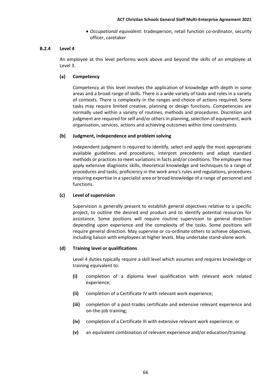• *Occupational equivalent*: tradesperson, retail function co-ordinator, security officer, caretaker

# **B.2.4 Level 4**

An employee at this level performs work above and beyond the skills of an employee at Level 3.

#### **(a) Competency**

Competency at this level involves the application of knowledge with depth in some areas and a broad range of skills. There is a wide variety of tasks and roles in a variety of contexts. There is complexity in the ranges and choice of actions required. Some tasks may require limited creative, planning or design functions. Competencies are normally used within a variety of routines, methods and procedures. Discretion and judgment are required for self and/or others in planning, selection of equipment, work organisation, services, actions and achieving outcomes within time constraints.

#### **(b) Judgment, independence and problem solving**

Independent judgment is required to identify, select and apply the most appropriate available guidelines and procedures, interpret precedents and adapt standard methods or practices to meet variations in facts and/or conditions. The employee may apply extensive diagnostic skills, theoretical knowledge and techniques to a range of procedures and tasks, proficiency in the work area's rules and regulations, procedures requiring expertise in a specialist area or broad knowledge of a range of personnel and functions.

## **(c) Level of supervision**

Supervision is generally present to establish general objectives relative to a specific project, to outline the desired end product and to identify potential resources for assistance. Some positions will require routine supervision to general direction depending upon experience and the complexity of the tasks. Some positions will require general direction. May supervise or co-ordinate others to achieve objectives, including liaison with employees at higher levels. May undertake stand-alone work.

# **(d) Training level or qualifications**

Level 4 duties typically require a skill level which assumes and requires knowledge or training equivalent to:

- **(i)** completion of a diploma level qualification with relevant work related experience;
- **(ii)** completion of a Certificate IV with relevant work experience;
- **(iii)** completion of a post-trades certificate and extensive relevant experience and on-the-job training;
- **(iv)** completion of a Certificate III with extensive relevant work experience; or
- **(v)** an equivalent combination of relevant experience and/or education/training.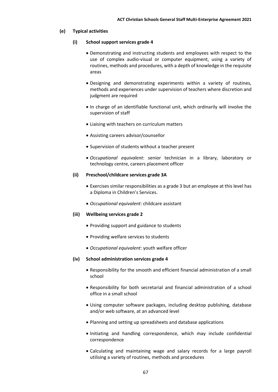#### **(e) Typical activities**

#### **(i) School support services grade 4**

- Demonstrating and instructing students and employees with respect to the use of complex audio-visual or computer equipment, using a variety of routines, methods and procedures, with a depth of knowledge in the requisite areas
- Designing and demonstrating experiments within a variety of routines, methods and experiences under supervision of teachers where discretion and judgment are required
- In charge of an identifiable functional unit, which ordinarily will involve the supervision of staff
- Liaising with teachers on curriculum matters
- Assisting careers advisor/counsellor
- Supervision of students without a teacher present
- *Occupational equivalent*: senior technician in a library, laboratory or technology centre, careers placement officer

#### **(ii) Preschool/childcare services grade 3A**

- Exercises similar responsibilities as a grade 3 but an employee at this level has a Diploma in Children's Services.
- *Occupational equivalent*: childcare assistant

#### **(iii) Wellbeing services grade 2**

- Providing support and guidance to students
- Providing welfare services to students
- *Occupational equivalent*: youth welfare officer

#### **(iv) School administration services grade 4**

- Responsibility for the smooth and efficient financial administration of a small school
- Responsibility for both secretarial and financial administration of a school office in a small school
- Using computer software packages, including desktop publishing, database and/or web software, at an advanced level
- Planning and setting up spreadsheets and database applications
- Initiating and handling correspondence, which may include confidential correspondence
- Calculating and maintaining wage and salary records for a large payroll utilising a variety of routines, methods and procedures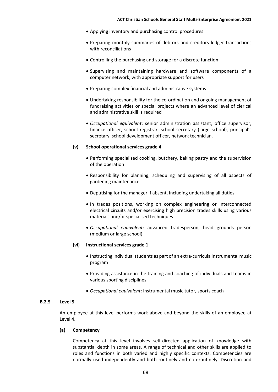- Applying inventory and purchasing control procedures
- Preparing monthly summaries of debtors and creditors ledger transactions with reconciliations
- Controlling the purchasing and storage for a discrete function
- Supervising and maintaining hardware and software components of a computer network, with appropriate support for users
- Preparing complex financial and administrative systems
- Undertaking responsibility for the co-ordination and ongoing management of fundraising activities or special projects where an advanced level of clerical and administrative skill is required
- *Occupational equivalent*: senior administration assistant, office supervisor, finance officer, school registrar, school secretary (large school), principal's secretary, school development officer, network technician.

#### **(v) School operational services grade 4**

- Performing specialised cooking, butchery, baking pastry and the supervision of the operation
- Responsibility for planning, scheduling and supervising of all aspects of gardening maintenance
- Deputising for the manager if absent, including undertaking all duties
- In trades positions, working on complex engineering or interconnected electrical circuits and/or exercising high precision trades skills using various materials and/or specialised techniques
- *Occupational equivalent*: advanced tradesperson, head grounds person (medium or large school)

#### **(vi) Instructional services grade 1**

- Instructing individual students as part of an extra-curricula instrumental music program
- Providing assistance in the training and coaching of individuals and teams in various sporting disciplines
- *Occupational equivalent*: instrumental music tutor, sports coach

#### **B.2.5 Level 5**

An employee at this level performs work above and beyond the skills of an employee at Level 4.

#### **(a) Competency**

Competency at this level involves self-directed application of knowledge with substantial depth in some areas. A range of technical and other skills are applied to roles and functions in both varied and highly specific contexts. Competencies are normally used independently and both routinely and non-routinely. Discretion and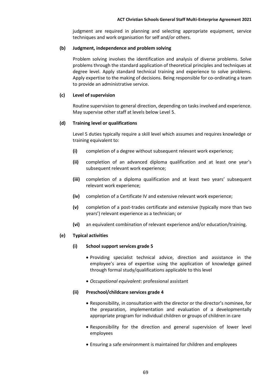#### **ACT Christian Schools General Staff Multi-Enterprise Agreement 2021**

judgment are required in planning and selecting appropriate equipment, service techniques and work organisation for self and/or others.

#### **(b) Judgment, independence and problem solving**

Problem solving involves the identification and analysis of diverse problems. Solve problems through the standard application of theoretical principles and techniques at degree level. Apply standard technical training and experience to solve problems. Apply expertise to the making of decisions. Being responsible for co-ordinating a team to provide an administrative service.

#### **(c) Level of supervision**

Routine supervision to general direction, depending on tasks involved and experience. May supervise other staff at levels below Level 5.

#### **(d) Training level or qualifications**

Level 5 duties typically require a skill level which assumes and requires knowledge or training equivalent to:

- **(i)** completion of a degree without subsequent relevant work experience;
- **(ii)** completion of an advanced diploma qualification and at least one year's subsequent relevant work experience;
- **(iii)** completion of a diploma qualification and at least two years' subsequent relevant work experience;
- **(iv)** completion of a Certificate IV and extensive relevant work experience;
- **(v)** completion of a post-trades certificate and extensive (typically more than two years') relevant experience as a technician; or
- **(vi)** an equivalent combination of relevant experience and/or education/training.

#### **(e) Typical activities**

#### **(i) School support services grade 5**

- Providing specialist technical advice, direction and assistance in the employee's area of expertise using the application of knowledge gained through formal study/qualifications applicable to this level
- *Occupational equivalent*: professional assistant

#### **(ii) Preschool/childcare services grade 4**

- Responsibility, in consultation with the director or the director's nominee, for the preparation, implementation and evaluation of a developmentally appropriate program for individual children or groups of children in care
- Responsibility for the direction and general supervision of lower level employees
- Ensuring a safe environment is maintained for children and employees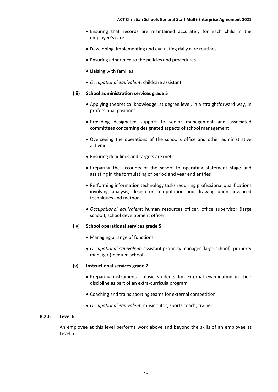#### **ACT Christian Schools General Staff Multi-Enterprise Agreement 2021**

- Ensuring that records are maintained accurately for each child in the employee's care
- Developing, implementing and evaluating daily care routines
- Ensuring adherence to the policies and procedures
- Liaising with families
- *Occupational equivalent*: childcare assistant

#### **(iii) School administration services grade 5**

- Applying theoretical knowledge, at degree level, in a straightforward way, in professional positions
- Providing designated support to senior management and associated committees concerning designated aspects of school management
- Overseeing the operations of the school's office and other administrative activities
- Ensuring deadlines and targets are met
- Preparing the accounts of the school to operating statement stage and assisting in the formulating of period and year end entries
- Performing information technology tasks requiring professional qualifications involving analysis, design or computation and drawing upon advanced techniques and methods
- *Occupational equivalent*: human resources officer, office supervisor (large school), school development officer

#### **(iv) School operational services grade 5**

- Managing a range of functions
- *Occupational equivalent*: assistant property manager (large school), property manager (medium school)

#### **(v) Instructional services grade 2**

- Preparing instrumental music students for external examination in their discipline as part of an extra-curricula program
- Coaching and trains sporting teams for external competition
- *Occupational equivalent*: music tutor, sports coach, trainer

#### **B.2.6 Level 6**

An employee at this level performs work above and beyond the skills of an employee at Level 5.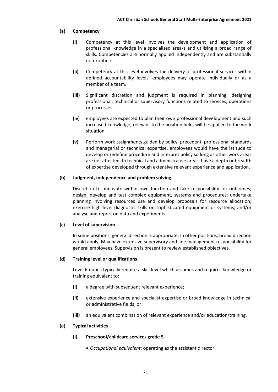#### **(a) Competency**

- **(i)** Competency at this level involves the development and application of professional knowledge in a specialised area/s and utilising a broad range of skills. Competencies are normally applied independently and are substantially non-routine.
- **(ii)** Competency at this level involves the delivery of professional services within defined accountability levels. employees may operate individually or as a member of a team.
- **(iii)** Significant discretion and judgment is required in planning, designing professional, technical or supervisory functions related to services, operations or processes.
- **(iv)** employees are expected to plan their own professional development and such increased knowledge, relevant to the position held, will be applied to the work situation.
- **(v)** Perform work assignments guided by policy, precedent, professional standards and managerial or technical expertise. employees would have the latitude to develop or redefine procedure and interpret policy so long as other work areas are not affected. In technical and administrative areas, have a depth or breadth of expertise developed through extensive relevant experience and application.

#### **(b) Judgment, independence and problem solving**

Discretion to: innovate within own function and take responsibility for outcomes; design, develop and test complex equipment, systems and procedures; undertake planning involving resources use and develop proposals for resource allocation; exercise high level diagnostic skills on sophisticated equipment or systems; and/or analyse and report on data and experiments.

#### **(c) Level of supervision**

In some positions, general direction is appropriate. In other positions, broad direction would apply. May have extensive supervisory and line management responsibility for general employees. Supervision is present to review established objectives.

#### **(d) Training level or qualifications**

Level 6 duties typically require a skill level which assumes and requires knowledge or training equivalent to:

- **(i)** a degree with subsequent relevant experience;
- **(ii)** extensive experience and specialist expertise or broad knowledge in technical or administrative fields; or
- **(iii)** an equivalent combination of relevant experience and/or education/training.

#### **(e) Typical activities**

#### **(i) Preschool/childcare services grade 5**

• *Occupational equivalent*: operating as the assistant director: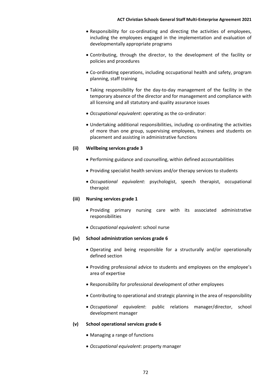- Responsibility for co-ordinating and directing the activities of employees, including the employees engaged in the implementation and evaluation of developmentally appropriate programs
- Contributing, through the director, to the development of the facility or policies and procedures
- Co-ordinating operations, including occupational health and safety, program planning, staff training
- Taking responsibility for the day-to-day management of the facility in the temporary absence of the director and for management and compliance with all licensing and all statutory and quality assurance issues
- *Occupational equivalent*: operating as the co-ordinator:
- Undertaking additional responsibilities, including co-ordinating the activities of more than one group, supervising employees, trainees and students on placement and assisting in administrative functions

#### **(ii) Wellbeing services grade 3**

- Performing guidance and counselling, within defined accountabilities
- Providing specialist health services and/or therapy services to students
- *Occupational equivalent*: psychologist, speech therapist, occupational therapist

#### **(iii) Nursing services grade 1**

- Providing primary nursing care with its associated administrative responsibilities
- *Occupational equivalent*: school nurse

#### **(iv) School administration services grade 6**

- Operating and being responsible for a structurally and/or operationally defined section
- Providing professional advice to students and employees on the employee's area of expertise
- Responsibility for professional development of other employees
- Contributing to operational and strategic planning in the area of responsibility
- *Occupational equivalent*: public relations manager/director, school development manager

#### **(v) School operational services grade 6**

- Managing a range of functions
- *Occupational equivalent*: property manager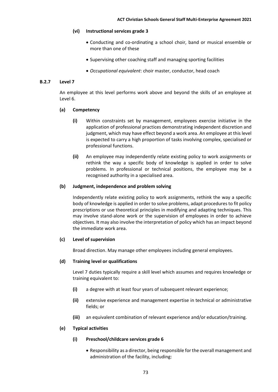#### **(vi) Instructional services grade 3**

- Conducting and co-ordinating a school choir, band or musical ensemble or more than one of these
- Supervising other coaching staff and managing sporting facilities
- *Occupational equivalent*: choir master, conductor, head coach

#### **B.2.7 Level 7**

An employee at this level performs work above and beyond the skills of an employee at Level 6.

#### **(a) Competency**

- **(i)** Within constraints set by management, employees exercise initiative in the application of professional practices demonstrating independent discretion and judgment, which may have effect beyond a work area. An employee at this level is expected to carry a high proportion of tasks involving complex, specialised or professional functions.
- **(ii)** An employee may independently relate existing policy to work assignments or rethink the way a specific body of knowledge is applied in order to solve problems. In professional or technical positions, the employee may be a recognised authority in a specialised area.

#### **(b) Judgment, independence and problem solving**

Independently relate existing policy to work assignments, rethink the way a specific body of knowledge is applied in order to solve problems, adapt procedures to fit policy prescriptions or use theoretical principles in modifying and adapting techniques. This may involve stand-alone work or the supervision of employees in order to achieve objectives. It may also involve the interpretation of policy which has an impact beyond the immediate work area.

#### **(c) Level of supervision**

Broad direction. May manage other employees including general employees.

#### **(d) Training level or qualifications**

Level 7 duties typically require a skill level which assumes and requires knowledge or training equivalent to:

- **(i)** a degree with at least four years of subsequent relevant experience;
- **(ii)** extensive experience and management expertise in technical or administrative fields; or
- **(iii)** an equivalent combination of relevant experience and/or education/training.

#### **(e) Typical activities**

#### **(i) Preschool/childcare services grade 6**

• Responsibility as a director, being responsible for the overall management and administration of the facility, including: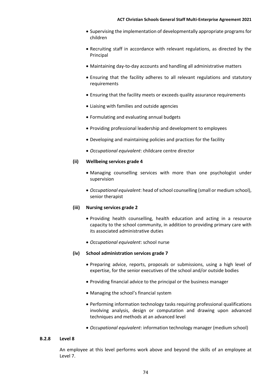- Supervising the implementation of developmentally appropriate programs for children
- Recruiting staff in accordance with relevant regulations, as directed by the Principal
- Maintaining day-to-day accounts and handling all administrative matters
- Ensuring that the facility adheres to all relevant regulations and statutory requirements
- Ensuring that the facility meets or exceeds quality assurance requirements
- Liaising with families and outside agencies
- Formulating and evaluating annual budgets
- Providing professional leadership and development to employees
- Developing and maintaining policies and practices for the facility
- *Occupational equivalent*: childcare centre director

#### **(ii) Wellbeing services grade 4**

- Managing counselling services with more than one psychologist under supervision
- *Occupational equivalent*: head of school counselling (small or medium school), senior therapist

#### **(iii) Nursing services grade 2**

- Providing health counselling, health education and acting in a resource capacity to the school community, in addition to providing primary care with its associated administrative duties
- *Occupational equivalent*: school nurse

#### **(iv) School administration services grade 7**

- Preparing advice, reports, proposals or submissions, using a high level of expertise, for the senior executives of the school and/or outside bodies
- Providing financial advice to the principal or the business manager
- Managing the school's financial system
- Performing information technology tasks requiring professional qualifications involving analysis, design or computation and drawing upon advanced techniques and methods at an advanced level
- *Occupational equivalent*: information technology manager (medium school)

#### **B.2.8 Level 8**

An employee at this level performs work above and beyond the skills of an employee at Level 7.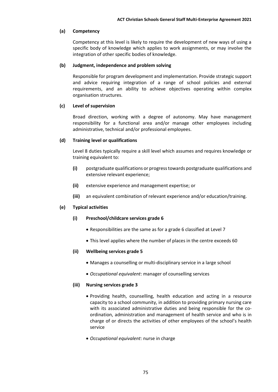#### **(a) Competency**

Competency at this level is likely to require the development of new ways of using a specific body of knowledge which applies to work assignments, or may involve the integration of other specific bodies of knowledge.

#### **(b) Judgment, independence and problem solving**

Responsible for program development and implementation. Provide strategic support and advice requiring integration of a range of school policies and external requirements, and an ability to achieve objectives operating within complex organisation structures.

#### **(c) Level of supervision**

Broad direction, working with a degree of autonomy. May have management responsibility for a functional area and/or manage other employees including administrative, technical and/or professional employees.

#### **(d) Training level or qualifications**

Level 8 duties typically require a skill level which assumes and requires knowledge or training equivalent to:

- **(i)** postgraduate qualifications or progress towards postgraduate qualifications and extensive relevant experience;
- **(ii)** extensive experience and management expertise; or
- **(iii)** an equivalent combination of relevant experience and/or education/training.

#### **(e) Typical activities**

- **(i) Preschool/childcare services grade 6**
	- Responsibilities are the same as for a grade 6 classified at Level 7
	- This level applies where the number of places in the centre exceeds 60
- **(ii) Wellbeing services grade 5**
	- Manages a counselling or multi-disciplinary service in a large school
	- *Occupational equivalent*: manager of counselling services

#### **(iii) Nursing services grade 3**

- Providing health, counselling, health education and acting in a resource capacity to a school community, in addition to providing primary nursing care with its associated administrative duties and being responsible for the coordination, administration and management of health service and who is in charge of or directs the activities of other employees of the school's health service
- *Occupational equivalent*: nurse in charge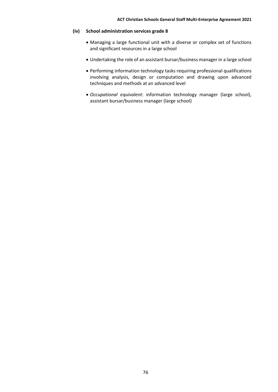#### **(iv) School administration services grade 8**

- Managing a large functional unit with a diverse or complex set of functions and significant resources in a large school
- Undertaking the role of an assistant bursar/business manager in a large school
- Performing information technology tasks requiring professional qualifications involving analysis, design or computation and drawing upon advanced techniques and methods at an advanced level
- *Occupational equivalent*: information technology manager (large school), assistant bursar/business manager (large school)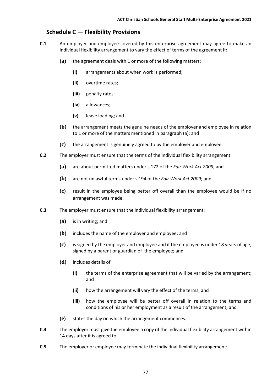### **Schedule C — Flexibility Provisions**

- **C.1** An employer and employee covered by this enterprise agreement may agree to make an individual flexibility arrangement to vary the effect of terms of the agreement if:
	- **(a)** the agreement deals with 1 or more of the following matters:
		- **(i)** arrangements about when work is performed;
		- **(ii)** overtime rates;
		- **(iii)** penalty rates;
		- **(iv)** allowances;
		- **(v)** leave loading; and
	- **(b)** the arrangement meets the genuine needs of the employer and employee in relation to 1 or more of the matters mentioned in paragraph (a); and
	- **(c)** the arrangement is genuinely agreed to by the employer and employee.
- **C.2** The employer must ensure that the terms of the individual flexibility arrangement:
	- **(a)** are about permitted matters under s 172 of the *Fair Work Act 2009*; and
	- **(b)** are not unlawful terms under s 194 of the *Fair Work Act 2009*; and
	- **(c)** result in the employee being better off overall than the employee would be if no arrangement was made.
- **C.3** The employer must ensure that the individual flexibility arrangement:
	- **(a)** is in writing; and
	- **(b)** includes the name of the employer and employee; and
	- **(c)** is signed by the employer and employee and if the employee is under 18 years of age, signed by a parent or guardian of the employee; and
	- **(d)** includes details of:
		- **(i)** the terms of the enterprise agreement that will be varied by the arrangement; and
		- **(ii)** how the arrangement will vary the effect of the terms; and
		- **(iii)** how the employee will be better off overall in relation to the terms and conditions of his or her employment as a result of the arrangement; and
	- **(e)** states the day on which the arrangement commences.
- **C.4** The employer must give the employee a copy of the individual flexibility arrangement within 14 days after it is agreed to.
- **C.5** The employer or employee may terminate the individual flexibility arrangement: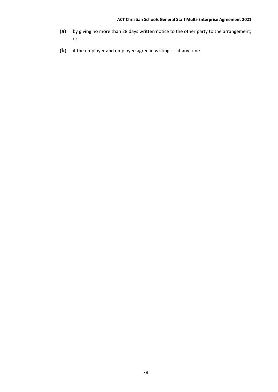#### **ACT Christian Schools General Staff Multi-Enterprise Agreement 2021**

- **(a)** by giving no more than 28 days written notice to the other party to the arrangement; or
- **(b)** if the employer and employee agree in writing at any time.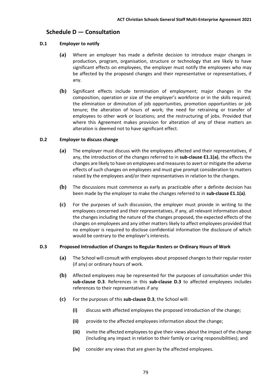## **Schedule D — Consultation**

#### <span id="page-82-0"></span>**D.1 Employer to notify**

- **(a)** Where an employer has made a definite decision to introduce major changes in production, program, organisation, structure or technology that are likely to have significant effects on employees, the employer must notify the employees who may be affected by the proposed changes and their representative or representatives, if any.
- **(b)** Significant effects include termination of employment; major changes in the composition, operation or size of the employer's workforce or in the skills required; the elimination or diminution of job opportunities, promotion opportunities or job tenure; the alteration of hours of work; the need for retraining or transfer of employees to other work or locations; and the restructuring of jobs. Provided that where this Agreement makes provision for alteration of any of these matters an alteration is deemed not to have significant effect.

#### **D.2 Employer to discuss change**

- **(a)** The employer must discuss with the employees affected and their representatives, if any, the introduction of the changes referred to in **sub-clause [E1.1\(a\)](#page-82-0)**, the effects the changes are likely to have on employees and measures to avert or mitigate the adverse effects of such changes on employees and must give prompt consideration to matters raised by the employees and/or their representatives in relation to the changes.
- **(b)** The discussions must commence as early as practicable after a definite decision has been made by the employer to make the changes referred to in **sub-clause [E1.1\(a\)](#page-82-0)**.
- **(c)** For the purposes of such discussion, the employer must provide in writing to the employees concerned and their representatives, if any, all relevant information about the changes including the nature of the changes proposed, the expected effects of the changes on employees and any other matters likely to affect employees provided that no employer is required to disclose confidential information the disclosure of which would be contrary to the employer's interests.

#### **D.3 Proposed Introduction of Changes to Regular Rosters or Ordinary Hours of Work**

- **(a)** The School will consult with employees about proposed changes to their regular roster (if any) or ordinary hours of work.
- **(b)** Affected employees may be represented for the purposes of consultation under this **sub-clause D.3**. References in this **sub-clause D.3** to affected employees includes references to their representatives if any
- **(c)** For the purposes of this **sub-clause D.3**, the School will:
	- **(i)** discuss with affected employees the proposed introduction of the change;
	- **(ii)** provide to the affected employees information about the change;
	- **(iii)** invite the affected employees to give their views about the impact of the change (including any impact in relation to their family or caring responsibilities); and
	- **(iv)** consider any views that are given by the affected employees.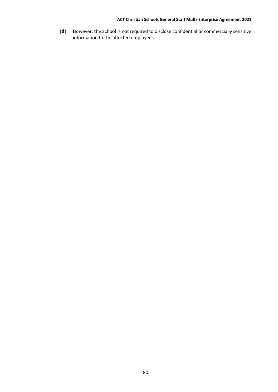#### **ACT Christian Schools General Staff Multi-Enterprise Agreement 2021**

**(d)** However, the School is not required to disclose confidential or commercially sensitive information to the affected employees.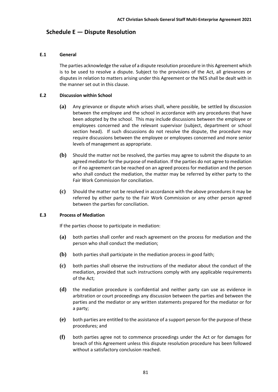## **Schedule E — Dispute Resolution**

#### **E.1 General**

The parties acknowledge the value of a dispute resolution procedure in this Agreement which is to be used to resolve a dispute. Subject to the provisions of the Act, all grievances or disputes in relation to matters arising under this Agreement or the NES shall be dealt with in the manner set out in this clause.

#### **E.2 Discussion within School**

- **(a)** Any grievance or dispute which arises shall, where possible, be settled by discussion between the employee and the school in accordance with any procedures that have been adopted by the school. This may include discussions between the employee or employees concerned and the relevant supervisor (subject, department or school section head). If such discussions do not resolve the dispute, the procedure may require discussions between the employee or employees concerned and more senior levels of management as appropriate.
- **(b)** Should the matter not be resolved, the parties may agree to submit the dispute to an agreed mediator for the purpose of mediation. If the parties do not agree to mediation or if no agreement can be reached on an agreed process for mediation and the person who shall conduct the mediation, the matter may be referred by either party to the Fair Work Commission for conciliation.
- **(c)** Should the matter not be resolved in accordance with the above procedures it may be referred by either party to the Fair Work Commission or any other person agreed between the parties for conciliation.

#### **E.3 Process of Mediation**

If the parties choose to participate in mediation:

- **(a)** both parties shall confer and reach agreement on the process for mediation and the person who shall conduct the mediation;
- **(b)** both parties shall participate in the mediation process in good faith;
- **(c)** both parties shall observe the instructions of the mediator about the conduct of the mediation, provided that such instructions comply with any applicable requirements of the Act;
- **(d)** the mediation procedure is confidential and neither party can use as evidence in arbitration or court proceedings any discussion between the parties and between the parties and the mediator or any written statements prepared for the mediator or for a party;
- **(e)** both parties are entitled to the assistance of a support person for the purpose of these procedures; and
- **(f)** both parties agree not to commence proceedings under the Act or for damages for breach of this Agreement unless this dispute resolution procedure has been followed without a satisfactory conclusion reached.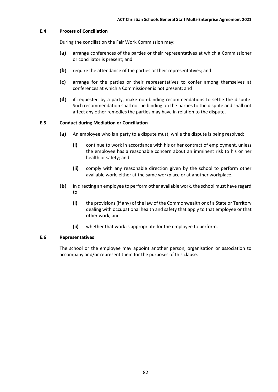#### **E.4 Process of Conciliation**

During the conciliation the Fair Work Commission may:

- **(a)** arrange conferences of the parties or their representatives at which a Commissioner or conciliator is present; and
- **(b)** require the attendance of the parties or their representatives; and
- **(c)** arrange for the parties or their representatives to confer among themselves at conferences at which a Commissioner is not present; and
- **(d)** if requested by a party, make non-binding recommendations to settle the dispute. Such recommendation shall not be binding on the parties to the dispute and shall not affect any other remedies the parties may have in relation to the dispute.

#### **E.5 Conduct during Mediation or Conciliation**

- **(a)** An employee who is a party to a dispute must, while the dispute is being resolved:
	- **(i)** continue to work in accordance with his or her contract of employment, unless the employee has a reasonable concern about an imminent risk to his or her health or safety; and
	- **(ii)** comply with any reasonable direction given by the school to perform other available work, either at the same workplace or at another workplace.
- **(b)** In directing an employee to perform other available work, the school must have regard to:
	- **(i)** the provisions (if any) of the law of the Commonwealth or of a State or Territory dealing with occupational health and safety that apply to that employee or that other work; and
	- **(ii)** whether that work is appropriate for the employee to perform.

#### **E.6 Representatives**

The school or the employee may appoint another person, organisation or association to accompany and/or represent them for the purposes of this clause.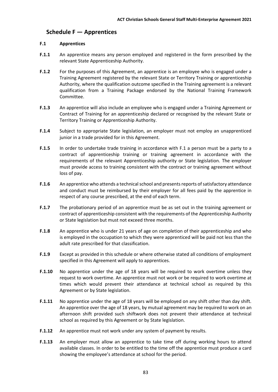## **Schedule F — Apprentices**

#### <span id="page-86-0"></span>**F.1 Apprentices**

- **F.1.1** An apprentice means any person employed and registered in the form prescribed by the relevant State Apprenticeship Authority.
- **F.1.2** For the purposes of this Agreement, an apprentice is an employee who is engaged under a Training Agreement registered by the relevant State or Territory Training or apprenticeship Authority, where the qualification outcome specified in the Training agreement is a relevant qualification from a Training Package endorsed by the National Training Framework Committee.
- **F.1.3** An apprentice will also include an employee who is engaged under a Training Agreement or Contract of Training for an apprenticeship declared or recognised by the relevant State or Territory Training or Apprenticeship Authority.
- **F.1.4** Subject to appropriate State legislation, an employer must not employ an unapprenticed junior in a trade provided for in this Agreement.
- **F.1.5** In order to undertake trade training in accordance with [F.1](#page-86-0) a person must be a party to a contract of apprenticeship training or training agreement in accordance with the requirements of the relevant Apprenticeship authority or State legislation. The employer must provide access to training consistent with the contract or training agreement without loss of pay.
- **F.1.6** An apprentice who attends a technical school and presents reports of satisfactory attendance and conduct must be reimbursed by their employer for all fees paid by the apprentice in respect of any course prescribed, at the end of each term.
- **F.1.7** The probationary period of an apprentice must be as set out in the training agreement or contract of apprenticeship consistent with the requirements of the Apprenticeship Authority or State legislation but must not exceed three months.
- **F.1.8** An apprentice who is under 21 years of age on completion of their apprenticeship and who is employed in the occupation to which they were apprenticed will be paid not less than the adult rate prescribed for that classification.
- **F.1.9** Except as provided in this schedule or where otherwise stated all conditions of employment specified in this Agreement will apply to apprentices.
- **F.1.10** No apprentice under the age of 18 years will be required to work overtime unless they request to work overtime. An apprentice must not work or be required to work overtime at times which would prevent their attendance at technical school as required by this Agreement or by State legislation.
- **F.1.11** No apprentice under the age of 18 years will be employed on any shift other than day shift. An apprentice over the age of 18 years, by mutual agreement may be required to work on an afternoon shift provided such shiftwork does not prevent their attendance at technical school as required by this Agreement or by State legislation.
- **F.1.12** An apprentice must not work under any system of payment by results.
- **F.1.13** An employer must allow an apprentice to take time off during working hours to attend available classes. In order to be entitled to the time off the apprentice must produce a card showing the employee's attendance at school for the period.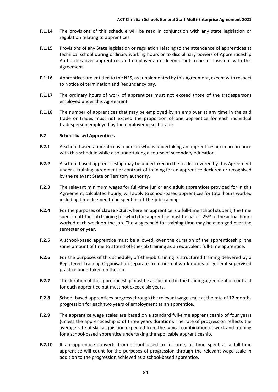- **F.1.14** The provisions of this schedule will be read in conjunction with any state legislation or regulation relating to apprentices.
- **F.1.15** Provisions of any State legislation or regulation relating to the attendance of apprentices at technical school during ordinary working hours or to disciplinary powers of Apprenticeship Authorities over apprentices and employers are deemed not to be inconsistent with this Agreement.
- **F.1.16** Apprentices are entitled to the NES, as supplemented by this Agreement, except with respect to Notice of termination and Redundancy pay.
- **F.1.17** The ordinary hours of work of apprentices must not exceed those of the tradespersons employed under this Agreement.
- **F.1.18** The number of apprentices that may be employed by an employer at any time in the said trade or trades must not exceed the proportion of one apprentice for each individual tradesperson employed by the employer in such trade.

#### **F.2 School-based Apprentices**

- **F.2.1** A school-based apprentice is a person who is undertaking an apprenticeship in accordance with this schedule while also undertaking a course of secondary education.
- **F.2.2** A school-based apprenticeship may be undertaken in the trades covered by this Agreement under a training agreement or contract of training for an apprentice declared or recognised by the relevant State or Territory authority.
- <span id="page-87-0"></span>**F.2.3** The relevant minimum wages for full-time junior and adult apprentices provided for in this Agreement, calculated hourly, will apply to school-based apprentices for total hours worked including time deemed to be spent in off-the-job training.
- **F.2.4** For the purposes of **clause [F.2.3](#page-87-0)**, where an apprentice is a full-time school student, the time spent in off-the-job training for which the apprentice must be paid is 25% of the actual hours worked each week on-the-job. The wages paid for training time may be averaged over the semester or year.
- **F.2.5** A school-based apprentice must be allowed, over the duration of the apprenticeship, the same amount of time to attend off-the-job training as an equivalent full-time apprentice.
- **F.2.6** For the purposes of this schedule, off-the-job training is structured training delivered by a Registered Training Organisation separate from normal work duties or general supervised practice undertaken on the job.
- **F.2.7** The duration of the apprenticeship must be as specified in the training agreement or contract for each apprentice but must not exceed six years.
- **F.2.8** School-based apprentices progress through the relevant wage scale at the rate of 12 months progression for each two years of employment as an apprentice.
- **F.2.9** The apprentice wage scales are based on a standard full-time apprenticeship of four years (unless the apprenticeship is of three years duration). The rate of progression reflects the average rate of skill acquisition expected from the typical combination of work and training for a school-based apprentice undertaking the applicable apprenticeship.
- **F.2.10** If an apprentice converts from school-based to full-time, all time spent as a full-time apprentice will count for the purposes of progression through the relevant wage scale in addition to the progression achieved as a school-based apprentice.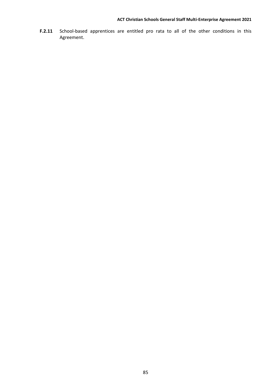## **ACT Christian Schools General Staff Multi-Enterprise Agreement 2021**

**F.2.11** School-based apprentices are entitled pro rata to all of the other conditions in this Agreement.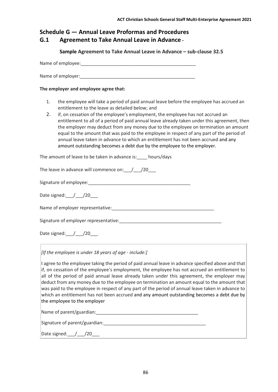## **Schedule G — Annual Leave Proformas and Procedures G.1 Agreement to Take Annual Leave in Advance -**

**Sample Agreement to Take Annual Leave in Advance – sub-clause 32.5**

Name of employee:

Name of employer:

**The employer and employee agree that:**

- 1. the employee will take a period of paid annual leave before the employee has accrued an entitlement to the leave as detailed below; and
- 2. if, on cessation of the employee's employment, the employee has not accrued an entitlement to all of a period of paid annual leave already taken under this agreement, then the employer may deduct from any money due to the employee on termination an amount equal to the amount that was paid to the employee in respect of any part of the period of annual leave taken in advance to which an entitlement has not been accrued and any amount outstanding becomes a debt due by the employee to the employer.

The amount of leave to be taken in advance is:\_\_\_\_ hours/days

The leave in advance will commence on:  $/$  /20

| Signature of employee: |
|------------------------|
|                        |

Date signed:\_\_\_/\_\_\_/20\_\_\_

Name of employer representative:

Signature of employer representative:  $\Box$ 

Date signed: / / /20

*[If the employee is under 18 years of age - include:]*

I agree to the employee taking the period of paid annual leave in advance specified above and that if, on cessation of the employee's employment, the employee has not accrued an entitlement to all of the period of paid annual leave already taken under this agreement, the employer may deduct from any money due to the employee on termination an amount equal to the amount that was paid to the employee in respect of any part of the period of annual leave taken in advance to which an entitlement has not been accrued and any amount outstanding becomes a debt due by the employee to the employer

Name of parent/guardian:

| Signature of parent/guardian: |  |
|-------------------------------|--|
|                               |  |

Date signed:\_\_\_/\_\_\_/20\_\_\_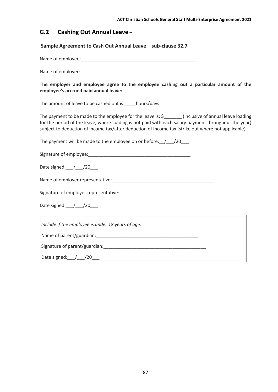## **G.2 Cashing Out Annual Leave –**

**Sample Agreement to Cash Out Annual Leave – sub-clause 32.7**

Name of employee:

Name of employer:

**The employer and employee agree to the employee cashing out a particular amount of the employee's accrued paid annual leave:**

The amount of leave to be cashed out is: \_\_\_\_ hours/days

The payment to be made to the employee for the leave is:  $\zeta$  (inclusive of annual leave loading for the period of the leave, where loading is not paid with each salary payment throughout the year) subject to deduction of income tax/after deduction of income tax (strike out where not applicable)

The payment will be made to the employee on or before:  $/$  /20

Signature of employee:

Date signed: / / 20

Name of employer representative:

Signature of employer representative:\_\_\_\_\_\_\_\_\_\_\_\_\_\_\_\_\_\_\_\_\_\_\_\_\_\_\_\_\_\_\_\_\_\_\_\_\_\_\_\_

Date signed:  $/$  /20

*Include if the employee is under 18 years of age:*

Name of parent/guardian:\_\_\_\_\_\_\_\_\_\_\_\_\_\_\_\_\_\_\_\_\_\_\_\_\_\_\_\_\_\_\_\_\_\_\_\_\_\_\_\_

|  |  | Signature of parent/guardian: |
|--|--|-------------------------------|
|  |  |                               |
|  |  |                               |

Date signed:\_\_\_/\_\_\_/20\_\_\_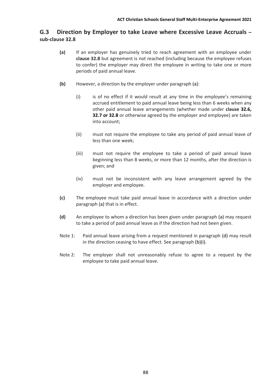## **G.3 Direction by Employer to take Leave where Excessive Leave Accruals – sub-clause 32.8**

- **(a)** If an employer has genuinely tried to reach agreement with an employee under **clause 32.8** but agreement is not reached (including because the employee refuses to confer) the employer may direct the employee in writing to take one or more periods of paid annual leave.
- **(b)** However, a direction by the employer under paragraph [\(a\):](http://awardviewer.fwo.gov.au/award/show/MA000076#P849_74189)
	- (i) is of no effect if it would result at any time in the employee's remaining accrued entitlement to paid annual leave being less than 6 weeks when any other paid annual leave arrangements (whether made under **clause [32.6,](http://awardviewer.fwo.gov.au/award/show/MA000076#P840_73147) [32.7](http://awardviewer.fwo.gov.au/award/show/MA000076#P847_74079) or [32.8](http://awardviewer.fwo.gov.au/award/show/MA000076#P859_75766)** or otherwise agreed by the employer and employee) are taken into account;
	- (ii) must not require the employee to take any period of paid annual leave of less than one week;
	- (iii) must not require the employee to take a period of paid annual leave beginning less than 8 weeks, or more than 12 months, after the direction is given; and
	- (iv) must not be inconsistent with any leave arrangement agreed by the employer and employee.
- **(c)** The employee must take paid annual leave in accordance with a direction under paragrap[h \(a\)](http://awardviewer.fwo.gov.au/award/show/MA000076#P849_74189) that is in effect.
- **(d)** An employee to whom a direction has been given under paragraph [\(a\)](http://awardviewer.fwo.gov.au/award/show/MA000076#P849_74189) may request to take a period of paid annual leave as if the direction had not been given.
- Note 1: Paid annual leave arising from a request mentioned in paragraph [\(d\)](http://awardviewer.fwo.gov.au/award/show/MA000076#P856_75300) may result in the direction ceasing to have effect. See paragraph [\(b\)\(i\).](http://awardviewer.fwo.gov.au/award/show/MA000076#P851_74522)
- Note 2: The employer shall not unreasonably refuse to agree to a request by the employee to take paid annual leave.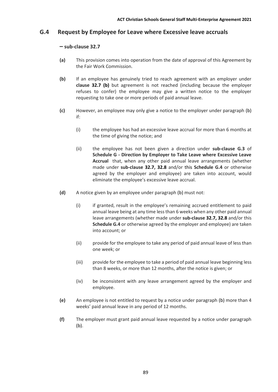### **G.4 Request by Employee for Leave where Excessive leave accruals**

#### **– sub-clause 32.7**

- **(a)** This provision comes into operation from the date of approval of this Agreement by the Fair Work Commission.
- **(b)** If an employee has genuinely tried to reach agreement with an employer under **clause [32.7](http://awardviewer.fwo.gov.au/award/show/MA000076#P844_73595) (b)** but agreement is not reached (including because the employer refuses to confer) the employee may give a written notice to the employer requesting to take one or more periods of paid annual leave.
- **(c)** However, an employee may only give a notice to the employer under paragraph [\(b\)](http://awardviewer.fwo.gov.au/award/show/MA000076#P862_75918) if:
	- (i) the employee has had an excessive leave accrual for more than 6 months at the time of giving the notice; and
	- (ii) the employee has not been given a direction under **sub-clause G.3** of **Schedule G - Direction by Employer to Take Leave where Excessive Leave Accrual** that, when any other paid annual leave arrangements (whether made under **sub-clause [32.7,](http://awardviewer.fwo.gov.au/award/show/MA000076#P840_73147) [32.8](http://awardviewer.fwo.gov.au/award/show/MA000076#P847_74079)** and/or [this](http://awardviewer.fwo.gov.au/award/show/MA000076#P859_75766) **Schedule G.4** or otherwise agreed by the employer and employee) are taken into account, would eliminate the employee's excessive leave accrual.
- **(d)** A notice given by an employee under paragraph [\(b\)](http://awardviewer.fwo.gov.au/award/show/MA000076#P862_75918) must not:
	- (i) if granted, result in the employee's remaining accrued entitlement to paid annual leave being at any time less than 6 weeks when any other paid annual leave arrangements (whether made under **sub-claus[e 32.7,](http://awardviewer.fwo.gov.au/award/show/MA000076#P840_73147) [32.8](http://awardviewer.fwo.gov.au/award/show/MA000076#P847_74079)** and/or this **Schedule G.4** or otherwise agreed by the employer and employee) are taken into account; or
	- (ii) provide for the employee to take any period of paid annual leave of less than one week; or
	- (iii) provide for the employee to take a period of paid annual leave beginning less than 8 weeks, or more than 12 months, after the notice is given; or
	- (iv) be inconsistent with any leave arrangement agreed by the employer and employee.
- **(e)** An employee is not entitled to request by a notice under paragraph [\(b\)](http://awardviewer.fwo.gov.au/award/show/MA000076#P862_75918) more than 4 weeks' paid annual leave in any period of 12 months.
- **(f)** The employer must grant paid annual leave requested by a notice under paragraph [\(b\).](http://awardviewer.fwo.gov.au/award/show/MA000076#P862_75918)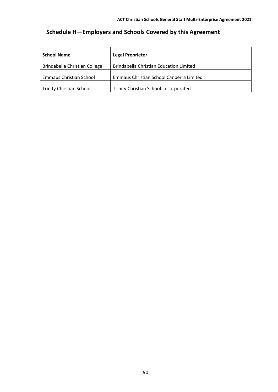## **Schedule H—Employers and Schools Covered by this Agreement**

| <b>School Name</b>              | <b>Legal Proprietor</b>                  |
|---------------------------------|------------------------------------------|
| Brindabella Christian College   | Brindabella Christian Education Limited  |
| <b>Emmaus Christian School</b>  | Emmaus Christian School Canberra Limited |
| <b>Trinity Christian School</b> | Trinity Christian School. Incorporated   |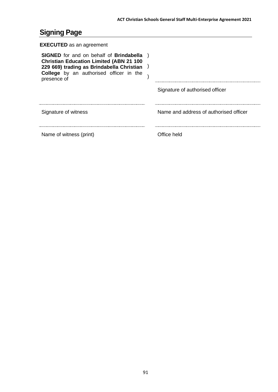| <b>EXECUTED</b> as an agreement                                                                                                                                                                                         |  |                                        |
|-------------------------------------------------------------------------------------------------------------------------------------------------------------------------------------------------------------------------|--|----------------------------------------|
| <b>SIGNED</b> for and on behalf of <b>Brindabella</b> )<br><b>Christian Education Limited (ABN 21 100</b><br>229 669) trading as Brindabella Christian<br><b>College</b> by an authorised officer in the<br>presence of |  |                                        |
|                                                                                                                                                                                                                         |  | Signature of authorised officer        |
| Signature of witness                                                                                                                                                                                                    |  | Name and address of authorised officer |
| Name of witness (print)                                                                                                                                                                                                 |  | Office held                            |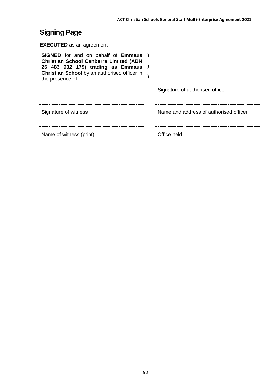| <b>EXECUTED</b> as an agreement                                                                                                                                                                               |                                        |  |
|---------------------------------------------------------------------------------------------------------------------------------------------------------------------------------------------------------------|----------------------------------------|--|
| <b>SIGNED</b> for and on behalf of <b>Emmaus</b> )<br><b>Christian School Canberra Limited (ABN</b><br>26 483 932 179) trading as Emmaus )<br>Christian School by an authorised officer in<br>the presence of |                                        |  |
|                                                                                                                                                                                                               | Signature of authorised officer        |  |
| Signature of witness                                                                                                                                                                                          | Name and address of authorised officer |  |
| Name of witness (print)                                                                                                                                                                                       | Office held                            |  |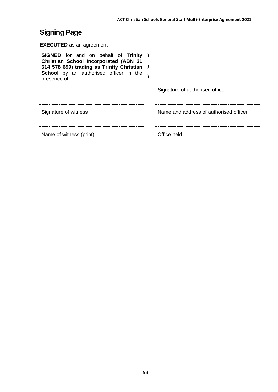| <b>EXECUTED</b> as an agreement                                                                                                                                                                             |                                        |  |
|-------------------------------------------------------------------------------------------------------------------------------------------------------------------------------------------------------------|----------------------------------------|--|
| <b>SIGNED</b> for and on behalf of <b>Trinity</b> )<br><b>Christian School Incorporated (ABN 31</b><br>614 578 699) trading as Trinity Christian )<br>School by an authorised officer in the<br>presence of |                                        |  |
|                                                                                                                                                                                                             | Signature of authorised officer        |  |
| Signature of witness                                                                                                                                                                                        | Name and address of authorised officer |  |
| Name of witness (print)                                                                                                                                                                                     | Office held                            |  |